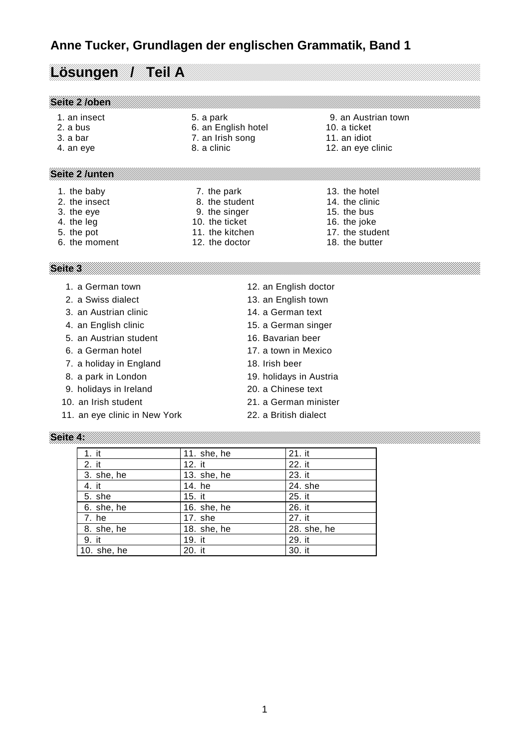# **Anne Tucker, Grundlagen der englischen Grammatik, Band 1**

# **Lösungen / Teil A**

## **Seite 2 /oben**

- 
- 
- 
- 

#### **Seite 2 /unten**

- 1. the baby **7.** the park 13. the hotel
- 2. the insect 2. the student 14. the clinic
- 3. the eye 3. the singer 15. the bus
- 
- 
- 6. the moment 12. the doctor 18. the butter
- 
- 2. a bus 6. an English hotel 10. a ticket 10. a ticket 3. a bar and interval 2. a hotel 2. a hotel 2. a hotel 2. a hotel 3. a hotel 3. a hotel 3. a hotel 3. a hotel 3. a hotel 3. a hotel 3. a hotel 3. a hotel 3. a hotel 3. 3. a bar 11. an Irish song
	-
- 1. an insect **5. a park** 9. an Austrian town
	-
	-
- 4. an eye 12. an eye clinic 12. an eye clinic

- 
- 
- 
- 
- 
- 
- 
- 
- 4. the leg 10. the ticket 16. the joke
- 5. the pot 11. the kitchen 17. the student
	-

- 
- 
- 3. an Austrian clinic 14. a German text
- 
- 5. an Austrian student 16. Bavarian beer
- 
- 7. a holiday in England 18. Irish beer
- 8. a park in London 19. holidays in Austria
- 9. holidays in Ireland 20. a Chinese text
- 
- 11. an eye clinic in New York 22. a British dialect
- 1. a German town 12. an English doctor
- 2. a Swiss dialect 13. an English town
	-
	-
	-
- 6. a German hotel 17. a town in Mexico
	-
	-
	-
- 10. an Irish student 21. a German minister
	-

| <b>Seite</b> |                                |  |  |  |  |  |  |  |  |  |  |  |  |  |  |  |  |  |  |  |  |  |  |  |  |  |  |  |  |  |  |  |  |  |  |  |  |  |  |  | ________ |  |
|--------------|--------------------------------|--|--|--|--|--|--|--|--|--|--|--|--|--|--|--|--|--|--|--|--|--|--|--|--|--|--|--|--|--|--|--|--|--|--|--|--|--|--|--|----------|--|
|              | and a structure of a structure |  |  |  |  |  |  |  |  |  |  |  |  |  |  |  |  |  |  |  |  |  |  |  |  |  |  |  |  |  |  |  |  |  |  |  |  |  |  |  |          |  |

| $1.$ it     | 11. she, he | 21. it      |
|-------------|-------------|-------------|
| 2. it       | 12. it      | 22. it      |
| 3. she, he  | 13. she, he | 23. it      |
| 4. it       | 14. he      | 24. she     |
| 5. she      | 15. it      | 25. it      |
| 6. she, he  | 16. she, he | 26. it      |
| 7. he       | 17. she     | 27. it      |
| 8. she, he  | 18. she, he | 28. she, he |
| 9. it       | 19. it      | 29. it      |
| 10. she, he | 20. it      | 30. it      |

- 4. an English clinic 15. a German singer
	-
- 
- 
- 
- 
-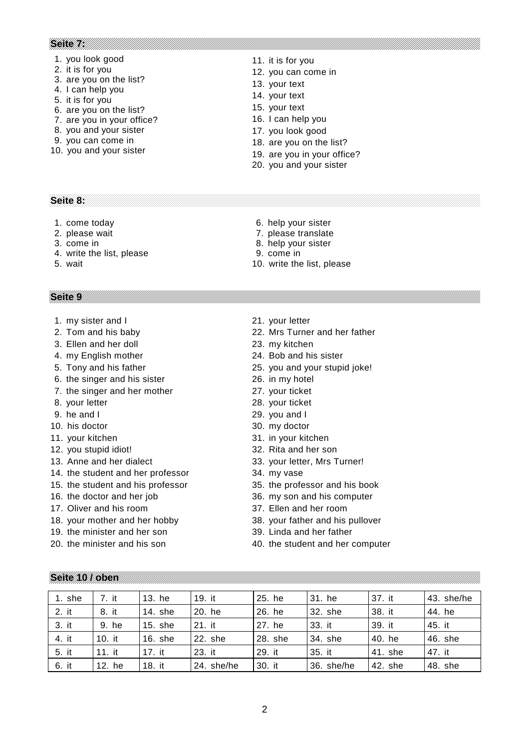## **Seite 7:**

- 1. you look good
- 2. it is for you 3. are you on the list?
- 4. I can help you
- 5. it is for you
- 6. are you on the list?
- 7. are you in your office?
- 8. you and your sister
- 9. you can come in
- 10. you and your sister
- 11. it is for you
- 12. you can come in
- 13. your text
- 14. your text
- 15. your text
- 16. I can help you
- 17. you look good
- 18. are you on the list?
- 19. are you in your office?
- 20. you and your sister

**Seite 8:**

- 1. come today 6. help your sister
- 2. please wait **7. please translate**
- 3. come in 8. help your sister
- 4. write the list, please 9. come in<br>
5. wait 10. write the
- 

#### **Seite 9**

- 1. my sister and I 21. your letter
- 
- 3. Ellen and her doll 23. my kitchen
- 
- 
- 6. the singer and his sister 26. in my hotel
- 7. the singer and her mother 27. your ticket
- 
- 
- 
- 
- 
- 
- 14. the student and her professor 34. my vase
- 
- 
- 
- 
- 19. the minister and her son 39. Linda and her father
- 
- 
- 2. Tom and his baby 22. Mrs Turner and her father
	-
- 4. my English mother 24. Bob and his sister

10. write the list, please

- 5. Tony and his father 25. you and your stupid joke!
	-
	-
- 8. your letter 28. your ticket
- 9. he and I 29. you and I
- 10. his doctor 30. my doctor
- 11. your kitchen 31. in your kitchen
- 12. you stupid idiot! 32. Rita and her son
- 13. Anne and her dialect 13. your letter, Mrs Turner!
	-
- 15. the student and his professor 35. the professor and his book
- 16. the doctor and her job 36. my son and his computer
- 17. Oliver and his room 37. Ellen and her room
- 18. your mother and her hobby 38. your father and his pullover
	-
- 20. the minister and his son 40. the student and her computer

| 1. she | 7. it  | 13. he    | 19. it     | 25. he  | 31. he     | 37. it  | 43. she/he |
|--------|--------|-----------|------------|---------|------------|---------|------------|
| 2. it  | 8. it  | 14. she   | 20. he     | 26. he  | 32. she    | 38. it  | 44. he     |
| 3. it  | 9. he  | 15. she   | 21. it     | 27. he  | 33. it     | 39. it  | 45. it     |
| 4. it  | 10. it | $16.$ she | 22. she    | 28. she | 34. she    | 40. he  | 46. she    |
| 5. it  | 11. it | 17. it    | 23. it     | 29. it  | 35. it     | 41. she | 47. it     |
| 6. it  | 12. he | 18. it    | 24. she/he | 30. it  | 36. she/he | 42. she | 48. she    |

#### **Seite 10 / oben**

2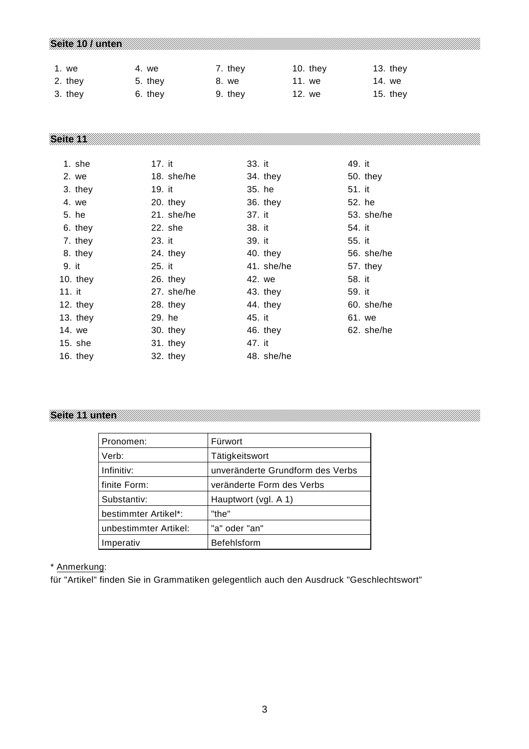| Seite 10 / unten |         |         |          |          |  |
|------------------|---------|---------|----------|----------|--|
| we               | 4. we   | 7. thev | 10. they | 13. they |  |
| 2. they          | 5. they | 8. we   | 11. we   | 14. we   |  |
| 3. they          | 6. they | 9. they | 12. we   | 15. they |  |

|        | 1. she   | 17. it     | 33. it     | 49. it     |
|--------|----------|------------|------------|------------|
|        | 2. we    | 18. she/he | 34. they   | $50.$ they |
|        | 3. they  | 19. it     | 35. he     | 51. it     |
|        | 4. we    | $20.$ they | 36. they   | 52. he     |
|        | 5. he    | 21. she/he | 37. it     | 53. she/he |
|        | 6. they  | 22. she    | 38. it     | 54. it     |
|        | 7. they  | 23. it     | 39. it     | 55. it     |
|        | 8. they  | 24. they   | 40. they   | 56. she/he |
| 9. it  |          | 25. it     | 41. she/he | 57. they   |
|        | 10. they | $26.$ they | 42. we     | 58. it     |
| 11. it |          | 27. she/he | 43. they   | 59. it     |
|        | 12. they | 28. they   | 44. they   | 60. she/he |
|        | 13. they | 29. he     | 45. it     | 61. we     |
|        | 14. we   | 30. they   | 46. they   | 62. she/he |
|        | 15. she  | 31. they   | 47. it     |            |
|        | 16. they | 32. they   | 48. she/he |            |

# **Seite 11 unten**

| Pronomen:             | Fürwort                          |
|-----------------------|----------------------------------|
| Verb:                 | Tätigkeitswort                   |
| Infinitiv:            | unveränderte Grundform des Verbs |
| finite Form:          | veränderte Form des Verbs        |
| Substantiv:           | Hauptwort (vgl. A 1)             |
| bestimmter Artikel*:  | "the"                            |
| unbestimmter Artikel: | "a" oder "an"                    |
| Imperativ             | <b>Befehlsform</b>               |

\* Anmerkung:

für "Artikel" finden Sie in Grammatiken gelegentlich auch den Ausdruck "Geschlechtswort"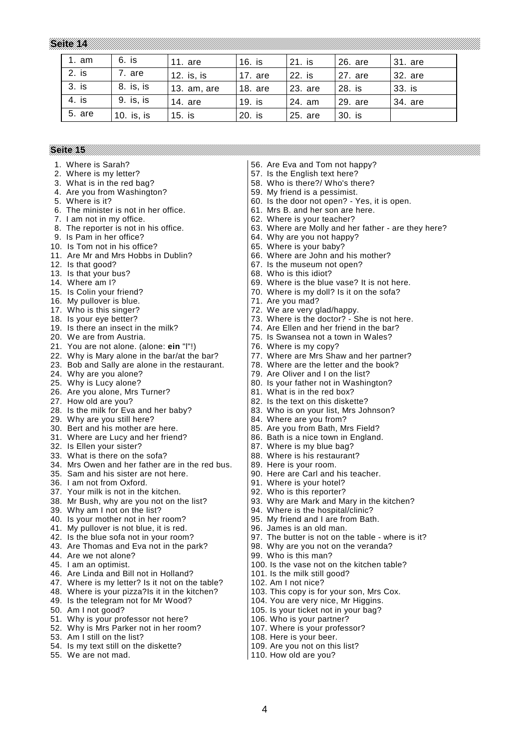| 1. am  | 6. is      | 11. are     | 16. is  | 21. is    | 26. are | 31. are |
|--------|------------|-------------|---------|-----------|---------|---------|
| 2. is  | 7. are     | 12. is, is  | 17. are | 22. is    | 27. are | 32. are |
| 3. is  | 8. is, is  | 13. am, are | 18. are | l 23. are | 28. is  | 33. is  |
| 4. is  | 9. is, is  | 14. are     | 19. is  | 24. am    | 29. are | 34. are |
| 5. are | 10. is, is | 15. is      | 20. is  | 25. are   | 30. is  |         |

**Seite 15**

- 
- 
- 
- 
- 
- 6. The minister is not in her office.  $\begin{array}{c} \n\boxed{61}$ . Mrs B. and her son are here.
- 
- 7. I am not in my office.<br>
8. The reporter is not in his office. 
<br>
63. Where are Molly and he
- 
- 
- 
- 
- 
- 
- 
- 16. My pullover is blue.  $\begin{array}{c|c} \n16. & \text{My pullover is blue.} \\
\hline\n17. & \text{Who is this singer?} \\
\end{array}$
- 
- 
- 
- 
- 21. You are not alone. (alone: **ein** "l"!) 76. Where is my copy?
- 22. Why is Mary alone in the bar/at the bar?  $\begin{array}{c} 77. \text{ Where are Mrs Shaw and her partner?} \\ 23. \text{ Bob and Sally are alone in the restaurant.} \end{array}$  78. Where are the letter and the book?
- 23. Bob and Sally are alone in the restaurant.
- 
- 
- 26. Are you alone, Mrs Turner? 81. What is in the red box?
- 
- 28. Is the milk for Eva and her baby?
- 29. Why are you still here?  $\begin{array}{c|c} 29. & \text{Where are you from?} \end{array}$
- 
- 31. Where are Lucy and her friend? 86. Bath is a nice town in England.
- 
- 
- 34. Mrs Owen and her father are in the red bus.  $\vert$  89. Here is your room.
- 35. Sam and his sister are not here. 90. Here are Carl and his teacher.
- 36. I am not from Oxford. **91.** 91. Where is your hotel?
- 37. Your milk is not in the kitchen. 92. Who is this reporter?
- 
- 
- 40. Is your mother not in her room?
- 41. My pullover is not blue, it is red. | 96. James is an old man.
- 
- 43. Are Thomas and Eva not in the park? | 98. Why are you not on the veranda?
- 44. Are we not alone?  $|99.$  Who is this man?
- 45. I am an optimist. 100. Is the vase not on the kitchen table?
- 46. Are Linda and Bill not in Holland? 101. Is the milk still good?
- 47. Where is my letter? Is it not on the table? | 102. Am I not nice?<br>48. Where is your pizza?Is it in the kitchen? | 103. This copy is for your son, Mrs Cox.
- 48. Where is your pizza?Is it in the kitchen?
- 49. Is the telegram not for Mr Wood? 104. You are very nice, Mr Higgins.
- 50. Am I not good? 105. Is your ticket not in your bag?
- 51. Why is your professor not here? | 106. Who is your partner?
- 52. Why is Mrs Parker not in her room? | 107. Where is your professor?<br>53. Am I still on the list? | 108. Here is your beer.
- 53. Am I still on the list?
- 54. Is my text still on the diskette? 109. Are you not on this list?
- 55. We are not mad. 110. How old are you?
- 1. Where is Sarah? 1. More is Sarah? 56. Are Eva and Tom not happy?
	-
- 2. Where is my letter?<br>
3. What is in the red bag?<br>
58. Who is there?/ Who's the 58. Who is there?/ Who's there?
- 4. Are you from Washington? 59. My friend is a pessimist.
- 5. Where is it? 60. Is the door not open? Yes, it is open.
	-
	-
	- 63. Where are Molly and her father are they here?
- 9. Is Pam in her office?  $\begin{array}{c} |64. \text{ Why are you not happy?} \end{array}$
- 10. Is Tom not in his office?  $\begin{array}{c|c} \hline \end{array}$  65. Where is your baby?
- 11. Are Mr and Mrs Hobbs in Dublin? 66. Where are John and his mother?
- 12. Is that good? **67.** Is the museum not open?
- 13. Is that your bus?  $\begin{array}{c|c}\n 68. & \text{Who is this idiot?}\n \end{array}$
- 14. Where am I? **69. Where is the blue vase?** It is not here.
- 15. Is Colin your friend? 70. Where is my doll? Is it on the sofa?
	-
	- 72. We are very glad/happy.
- 18. Is your eye better? The state of the latter is the doctor? She is not here.
- 19. Is there an insect in the milk? | 74. Are Ellen and her friend in the bar?
- 20. We are from Austria. 75. Is Swansea not a town in Wales?
	-
	-
	-
- 24. Why are you alone? 79. Are Oliver and I on the list?<br>25. Why is Lucy alone? 80. Is your father not in Washir
	- 80. Is your father not in Washington?
	-
	-
- 27. How old are you?<br>
28. Is the milk for Eva and her baby?<br>
28. Who is on your list, Mrs Johnson?
	-
- 30. Bert and his mother are here. | 85. Are you from Bath, Mrs Field?
	-
- 32. Is Ellen your sister? <br>33. What is there on the sofa? 88. Where is his restaurant
	- 88. Where is his restaurant?
	-
	-
	-
	-
- 38. Mr Bush, why are you not on the list? 93. Why are Mark and Mary in the kitchen?
- 39. Why am I not on the list?<br>
40. Is your mother not in her room?<br>
95. My friend and I are from Bath.
	-
	-

4

42. Is the blue sofa not in your room? 97. The butter is not on the table - where is it?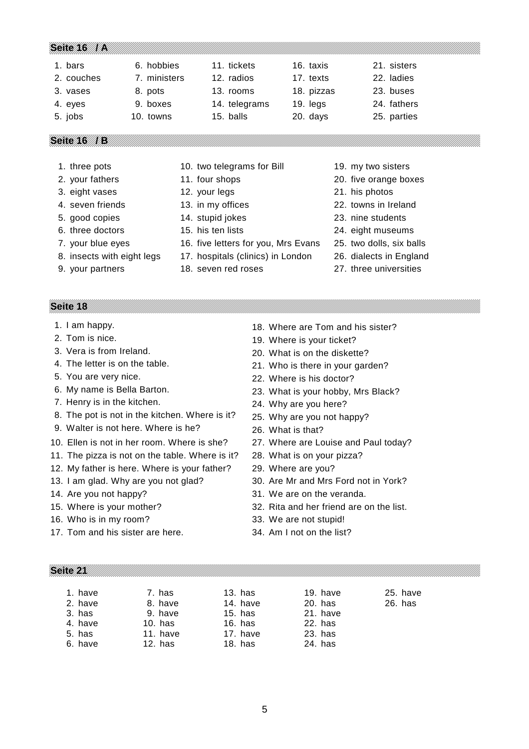#### **Seite 16 / A**

- 
- 
- 
- 
- 

2. couches 7. ministers 12. radios 17. texts 22. ladies 3. vases 3. pots 13. rooms 18. pizzas 23. buses

1. bars 6. hobbies 11. tickets 16. taxis 21. sisters

- 
- 
- 

**Seite 16 / B**

- 
- 
- 
- 
- 
- 
- -
- 
- 
- 
- 
- 
- 
- 
- 
- 7. your blue eyes 16. five letters for you, Mrs Evans 25. two dolls, six balls
- 8. insects with eight legs 17. hospitals (clinics) in London 26. dialects in England
	-
- 1. three pots 10. two telegrams for Bill 19. my two sisters
- 2. your fathers 11. four shops 20. five orange boxes
	-
	-
	-
	-
	-
	-
- 9. your partners 18. seven red roses 27. three universities
- **Seite 18**
- 
- 
- 
- 
- 
- 
- 7. Henry is in the kitchen. 24. Why are you here?
- 8. The pot is not in the kitchen. Where is it? 25. Why are you not happy?
- 9. Walter is not here. Where is he? 26. What is that?
- 10. Ellen is not in her room. Where is she? 27. Where are Louise and Paul today?
- 11. The pizza is not on the table. Where is it? 28. What is on your pizza?
- 12. My father is here. Where is your father? 29. Where are you?
- 
- 
- 
- 16. Who is in my room? 33. We are not stupid!
- 17. Tom and his sister are here. 34. Am I not on the list?
- 1. I am happy. The same state of the state of the 18. Where are Tom and his sister?
- 2. Tom is nice. The same control of the 19. Where is your ticket?
- 3. Vera is from Ireland. 20. What is on the diskette?
- 4. The letter is on the table. 21. Who is there in your garden?
- 5. You are very nice. 22. Where is his doctor?
- 6. My name is Bella Barton. 23. What is your hobby, Mrs Black?
	-
	-
	-
	-
	-
	-
- 13. I am glad. Why are you not glad? 30. Are Mr and Mrs Ford not in York?
- 14. Are you not happy? 14. Are you not happy?
- 15. Where is your mother? 32. Rita and her friend are on the list.
	-
	-

| 1. have | 7. has    | 13. has  | 19. have | 25. have |
|---------|-----------|----------|----------|----------|
| 2. have | 8. have   | 14. have | 20. has  | 26. has  |
| 3. has  | 9. have   | 15. has  | 21. have |          |
| 4. have | $10.$ has | 16. has  | 22. has  |          |
| 5. has  | 11. have  | 17. have | 23. has  |          |
| 6. have | 12. has   | 18. has  | 24. has  |          |

- 5. good copies 14. stupid jokes 23. nine students 6. three doctors 15. his ten lists 24. eight museums
	-
	- -
	-
	- -
- 
- 3. eight vases 12. your legs 21. his photos 4. seven friends 13. in my offices 22. towns in Ireland
- 4. eyes 9. boxes 14. telegrams 19. legs 24. fathers 5. jobs 10. towns 15. balls 20. days 25. parties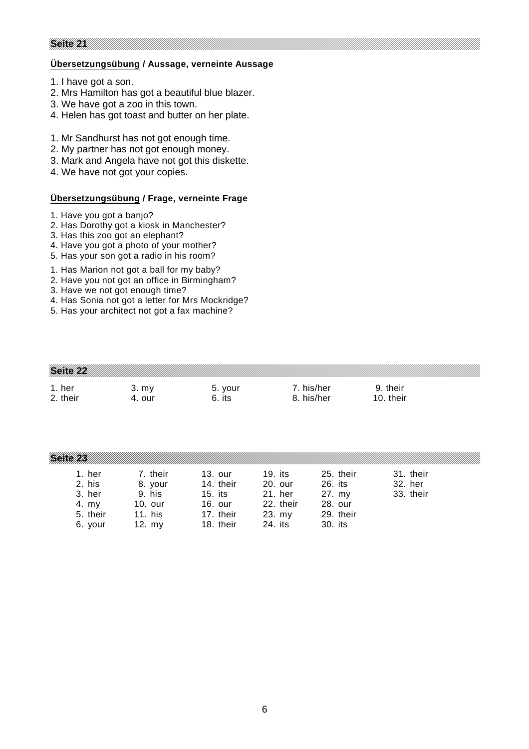# **Übersetzungsübung / Aussage, verneinte Aussage**

1. I have got a son.

**Seite 21**

- 2. Mrs Hamilton has got a beautiful blue blazer.
- 3. We have got a zoo in this town.
- 4. Helen has got toast and butter on her plate.
- 1. Mr Sandhurst has not got enough time.
- 2. My partner has not got enough money.
- 3. Mark and Angela have not got this diskette.
- 4. We have not got your copies.

#### **Übersetzungsübung / Frage, verneinte Frage**

- 1. Have you got a banjo?
- 2. Has Dorothy got a kiosk in Manchester?
- 3. Has this zoo got an elephant?
- 4. Have you got a photo of your mother?
- 5. Has your son got a radio in his room?
- 1. Has Marion not got a ball for my baby?
- 2. Have you not got an office in Birmingham?
- 3. Have we not got enough time?
- 4. Has Sonia not got a letter for Mrs Mockridge?
- 5. Has your architect not got a fax machine?

| 1. her<br>2. their |          | $3. \,$ my<br>4. our |          |         | 5. your<br>6. its |           |         | 7. his/her<br>8. his/her |           | 9. their<br>10. their |           |  |
|--------------------|----------|----------------------|----------|---------|-------------------|-----------|---------|--------------------------|-----------|-----------------------|-----------|--|
| Sette 28           |          |                      |          |         |                   |           |         |                          |           |                       |           |  |
|                    | 1. her   |                      | 7. their |         | 13. our           |           | 19. its |                          | 25. their |                       | 31. their |  |
|                    | 2. his   |                      | 8. your  |         | 14. their         | 20. our   |         |                          | 26. its   |                       | 32. her   |  |
|                    | 3. her   |                      | 9. his   | 15. its |                   | 21. her   |         |                          | 27. my    |                       | 33. their |  |
|                    | 4. $my$  |                      | 10. our  |         | 16. our           | 22. their |         |                          | 28. our   |                       |           |  |
|                    | 5. their |                      | 11. his  |         | 17. their         | $23.$ my  |         |                          | 29. their |                       |           |  |
|                    | 6. vour  |                      | 12. $my$ |         | 18. their         | 24. its   |         | 30. its                  |           |                       |           |  |

**Seite 22** International control of the control of the control of the control of the control of the control of the control of the control of the control of the control of the control of the control of the control of the co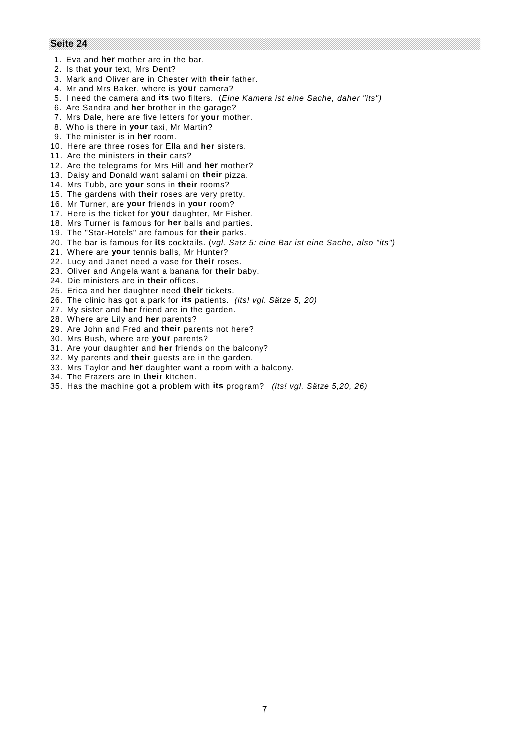- 1. Eva and **her** mother are in the bar.
- 2. Is that **your** text, Mrs Dent?
- 3. Mark and Oliver are in Chester with **their** father.
- 4. Mr and Mrs Baker, where is **your** camera?
- 5. I need the camera and **its** two filters. (*Eine Kamera ist eine Sache, daher "its")*
- 6. Are Sandra and **her** brother in the garage?
- 7. Mrs Dale, here are five letters for **your** mother.
- 8. Who is there in **your** taxi, Mr Martin?
- 9. The minister is in **her** room.
- 10. Here are three roses for Ella and **her** sisters.
- 11. Are the ministers in **their** cars?
- 12. Are the telegrams for Mrs Hill and **her** mother?
- 13. Daisy and Donald want salami on **their** pizza.
- 14. Mrs Tubb, are **your** sons in **their** rooms?
- 15. The gardens with **their** roses are very pretty.
- 16. Mr Turner, are **your** friends in **your** room?
- 17. Here is the ticket for **your** daughter, Mr Fisher.
- 18. Mrs Turner is famous for **her** balls and parties.
- 19. The "Star-Hotels" are famous for **their** parks.
- 20. The bar is famous for **its** cocktails. (*vgl. Satz 5: eine Bar ist eine Sache, also "its")*
- 21. Where are **your** tennis balls, Mr Hunter?
- 22. Lucy and Janet need a vase for **their** roses.
- 23. Oliver and Angela want a banana for **their** baby.
- 24. Die ministers are in **their** offices.
- 25. Erica and her daughter need **their** tickets.
- 26. The clinic has got a park for **its** patients. *(its! vgl. Sätze 5, 20)*
- 27. My sister and **her** friend are in the garden.
- 28. Where are Lily and **her** parents?
- 29. Are John and Fred and **their** parents not here?
- 30. Mrs Bush, where are **your** parents?
- 31. Are your daughter and **her** friends on the balcony?
- 32. My parents and **their** guests are in the garden.
- 33. Mrs Taylor and **her** daughter want a room with a balcony.
- 34. The Frazers are in **their** kitchen.
- 35. Has the machine got a problem with **its** program? *(its! vgl. Sätze 5,20, 26)*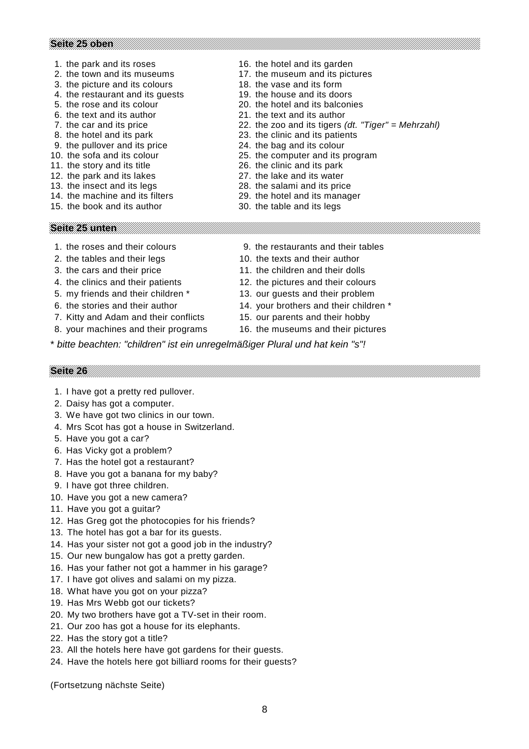#### **Seite 25 oben**

- 
- 
- 3. the picture and its colours 18. the vase and its form
- 
- 
- 
- 
- 
- 
- 
- 
- 
- 
- 
- 1. the park and its roses 16. the hotel and its garden
- 2. the town and its museums 17. the museum and its pictures
	-
- 4. the restaurant and its guests 19. the house and its doors
- 5. the rose and its colour 20. the hotel and its balconies
- 6. the text and its author 21. the text and its author
- 7. the car and its price 22. the zoo and its tigers *(dt. "Tiger" = Mehrzahl)*
- 8. the hotel and its park 23. the clinic and its patients
- 9. the pullover and its price 24. the bag and its colour
- 10. the sofa and its colour 25. the computer and its program
- 11. the story and its title 26. the clinic and its park
- 12. the park and its lakes 27. the lake and its water
- 13. the insect and its legs 28. the salami and its price
- 14. the machine and its filters 29. the hotel and its manager
- 15. the book and its author 30. the table and its legs
- **Seite 25 unten**
- 
- 2. the tables and their legs 10. the texts and their author
- 
- 4. the clinics and their patients 12. the pictures and their colours
- 5. my friends and their children \* 13. our guests and their problem
- 
- 7. Kitty and Adam and their conflicts 15. our parents and their hobby
- 8. your machines and their programs 16. the museums and their pictures
- 
- 
- 3. the cars and their price 11. the children and their dolls
	-
	-
- 6. the stories and their author 14. your brothers and their children \*
	-
	-

\* *bitte beachten: "children" ist ein unregelmäßiger Plural und hat kein "s"!*

**Seite 26**

- 1. I have got a pretty red pullover.
- 2. Daisy has got a computer.
- 3. We have got two clinics in our town.
- 4. Mrs Scot has got a house in Switzerland.
- 5. Have you got a car?
- 6. Has Vicky got a problem?
- 7. Has the hotel got a restaurant?
- 8. Have you got a banana for my baby?
- 9. I have got three children.
- 10. Have you got a new camera?
- 11. Have you got a guitar?
- 12. Has Greg got the photocopies for his friends?
- 13. The hotel has got a bar for its guests.
- 14. Has your sister not got a good job in the industry?
- 15. Our new bungalow has got a pretty garden.
- 16. Has your father not got a hammer in his garage?
- 17. I have got olives and salami on my pizza.
- 18. What have you got on your pizza?
- 19. Has Mrs Webb got our tickets?
- 20. My two brothers have got a TV-set in their room.
- 21. Our zoo has got a house for its elephants.
- 22. Has the story got a title?
- 23. All the hotels here have got gardens for their guests.
- 24. Have the hotels here got billiard rooms for their guests?

- 1. the roses and their colours 9. the restaurants and their tables
	- -
		-
		-
		-
		-
		-
		-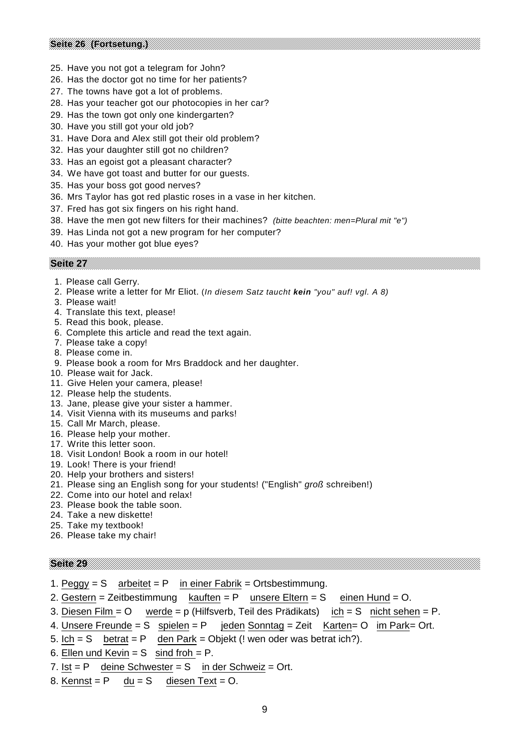#### **Seite 26 (Fortsetung.)**

- 25. Have you not got a telegram for John?
- 26. Has the doctor got no time for her patients?
- 27. The towns have got a lot of problems.
- 28. Has your teacher got our photocopies in her car?
- 29. Has the town got only one kindergarten?
- 30. Have you still got your old job?
- 31. Have Dora and Alex still got their old problem?
- 32. Has your daughter still got no children?
- 33. Has an egoist got a pleasant character?
- 34. We have got toast and butter for our guests.
- 35. Has your boss got good nerves?
- 36. Mrs Taylor has got red plastic roses in a vase in her kitchen.
- 37. Fred has got six fingers on his right hand.
- 38. Have the men got new filters for their machines? *(bitte beachten: men=Plural mit "e")*
- 39. Has Linda not got a new program for her computer?
- 40. Has your mother got blue eyes?

**Seite 27**

- 1. Please call Gerry.
- 2. Please write a letter for Mr Eliot. (*In diesem Satz taucht kein "you" auf! vgl. A 8)*
- 3. Please wait!
- 4. Translate this text, please!
- 5. Read this book, please.
- 6. Complete this article and read the text again.
- 7. Please take a copy!
- 8. Please come in.
- 9. Please book a room for Mrs Braddock and her daughter.
- 10. Please wait for Jack.
- 11. Give Helen your camera, please!
- 12. Please help the students.
- 13. Jane, please give your sister a hammer.
- 14. Visit Vienna with its museums and parks!
- 15. Call Mr March, please.
- 16. Please help your mother.
- 17. Write this letter soon.
- 18. Visit London! Book a room in our hotel!
- 19. Look! There is your friend!
- 20. Help your brothers and sisters! 21. Please sing an English song for your students! ("English" *groß* schreiben!)
- 22. Come into our hotel and relax!
- 23. Please book the table soon.
- 24. Take a new diskette!
- 25. Take my textbook!
- 26. Please take my chair!

## **Seite 29**

1. Peggy =  $S$  arbeitet =  $P$  in einer Fabrik = Ortsbestimmung.

- 2. Gestern = Zeitbestimmung kauften =  $P$  unsere Eltern =  $S$  einen Hund =  $O$ .
- 3. Diesen Film = O werde = p (Hilfsverb, Teil des Prädikats) ich = S nicht sehen = P.
- 4. Unsere Freunde = S spielen = P jeden Sonntag = Zeit Karten= O im Park= Ort.
- 5. Ich = S betrat = P den Park = Objekt (! wen oder was betrat ich?).
- 6. Ellen und Kevin =  $S$  sind froh =  $P$ .
- 7.  $\text{lst} = \text{P}$  deine Schwester = S in der Schweiz = Ort.
- 8. Kennst =  $P$  du =  $S$  diesen Text =  $O$ .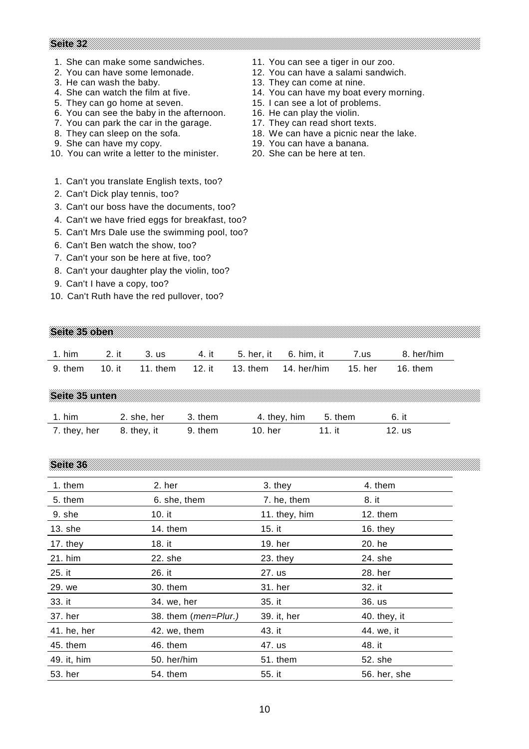- 1. She can make some sandwiches.
- 2. You can have some lemonade.
- 3. He can wash the baby.
- 4. She can watch the film at five.
- 5. They can go home at seven.
- 6. You can see the baby in the afternoon.
- 7. You can park the car in the garage.
- 8. They can sleep on the sofa.
- 9. She can have my copy.
- 10. You can write a letter to the minister.
- 1. Can't you translate English texts, too?
- 2. Can't Dick play tennis, too?
- 3. Can't our boss have the documents, too?
- 4. Can't we have fried eggs for breakfast, too?
- 5. Can't Mrs Dale use the swimming pool, too?
- 6. Can't Ben watch the show, too?
- 7. Can't your son be here at five, too?
- 8. Can't your daughter play the violin, too?
- 9. Can't I have a copy, too?
- 10. Can't Ruth have the red pullover, too?
- 11. You can see a tiger in our zoo.
- 12. You can have a salami sandwich.
- 13. They can come at nine.
- 14. You can have my boat every morning.
- 15. I can see a lot of problems.
- 16. He can play the violin.
- 17. They can read short texts.
- 18. We can have a picnic near the lake.
- 19. You can have a banana.
- 20. She can be here at ten.

**Seite 35 oben**

|  |  | 1. him 2. it 3. us 4. it 5. her, it 6. him, it 7. us 8. her/him |  |  |
|--|--|-----------------------------------------------------------------|--|--|
|  |  |                                                                 |  |  |

## **Seite 35 unten**

| 1. him                   | 2. she, her | 3. them | 4. they, him 5. them |        |        |  |
|--------------------------|-------------|---------|----------------------|--------|--------|--|
| 7. they, her 8. they, it |             | 9. them | 10. her              | 11. it | 12. us |  |

| 1. them     | 2. her               | 3. they       | 4. them      |
|-------------|----------------------|---------------|--------------|
| 5. them     | 6. she, them         | 7. he, them   | 8. it        |
| 9. she      | 10. it               | 11. they, him | 12. them     |
| $13.$ she   | 14. them             | 15. it        | 16. they     |
| 17. they    | 18. it               | 19. her       | 20. he       |
| 21. him     | 22. she              | $23.$ they    | 24. she      |
| 25. it      | 26. it               | 27. us        | 28. her      |
| 29. we      | 30. them             | 31. her       | 32. it       |
| 33. it      | 34. we, her          | 35. it        | 36. us       |
| 37. her     | 38. them (men=Plur.) | 39. it, her   | 40. they, it |
| 41. he, her | 42. we, them         | 43. it        | 44. we, it   |
| 45. them    | 46. them             | 47. us        | 48. it       |
| 49. it, him | 50. her/him          | 51. them      | 52. she      |
| 53. her     | 54. them             | 55. it        | 56. her, she |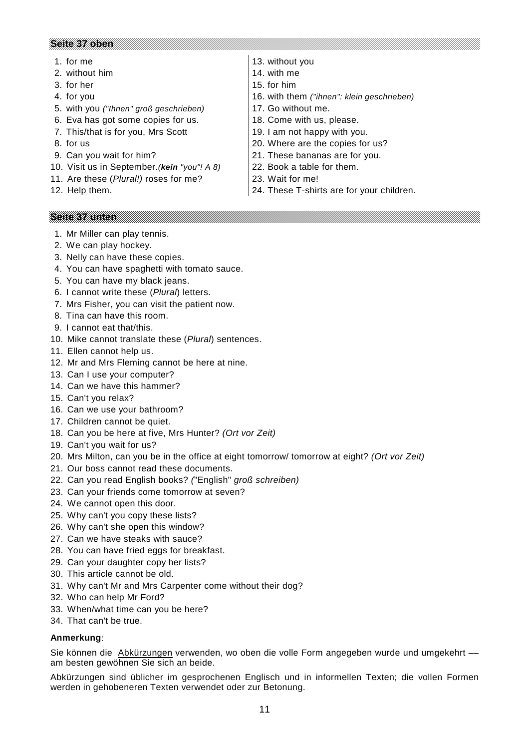#### **Seite 37 oben**

- 
- 2. without him 14. with me
- $3.$  for her  $15.$  for him
- 
- 5. with you *("Ihnen" groß geschrieben)* 17. Go without me.
- 6. Eva has got some copies for us. 18. Come with us, please.
- 7. This/that is for you, Mrs Scott  $19.1$  am not happy with you.
- 
- 
- 10. Visit us in September.*(kein "you"! A 8)* 22. Book a table for them.
- 11. Are these (*Plural!)* roses for me? 23. Wait for me!
- 
- 1. for me 1. and 13. without you
	-
	-
- 4. for you 16. with them *("ihnen": klein geschrieben)*
	-
	-
	-
- 8. for us 20. Where are the copies for us?
- 9. Can you wait for him? 21. These bananas are for you.
	- -
- 12. Help them. 24. These T-shirts are for your children.

**Seite 37 unten**

- 1. Mr Miller can play tennis.
- 2. We can play hockey.
- 3. Nelly can have these copies.
- 4. You can have spaghetti with tomato sauce.
- 5. You can have my black jeans.
- 6. I cannot write these (*Plural*) letters.
- 7. Mrs Fisher, you can visit the patient now.
- 8. Tina can have this room.
- 9. I cannot eat that/this.
- 10. Mike cannot translate these (*Plural*) sentences.
- 11. Ellen cannot help us.
- 12. Mr and Mrs Fleming cannot be here at nine.
- 13. Can I use your computer?
- 14. Can we have this hammer?
- 15. Can't you relax?
- 16. Can we use your bathroom?
- 17. Children cannot be quiet.
- 18. Can you be here at five, Mrs Hunter? *(Ort vor Zeit)*
- 19. Can't you wait for us?
- 20. Mrs Milton, can you be in the office at eight tomorrow/ tomorrow at eight? *(Ort vor Zeit)*
- 21. Our boss cannot read these documents.
- 22. Can you read English books? *(*"English" *groß schreiben)*
- 23. Can your friends come tomorrow at seven?
- 24. We cannot open this door.
- 25. Why can't you copy these lists?
- 26. Why can't she open this window?
- 27. Can we have steaks with sauce?
- 28. You can have fried eggs for breakfast.
- 29. Can your daughter copy her lists?
- 30. This article cannot be old.
- 31. Why can't Mr and Mrs Carpenter come without their dog?
- 32. Who can help Mr Ford?
- 33. When/what time can you be here?
- 34. That can't be true.

#### **Anmerkung**:

Sie können die Abkürzungen verwenden, wo oben die volle Form angegeben wurde und umgekehrt –– am besten gewöhnen Sie sich an beide.

Abkürzungen sind üblicher im gesprochenen Englisch und in informellen Texten; die vollen Formen werden in gehobeneren Texten verwendet oder zur Betonung.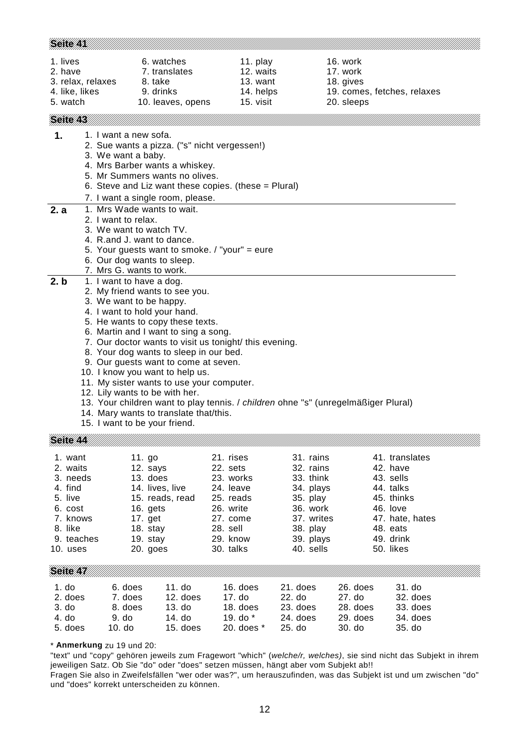| Seite 41                                                                                                                                                                                                                                                                                                                                                                                                                                                                                                                                                                                                                                 |                                                                                                                                                                                                                |                                                                                                               |                                                                                                                 |                                                                                                    |                                                      |  |
|------------------------------------------------------------------------------------------------------------------------------------------------------------------------------------------------------------------------------------------------------------------------------------------------------------------------------------------------------------------------------------------------------------------------------------------------------------------------------------------------------------------------------------------------------------------------------------------------------------------------------------------|----------------------------------------------------------------------------------------------------------------------------------------------------------------------------------------------------------------|---------------------------------------------------------------------------------------------------------------|-----------------------------------------------------------------------------------------------------------------|----------------------------------------------------------------------------------------------------|------------------------------------------------------|--|
| 1. lives<br>2. have<br>3. relax, relaxes<br>4. like, likes<br>5. watch                                                                                                                                                                                                                                                                                                                                                                                                                                                                                                                                                                   | 6. watches<br>7. translates<br>8. take<br>9. drinks<br>10. leaves, opens                                                                                                                                       | 11. play<br>12. waits<br>13. want<br>14. helps<br>15. visit                                                   |                                                                                                                 | 16. work<br>17. work<br>18. gives<br>19. comes, fetches, relaxes<br>20. sleeps                     |                                                      |  |
| Seite 43                                                                                                                                                                                                                                                                                                                                                                                                                                                                                                                                                                                                                                 |                                                                                                                                                                                                                |                                                                                                               |                                                                                                                 |                                                                                                    |                                                      |  |
| 1.<br>1. I want a new sofa.<br>3. We want a baby.                                                                                                                                                                                                                                                                                                                                                                                                                                                                                                                                                                                        | 2. Sue wants a pizza. ("s" nicht vergessen!)<br>4. Mrs Barber wants a whiskey.<br>5. Mr Summers wants no olives.<br>6. Steve and Liz want these copies. (these $=$ Plural)<br>7. I want a single room, please. |                                                                                                               |                                                                                                                 |                                                                                                    |                                                      |  |
| 2. a<br>2. I want to relax.<br>3. We want to watch TV.                                                                                                                                                                                                                                                                                                                                                                                                                                                                                                                                                                                   | 1. Mrs Wade wants to wait.                                                                                                                                                                                     |                                                                                                               |                                                                                                                 |                                                                                                    |                                                      |  |
| 7. Mrs G. wants to work.                                                                                                                                                                                                                                                                                                                                                                                                                                                                                                                                                                                                                 | 4. R.and J. want to dance.<br>5. Your guests want to smoke. $\prime$ "your" = eure<br>6. Our dog wants to sleep.                                                                                               |                                                                                                               |                                                                                                                 |                                                                                                    |                                                      |  |
| 1. I want to have a dog.<br>2. b<br>2. My friend wants to see you.<br>3. We want to be happy.<br>4. I want to hold your hand.<br>5. He wants to copy these texts.<br>6. Martin and I want to sing a song.<br>7. Our doctor wants to visit us tonight/ this evening.<br>8. Your dog wants to sleep in our bed.<br>9. Our guests want to come at seven.<br>10. I know you want to help us.<br>11. My sister wants to use your computer.<br>12. Lily wants to be with her.<br>13. Your children want to play tennis. / children ohne "s" (unregelmäßiger Plural)<br>14. Mary wants to translate that/this.<br>15. I want to be your friend. |                                                                                                                                                                                                                |                                                                                                               |                                                                                                                 |                                                                                                    |                                                      |  |
| Seite 44<br>1. want                                                                                                                                                                                                                                                                                                                                                                                                                                                                                                                                                                                                                      | 11. go                                                                                                                                                                                                         | 21. rises                                                                                                     | 31. rains                                                                                                       |                                                                                                    | 41. translates                                       |  |
| 2. waits<br>3. needs<br>4. find<br>5. live<br>6. cost<br>7. knows<br>8. like<br>9. teaches<br>10. uses                                                                                                                                                                                                                                                                                                                                                                                                                                                                                                                                   | 12. says<br>13. does<br>14. lives, live<br>15. reads, read<br>16. gets<br>17. get<br>18. stay<br>19. stay<br>20. goes                                                                                          | 22. sets<br>23. works<br>24. leave<br>25. reads<br>26. write<br>27. come<br>28. sell<br>29. know<br>30. talks | 32. rains<br>33. think<br>34. plays<br>35. play<br>36. work<br>37. writes<br>38. play<br>39. plays<br>40. sells | 42. have<br>43. sells<br>44. talks<br>45. thinks<br>46. love<br>48. eats<br>49. drink<br>50. likes | 47. hate, hates                                      |  |
| Seite 47                                                                                                                                                                                                                                                                                                                                                                                                                                                                                                                                                                                                                                 |                                                                                                                                                                                                                |                                                                                                               |                                                                                                                 |                                                                                                    |                                                      |  |
| 1.00<br>6. does<br>2. does<br>7. does<br>3. d <sub>o</sub><br>8. does<br>4. do<br>9. do<br>5. does<br>10. do                                                                                                                                                                                                                                                                                                                                                                                                                                                                                                                             | 11. do<br>12. does<br>$13.$ do<br>14. do<br>15. does                                                                                                                                                           | 16. does<br>17. do<br>18. does<br>19. do *<br>20. does *                                                      | 21. does<br>22. do<br>23. does<br>24. does<br>25. do                                                            | 26. does<br>27. do<br>28. does<br>29. does<br>30. do                                               | 31. do<br>32. does<br>33. does<br>34. does<br>35. do |  |
|                                                                                                                                                                                                                                                                                                                                                                                                                                                                                                                                                                                                                                          | * Anmerkung zu 19 und 20:                                                                                                                                                                                      |                                                                                                               |                                                                                                                 |                                                                                                    |                                                      |  |

"text" und "copy" gehören jeweils zum Fragewort "which" (*welche/r, welches)*, sie sind nicht das Subjekt in ihrem jeweiligen Satz. Ob Sie "do" oder "does" setzen müssen, hängt aber vom Subjekt ab!!

Fragen Sie also in Zweifelsfällen "wer oder was?", um herauszufinden, was das Subjekt ist und um zwischen "do" und "does" korrekt unterscheiden zu können.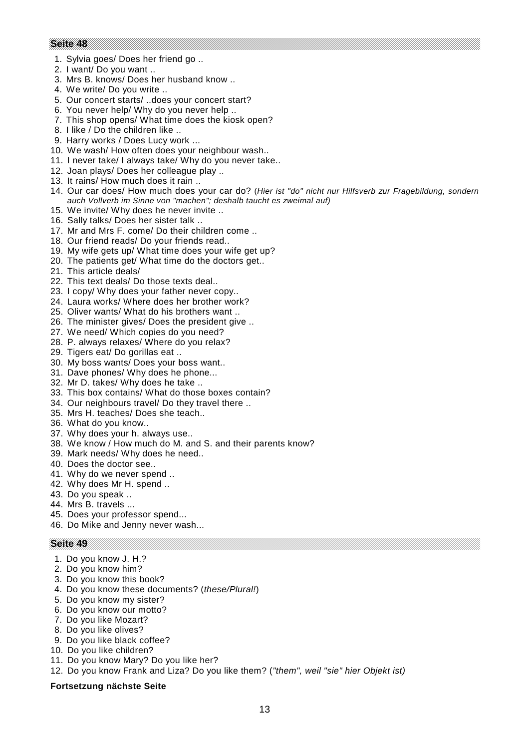- 1. Sylvia goes/ Does her friend go ..
- 2. I want/ Do you want ..
- 3. Mrs B. knows/ Does her husband know ..
- 4. We write/ Do you write ..
- 5. Our concert starts/ ..does your concert start?
- 6. You never help/ Why do you never help ..
- 7. This shop opens/ What time does the kiosk open?
- 8. I like / Do the children like ..
- 9. Harry works / Does Lucy work ...
- 10. We wash/ How often does your neighbour wash..
- 11. I never take/ I always take/ Why do you never take..
- 12. Joan plays/ Does her colleague play ..
- 13. It rains/ How much does it rain ..
- 14. Our car does/ How much does your car do? (*Hier ist "do" nicht nur Hilfsverb zur Fragebildung, sondern auch Vollverb im Sinne von "machen"; deshalb taucht es zweimal auf)*
- 15. We invite/ Why does he never invite ..
- 16. Sally talks/ Does her sister talk ..
- 17. Mr and Mrs F. come/ Do their children come ..
- 18. Our friend reads/ Do your friends read..
- 19. My wife gets up/ What time does your wife get up?
- 20. The patients get/ What time do the doctors get..
- 21. This article deals/
- 22. This text deals/ Do those texts deal..
- 23. I copy/ Why does your father never copy..
- 24. Laura works/ Where does her brother work?
- 25. Oliver wants/ What do his brothers want ..
- 26. The minister gives/ Does the president give ..
- 27. We need/ Which copies do you need?
- 28. P. always relaxes/ Where do you relax?
- 29. Tigers eat/ Do gorillas eat ..
- 30. My boss wants/ Does your boss want..
- 31. Dave phones/ Why does he phone...
- 32. Mr D. takes/ Why does he take ..
- 33. This box contains/ What do those boxes contain?
- 34. Our neighbours travel/ Do they travel there ..
- 35. Mrs H. teaches/ Does she teach..
- 36. What do you know..
- 37. Why does your h. always use..
- 38. We know / How much do M. and S. and their parents know?
- 39. Mark needs/ Why does he need..
- 40. Does the doctor see..
- 41. Why do we never spend ..
- 42. Why does Mr H. spend ..
- 43. Do you speak ..
- 44. Mrs B. travels ...
- 45. Does your professor spend...
- 46. Do Mike and Jenny never wash...

#### **Seite 49**

- 1. Do you know J. H.?
- 2. Do you know him?
- 3. Do you know this book?
- 4. Do you know these documents? (*these/Plural!*)
- 5. Do you know my sister?
- 6. Do you know our motto?
- 7. Do you like Mozart?
- 8. Do you like olives?
- 9. Do you like black coffee?
- 10. Do you like children?
- 11. Do you know Mary? Do you like her?
- 12. Do you know Frank and Liza? Do you like them? (*"them", weil "sie" hier Objekt ist)*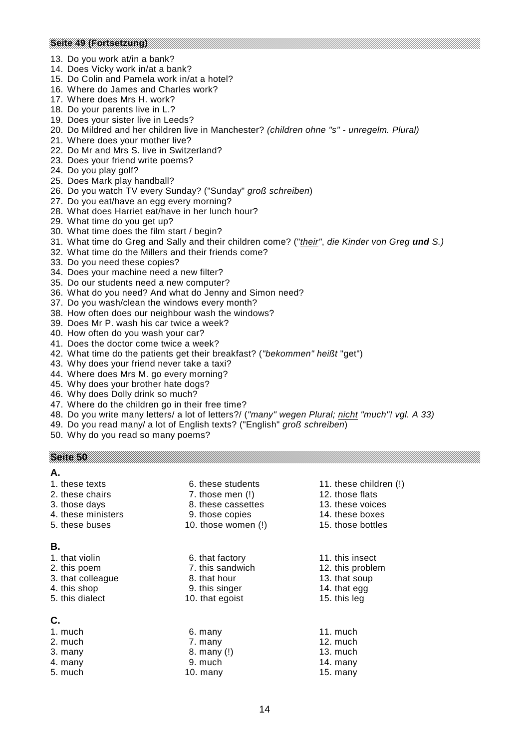#### **Seite 49 (Fortsetzung)**

- 13. Do you work at/in a bank?
- 14. Does Vicky work in/at a bank?
- 15. Do Colin and Pamela work in/at a hotel?
- 16. Where do James and Charles work?
- 17. Where does Mrs H. work?
- 18. Do your parents live in L.?
- 19. Does your sister live in Leeds?
- 20. Do Mildred and her children live in Manchester? *(children ohne "s" unregelm. Plural)*
- 21. Where does your mother live?
- 22. Do Mr and Mrs S. live in Switzerland?
- 23. Does your friend write poems?
- 24. Do you play golf?
- 25. Does Mark play handball?
- 26. Do you watch TV every Sunday? ("Sunday" *groß schreiben*)
- 27. Do you eat/have an egg every morning?
- 28. What does Harriet eat/have in her lunch hour?
- 29. What time do you get up?
- 30. What time does the film start / begin?
- 31. What time do Greg and Sally and their children come? ("*their"*, *die Kinder von Greg und S.)*
- 32. What time do the Millers and their friends come?
- 33. Do you need these copies?
- 34. Does your machine need a new filter?
- 35. Do our students need a new computer?
- 36. What do you need? And what do Jenny and Simon need?
- 37. Do you wash/clean the windows every month?
- 38. How often does our neighbour wash the windows?
- 39. Does Mr P. wash his car twice a week?
- 40. How often do you wash your car?
- 41. Does the doctor come twice a week?
- 42. What time do the patients get their breakfast? (*"bekommen" heißt* "get")
- 43. Why does your friend never take a taxi?
- 44. Where does Mrs M. go every morning?
- 45. Why does your brother hate dogs?
- 46. Why does Dolly drink so much?
- 47. Where do the children go in their free time?
- 48. Do you write many letters/ a lot of letters?/ (*"many" wegen Plural; nicht "much"! vgl. A 33)*
- 49. Do you read many/ a lot of English texts? ("English" *groß schreiben*)
- 50. Why do you read so many poems?

**Seite 50**

**A.** 1. these texts 6. these students 11. these children (!) 2. these chairs 7. those men (!) 12. those flats 3. those days 8. these cassettes 13. these voices 4. these ministers 9. those copies 14. these boxes 5. these buses 10. those women (!) 15. those bottles **B.** 1. that violin **6.** that factory **11.** this insect 2. this poem 7. this sandwich 12. this problem 3. that colleague 8. that hour 13. that soup 4. this shop 14. that egg 5. this singer 14. that egg 5. this dialect 15. this lequipment 15. this lequipment 10. that egoist 15. this leg **C.** 1. much 6. many 6. many 11. much 2. much and 12. much a contract a contract of  $\sim$  7. many 12. much 12. much 3. many 13. much 8. many (!) 13. much 4. many 14. many 14. many 5. much 10. many 15. many

- -
- 
- 
- 
- 
- 
- 
-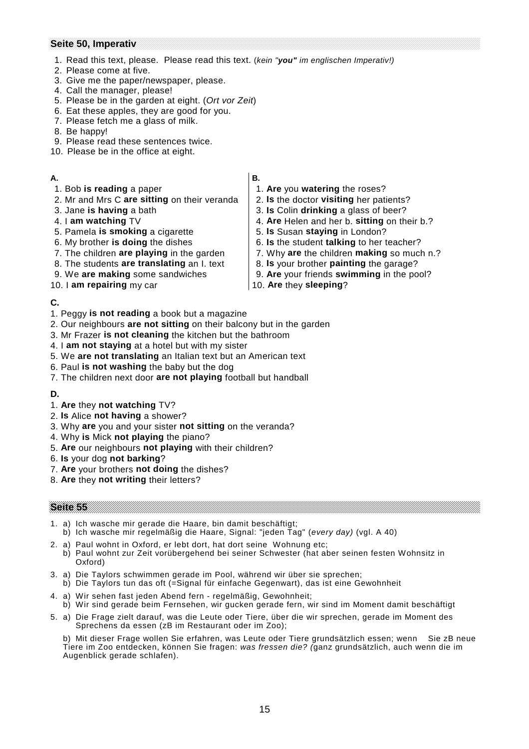#### **Seite 50, Imperativ**

- 1. Read this text, please. Please read this text. (*kein "you" im englischen Imperativ!)*
- 2. Please come at five.
- 3. Give me the paper/newspaper, please.
- 4. Call the manager, please!
- 5. Please be in the garden at eight. (*Ort vor Zeit*)
- 6. Eat these apples, they are good for you.
- 7. Please fetch me a glass of milk.
- 8. Be happy!
- 9. Please read these sentences twice.
- 10. Please be in the office at eight.

#### **A. B.**

- 
- 2. Mr and Mrs C **are sitting** on their veranda 2. **Is** the doctor **visiting** her patients?
- 
- 
- 5. Pamela **is smoking** a cigarette 5. **Is** Susan **staying** in London?
- 
- 
- 
- 
- 10. I **am repairing** my car  $\vert$  10. Are they **sleeping**?

- 1. Bob **is reading** a paper  $\vert$  1. Are you watering the roses?
	-
- 3. Jane **is having** a bath 3. **Is** Colin **drinking** a glass of beer?
- 4. I **am watching** TV 4. **Are** Helen and her b. **sitting** on their b.?
	-
- 6. My brother **is doing** the dishes **6. Is the student <b>talking** to her teacher?
- 7. The children **are playing** in the garden  $\vert$  7. Why **are** the children **making** so much n.?
- 8. The students **are translating** an I. text | 8. **Is** your brother **painting** the garage?
- 9. We **are making** some sandwiches 9. **Are** your friends **swimming** in the pool?
	-

## **C.**

- 1. Peggy **is not reading** a book but a magazine
- 2. Our neighbours **are not sitting** on their balcony but in the garden
- 3. Mr Frazer **is not cleaning** the kitchen but the bathroom
- 4. I **am not staying** at a hotel but with my sister
- 5. We **are not translating** an Italian text but an American text
- 6. Paul **is not washing** the baby but the dog
- 7. The children next door **are not playing** football but handball

#### **D.**

- 1. **Are** they **not watching** TV?
- 2. **Is** Alice **not having** a shower?
- 3. Why **are** you and your sister **not sitting** on the veranda?
- 4. Why **is** Mick **not playing** the piano?
- 5. **Are** our neighbours **not playing** with their children?
- 6. **Is** your dog **not barking**?
- 7. **Are** your brothers **not doing** the dishes?
- 8. **Are** they **not writing** their letters?

## **Seite 55**

- 1. a) Ich wasche mir gerade die Haare, bin damit beschäftigt;
- b) Ich wasche mir regelmäßig die Haare, Signal: "jeden Tag" (*every day)* (vgl. A 40)
- 2. a) Paul wohnt in Oxford, er lebt dort, hat dort seine Wohnung etc;
- b) Paul wohnt zur Zeit vorübergehend bei seiner Schwester (hat aber seinen festen Wohnsitz in Oxford)
- 3. a) Die Taylors schwimmen gerade im Pool, während wir über sie sprechen;
- b) Die Taylors tun das oft (=Signal für einfache Gegenwart), das ist eine Gewohnheit
- 4. a) Wir sehen fast jeden Abend fern regelmäßig, Gewohnheit; b) Wir sind gerade beim Fernsehen, wir gucken gerade fern, wir sind im Moment damit beschäftigt
- 5. a) Die Frage zielt darauf, was die Leute oder Tiere, über die wir sprechen, gerade im Moment des Sprechens da essen (zB im Restaurant oder im Zoo);

b) Mit dieser Frage wollen Sie erfahren, was Leute oder Tiere grundsätzlich essen; wenn Sie zB neue Tiere im Zoo entdecken, können Sie fragen: *was fressen die? (*ganz grundsätzlich, auch wenn die im Augenblick gerade schlafen).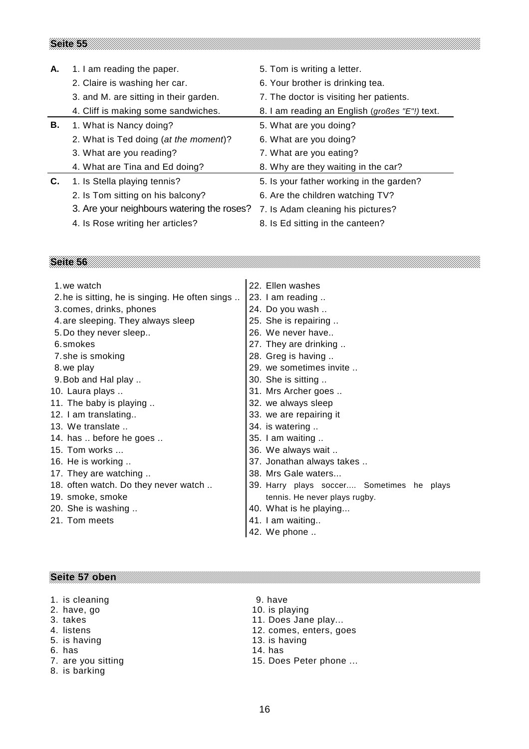- **A.** 1. I am reading the paper. 5. Tom is writing a letter.
	-
	-
	-
- **B.** 1. What is Nancy doing? 6. What are you doing?
	- 2. What is Ted doing (*at the moment*)? 6. What are you doing?
	- 3. What are you reading? T. What are you eating?
		-
	- - 2. Is Tom sitting on his balcony? 6. Are the children watching TV?
		- 3. Are your neighbours watering the roses? 7. Is Adam cleaning his pictures?
		- 4. Is Rose writing her articles? 8. Is Ed sitting in the canteen?
- 
- 2. Claire is washing her car. 6. Your brother is drinking tea.
- 3. and M. are sitting in their garden. 7. The doctor is visiting her patients.
- 4. Cliff is making some sandwiches. 8. I am reading an English (*großes "E"!)* text.
	-
	-
	-
- 4. What are Tina and Ed doing? 8. Why are they waiting in the car?
- **C.** 1. Is Stella playing tennis? 5. Is your father working in the garden?
	-
	-
	-

- 1.we watch
- 2.he is sitting, he is singing. He often sings ..
- 3.comes, drinks, phones
- 4.are sleeping. They always sleep
- 5.Do they never sleep..
- 6.smokes
- 7.she is smoking
- 8.we play
- 9.Bob and Hal play ..
- 10. Laura plays ..
- 11. The baby is playing ..
- 12. I am translating..
- 13. We translate ..
- 14. has .. before he goes ..
- 15. Tom works ...
- 16. He is working ..
- 17. They are watching ..
- 18. often watch. Do they never watch ..
- 19. smoke, smoke
- 20. She is washing ..
- 21. Tom meets
- 22. Ellen washes
- 23. I am reading ..
- 24. Do you wash ..
- 25. She is repairing ..
- 26. We never have..
- 27. They are drinking ..
- 28. Greg is having ..
- 29. we sometimes invite ..
- 30. She is sitting ..
- 31. Mrs Archer goes ..
- 32. we always sleep
- 33. we are repairing it
- 34. is watering ..
- 35. I am waiting ..
- 36. We always wait ..
- 37. Jonathan always takes ..
- 38. Mrs Gale waters...
- 39. Harry plays soccer.... Sometimes he plays tennis. He never plays rugby.
- 40. What is he playing...
- 41. I am waiting..
- 42. We phone ..

**Seite 57 oben**

- 1. is cleaning 3. have
- 2. have, go 2. have, go 2. have, go 2. have, go 2. have, go 2. have,  $\frac{10}{2}$  and  $\frac{10}{2}$  and  $\frac{10}{2}$  and  $\frac{10}{2}$  and  $\frac{10}{2}$  and  $\frac{10}{2}$  and  $\frac{10}{2}$  and  $\frac{10}{2}$  and  $\frac{10}{2}$  and  $\frac{10}{2}$  and  $\frac$
- 
- 
- 
- 
- 
- 8. is barking
- 
- 
- 3. takes 11. Does Jane play...
- 4. listens 12. comes, enters, goes
- 5. is having 13. is having
- 6. has 14. has
- 7. are you sitting The Contract Contract Assembly 15. Does Peter phone ...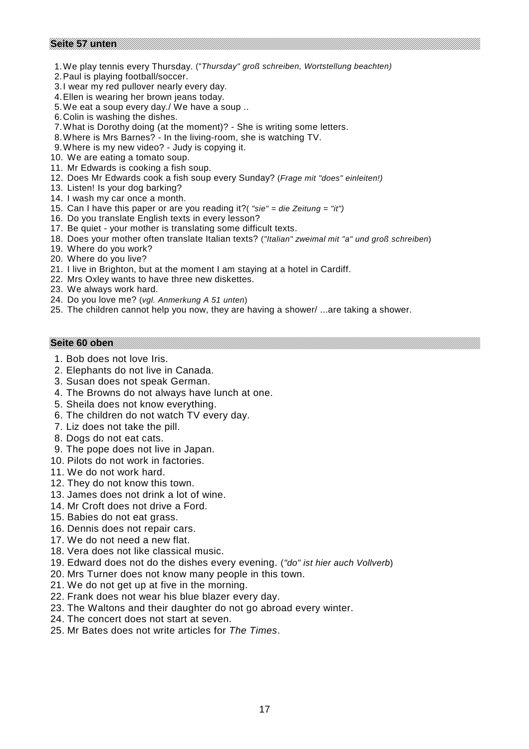#### **Seite 57 unten**

- 1.We play tennis every Thursday. ("*Thursday" groß schreiben, Wortstellung beachten)*
- 2.Paul is playing football/soccer.
- 3.I wear my red pullover nearly every day.
- 4.Ellen is wearing her brown jeans today.
- 5.We eat a soup every day./ We have a soup ..
- 6.Colin is washing the dishes.
- 7.What is Dorothy doing (at the moment)? She is writing some letters.
- 8.Where is Mrs Barnes? In the living-room, she is watching TV.
- 9.Where is my new video? Judy is copying it.
- 10. We are eating a tomato soup.
- 11. Mr Edwards is cooking a fish soup.
- 12. Does Mr Edwards cook a fish soup every Sunday? (*Frage mit "does" einleiten!)*
- 13. Listen! Is your dog barking?
- 14. I wash my car once a month.
- 15. Can I have this paper or are you reading it?( *"sie" = die Zeitung = "it")*
- 16. Do you translate English texts in every lesson?
- 17. Be quiet your mother is translating some difficult texts.
- 18. Does your mother often translate Italian texts? (*"Italian" zweimal mit "a" und groß schreiben*)
- 19. Where do you work?
- 20. Where do you live?
- 21. I live in Brighton, but at the moment I am staying at a hotel in Cardiff.
- 22. Mrs Oxley wants to have three new diskettes.
- 23. We always work hard.
- 24. Do you love me? (*vgl. Anmerkung A 51 unten*)
- 25. The children cannot help you now, they are having a shower/ ...are taking a shower.

**Seite 60 oben**

- 1. Bob does not love Iris.
- 2. Elephants do not live in Canada.
- 3. Susan does not speak German.
- 4. The Browns do not always have lunch at one.
- 5. Sheila does not know everything.
- 6. The children do not watch TV every day.
- 7. Liz does not take the pill.
- 8. Dogs do not eat cats.
- 9. The pope does not live in Japan.
- 10. Pilots do not work in factories.
- 11. We do not work hard.
- 12. They do not know this town.
- 13. James does not drink a lot of wine.
- 14. Mr Croft does not drive a Ford.
- 15. Babies do not eat grass.
- 16. Dennis does not repair cars.
- 17. We do not need a new flat.
- 18. Vera does not like classical music.
- 19. Edward does not do the dishes every evening. (*"do" ist hier auch Vollverb*)
- 20. Mrs Turner does not know many people in this town.
- 21. We do not get up at five in the morning.
- 22. Frank does not wear his blue blazer every day.
- 23. The Waltons and their daughter do not go abroad every winter.
- 24. The concert does not start at seven.
- 25. Mr Bates does not write articles for *The Times*.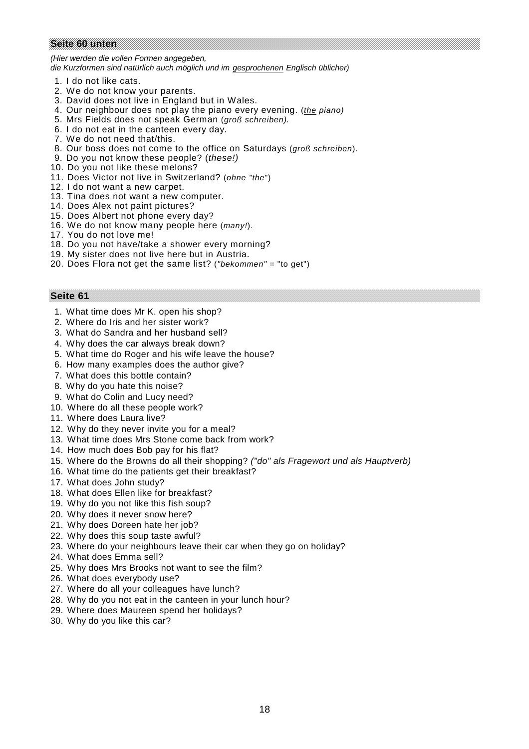# *(Hier werden die vollen Formen angegeben,*

*die Kurzformen sind natürlich auch möglich und im gesprochenen Englisch üblicher)*

1. I do not like cats.

**Seite 60 unten**

- 2. We do not know your parents.
- 3. David does not live in England but in Wales.
- 4. Our neighbour does not play the piano every evening. (*the piano)*
- 5. Mrs Fields does not speak German (*groß schreiben).*
- 6. I do not eat in the canteen every day.
- 7. We do not need that/this.
- 8. Our boss does not come to the office on Saturdays (*groß schreiben*).
- 9. Do you not know these people? (*these!)*
- 10. Do you not like these melons?
- 11. Does Victor not live in Switzerland? (*ohne "the*")
- 12. I do not want a new carpet.
- 13. Tina does not want a new computer.
- 14. Does Alex not paint pictures?
- 15. Does Albert not phone every day?
- 16. We do not know many people here (*many!*).
- 17. You do not love me!
- 18. Do you not have/take a shower every morning?
- 19. My sister does not live here but in Austria.
- 20. Does Flora not get the same list? (*"bekommen" =* "to get")

- 1. What time does Mr K. open his shop?
- 2. Where do Iris and her sister work?
- 3. What do Sandra and her husband sell?
- 4. Why does the car always break down?
- 5. What time do Roger and his wife leave the house?
- 6. How many examples does the author give?
- 7. What does this bottle contain?
- 8. Why do you hate this noise?
- 9. What do Colin and Lucy need?
- 10. Where do all these people work?
- 11. Where does Laura live?
- 12. Why do they never invite you for a meal?
- 13. What time does Mrs Stone come back from work?
- 14. How much does Bob pay for his flat?
- 15. Where do the Browns do all their shopping? *("do" als Fragewort und als Hauptverb)*
- 16. What time do the patients get their breakfast?
- 17. What does John study?
- 18. What does Ellen like for breakfast?
- 19. Why do you not like this fish soup?
- 20. Why does it never snow here?
- 21. Why does Doreen hate her job?
- 22. Why does this soup taste awful?
- 23. Where do your neighbours leave their car when they go on holiday?
- 24. What does Emma sell?
- 25. Why does Mrs Brooks not want to see the film?
- 26. What does everybody use?
- 27. Where do all your colleagues have lunch?
- 28. Why do you not eat in the canteen in your lunch hour?
- 29. Where does Maureen spend her holidays?
- 30. Why do you like this car?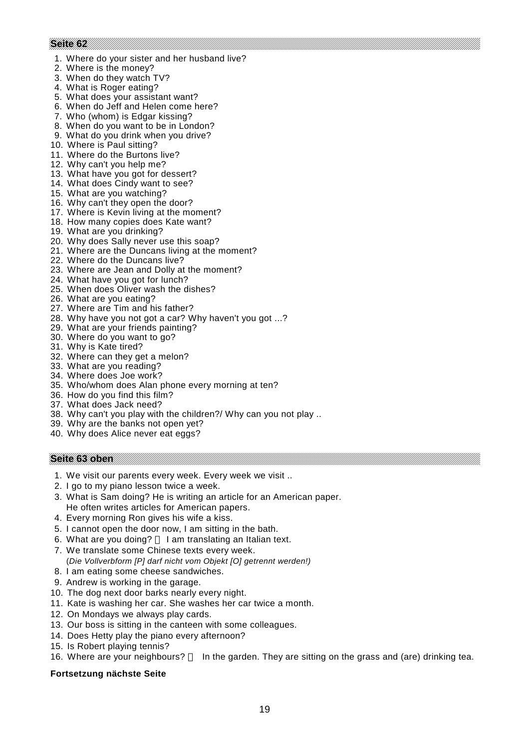# 1. Where do your sister and her husband live?

2. Where is the money?

**Seite 62**

- 3. When do they watch TV?
- 4. What is Roger eating?
- 5. What does your assistant want?
- 6. When do Jeff and Helen come here?
- 7. Who (whom) is Edgar kissing?
- 8. When do you want to be in London?
- 9. What do you drink when you drive?
- 10. Where is Paul sitting?
- 11. Where do the Burtons live?
- 12. Why can't you help me?
- 13. What have you got for dessert?
- 14. What does Cindy want to see?
- 15. What are you watching?
- 16. Why can't they open the door?
- 17. Where is Kevin living at the moment?
- 18. How many copies does Kate want?
- 19. What are you drinking?
- 20. Why does Sally never use this soap?
- 21. Where are the Duncans living at the moment?
- 22. Where do the Duncans live?
- 23. Where are Jean and Dolly at the moment?
- 24. What have you got for lunch?
- 25. When does Oliver wash the dishes?
- 26. What are you eating?
- 27. Where are Tim and his father?
- 28. Why have you not got a car? Why haven't you got ...?
- 29. What are your friends painting?
- 30. Where do you want to go?
- 31. Why is Kate tired?
- 32. Where can they get a melon?
- 33. What are you reading?
- 34. Where does Joe work?
- 35. Who/whom does Alan phone every morning at ten?
- 36. How do you find this film?
- 37. What does Jack need?
- 38. Why can't you play with the children?/ Why can you not play ..
- 39. Why are the banks not open yet?
- 40. Why does Alice never eat eggs?

**Seite 63 oben**

- 1. We visit our parents every week. Every week we visit ..
- 2. I go to my piano lesson twice a week.
- 3. What is Sam doing? He is writing an article for an American paper. He often writes articles for American papers.
- 4. Every morning Ron gives his wife a kiss.
- 5. I cannot open the door now, I am sitting in the bath.
- 6. What are you doing?  $-1$  am translating an Italian text.
- 7. We translate some Chinese texts every week. (*Die Vollverbform [P] darf nicht vom Objekt [O] getrennt werden!)*
- 8. I am eating some cheese sandwiches.
- 9. Andrew is working in the garage.
- 10. The dog next door barks nearly every night.
- 11. Kate is washing her car. She washes her car twice a month.
- 12. On Mondays we always play cards.
- 13. Our boss is sitting in the canteen with some colleagues.
- 14. Does Hetty play the piano every afternoon?
- 15. Is Robert playing tennis?
- 16. Where are your neighbours? In the garden. They are sitting on the grass and (are) drinking tea.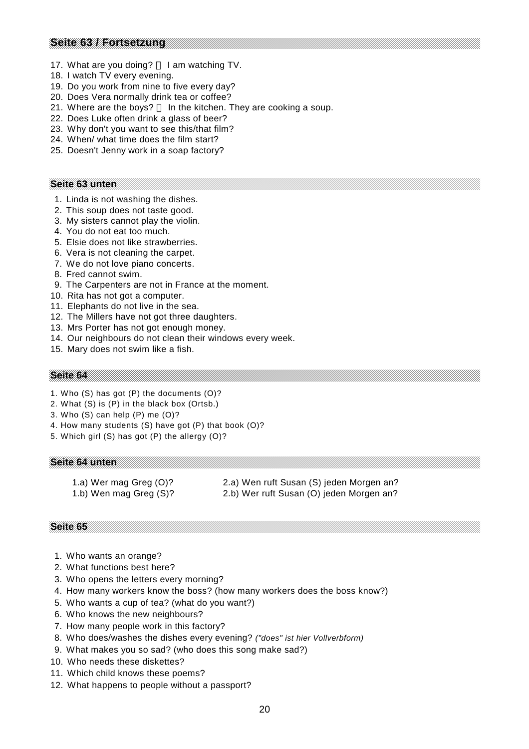### **Seite 63 / Fortsetzung**

- 17. What are you doing? I am watching TV.
- 18. I watch TV every evening.
- 19. Do you work from nine to five every day?
- 20. Does Vera normally drink tea or coffee?
- 21. Where are the boys? In the kitchen. They are cooking a soup.
- 22. Does Luke often drink a glass of beer?
- 23. Why don't you want to see this/that film?
- 24. When/ what time does the film start?
- 25. Doesn't Jenny work in a soap factory?

#### **Seite 63 unten**

- 1. Linda is not washing the dishes.
- 2. This soup does not taste good.
- 3. My sisters cannot play the violin.
- 4. You do not eat too much.
- 5. Elsie does not like strawberries.
- 6. Vera is not cleaning the carpet.
- 7. We do not love piano concerts.
- 8. Fred cannot swim.
- 9. The Carpenters are not in France at the moment.
- 10. Rita has not got a computer.
- 11. Elephants do not live in the sea.
- 12. The Millers have not got three daughters.
- 13. Mrs Porter has not got enough money.
- 14. Our neighbours do not clean their windows every week.
- 15. Mary does not swim like a fish.

#### **Seite 64**

- 1. Who (S) has got (P) the documents (O)?
- 2. What (S) is (P) in the black box (Ortsb.)
- 3. Who (S) can help (P) me (O)?
- 4. How many students (S) have got (P) that book (O)?
- 5. Which girl (S) has got (P) the allergy (O)?

**Seite 64 unten**

- 1.a) Wer mag Greg (O)? 1.b) Wen mag Greg (S)?
- 2.a) Wen ruft Susan (S) jeden Morgen an?
- 2.b) Wer ruft Susan (O) jeden Morgen an?

- 1. Who wants an orange? 2. What functions best here?
- 3. Who opens the letters every morning?
- 4. How many workers know the boss? (how many workers does the boss know?)
- 5. Who wants a cup of tea? (what do you want?)
- 6. Who knows the new neighbours?
- 7. How many people work in this factory?
- 8. Who does/washes the dishes every evening? *("does" ist hier Vollverbform)*
- 9. What makes you so sad? (who does this song make sad?)
- 10. Who needs these diskettes?
- 11. Which child knows these poems?
- 12. What happens to people without a passport?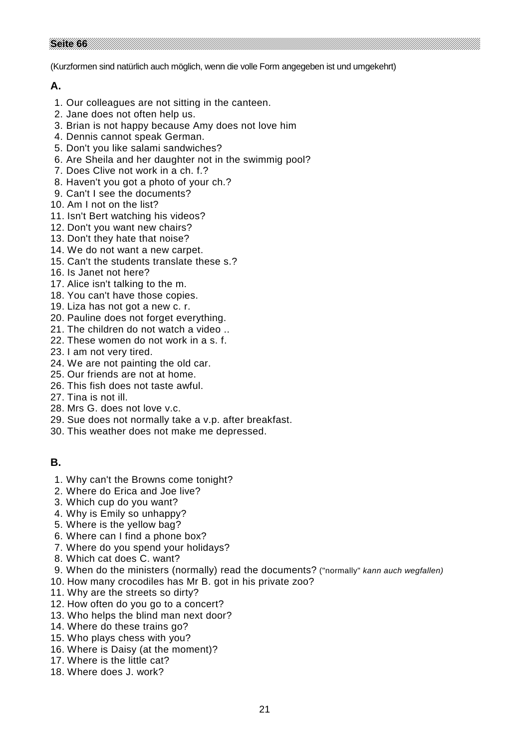(Kurzformen sind natürlich auch möglich, wenn die volle Form angegeben ist und umgekehrt)

## **A.**

- 1. Our colleagues are not sitting in the canteen.
- 2. Jane does not often help us.
- 3. Brian is not happy because Amy does not love him
- 4. Dennis cannot speak German.
- 5. Don't you like salami sandwiches?
- 6. Are Sheila and her daughter not in the swimmig pool?
- 7. Does Clive not work in a ch. f.?
- 8. Haven't you got a photo of your ch.?
- 9. Can't I see the documents?
- 10. Am I not on the list?
- 11. Isn't Bert watching his videos?
- 12. Don't you want new chairs?
- 13. Don't they hate that noise?
- 14. We do not want a new carpet.
- 15. Can't the students translate these s.?
- 16. Is Janet not here?
- 17. Alice isn't talking to the m.
- 18. You can't have those copies.
- 19. Liza has not got a new c. r.
- 20. Pauline does not forget everything.
- 21. The children do not watch a video ..
- 22. These women do not work in a s. f.
- 23. I am not very tired.
- 24. We are not painting the old car.
- 25. Our friends are not at home.
- 26. This fish does not taste awful.
- 27. Tina is not ill.
- 28. Mrs G. does not love v.c.
- 29. Sue does not normally take a v.p. after breakfast.
- 30. This weather does not make me depressed.

## **B.**

- 1. Why can't the Browns come tonight?
- 2. Where do Erica and Joe live?
- 3. Which cup do you want?
- 4. Why is Emily so unhappy?
- 5. Where is the yellow bag?
- 6. Where can I find a phone box?
- 7. Where do you spend your holidays?
- 8. Which cat does C. want?
- 9. When do the ministers (normally) read the documents? ("normally" *kann auch wegfallen)*
- 10. How many crocodiles has Mr B. got in his private zoo?
- 11. Why are the streets so dirty?
- 12. How often do you go to a concert?
- 13. Who helps the blind man next door?
- 14. Where do these trains go?
- 15. Who plays chess with you?
- 16. Where is Daisy (at the moment)?
- 17. Where is the little cat?
- 18. Where does J. work?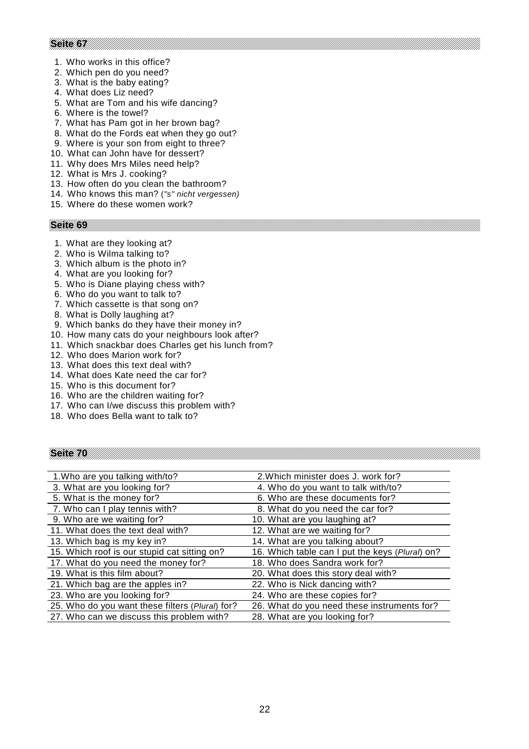- 1. Who works in this office?
- 2. Which pen do you need?
- 3. What is the baby eating?
- 4. What does Liz need?
- 5. What are Tom and his wife dancing?
- 6. Where is the towel?
- 7. What has Pam got in her brown bag?
- 8. What do the Fords eat when they go out?
- 9. Where is your son from eight to three?
- 10. What can John have for dessert?
- 11. Why does Mrs Miles need help?
- 12. What is Mrs J. cooking?
- 13. How often do you clean the bathroom?
- 14. Who knows this man? (*"s" nicht vergessen)*
- 15. Where do these women work?

- 1. What are they looking at?
- 2. Who is Wilma talking to?
- 3. Which album is the photo in?
- 4. What are you looking for?
- 5. Who is Diane playing chess with?
- 6. Who do you want to talk to?
- 7. Which cassette is that song on?
- 8. What is Dolly laughing at?
- 9. Which banks do they have their money in?
- 10. How many cats do your neighbours look after?
- 11. Which snackbar does Charles get his lunch from?
- 12. Who does Marion work for?
- 13. What does this text deal with?
- 14. What does Kate need the car for?
- 15. Who is this document for?
- 16. Who are the children waiting for?
- 17. Who can I/we discuss this problem with?
- 18. Who does Bella want to talk to?

| 1. Who are you talking with/to?                 | 2. Which minister does J. work for?             |
|-------------------------------------------------|-------------------------------------------------|
| 3. What are you looking for?                    | 4. Who do you want to talk with/to?             |
| 5. What is the money for?                       | 6. Who are these documents for?                 |
| 7. Who can I play tennis with?                  | 8. What do you need the car for?                |
| 9. Who are we waiting for?                      | 10. What are you laughing at?                   |
| 11. What does the text deal with?               | 12. What are we waiting for?                    |
| 13. Which bag is my key in?                     | 14. What are you talking about?                 |
| 15. Which roof is our stupid cat sitting on?    | 16. Which table can I put the keys (Plural) on? |
| 17. What do you need the money for?             | 18. Who does Sandra work for?                   |
| 19. What is this film about?                    | 20. What does this story deal with?             |
| 21. Which bag are the apples in?                | 22. Who is Nick dancing with?                   |
| 23. Who are you looking for?                    | 24. Who are these copies for?                   |
| 25. Who do you want these filters (Plural) for? | 26. What do you need these instruments for?     |
| 27. Who can we discuss this problem with?       | 28. What are you looking for?                   |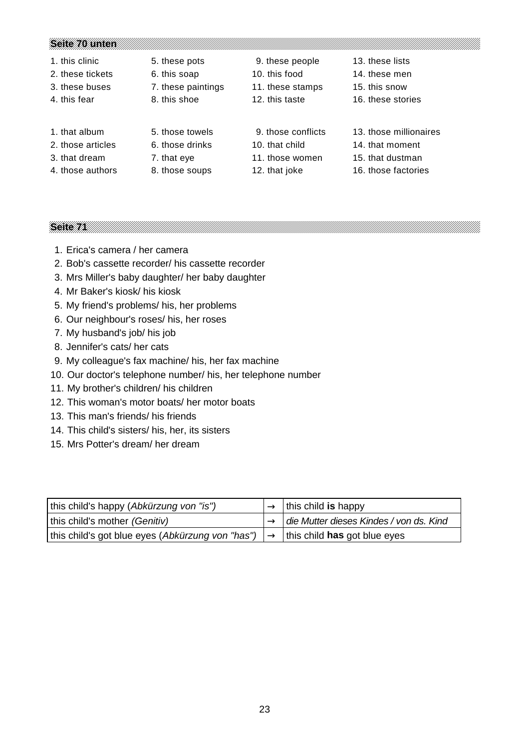#### **Seite 70 unten**

- 
- 
- 3. these buses 7. these paintings 11. these stamps 15. this snow
- 
- 
- 
- 
- 
- 
- 2. these tickets 6. this soap 10. this food 14. these men
	-
	-
	-
- 2. those articles 6. those drinks 10. that child 14. that moment
	-
- 
- 
- 1. this clinic **5.** these pots 9. these people 13. these lists
	- -
	-
	-
	-
	-
	-
- 
- 
- 
- 4. this fear 8. this shoe 12. this taste 16. these stories
- 1. that album 5. those towels 9. those conflicts 13. those millionaires
	-
- 3. that dream 2. that eye 11. those women 15. that dustman
- 4. those authors 8. those soups 12. that joke 16. those factories

- 1. Erica's camera / her camera
- 2. Bob's cassette recorder/ his cassette recorder
- 3. Mrs Miller's baby daughter/ her baby daughter
- 4. Mr Baker's kiosk/ his kiosk
- 5. My friend's problems/ his, her problems
- 6. Our neighbour's roses/ his, her roses
- 7. My husband's job/ his job
- 8. Jennifer's cats/ her cats
- 9. My colleague's fax machine/ his, her fax machine
- 10. Our doctor's telephone number/ his, her telephone number
- 11. My brother's children/ his children
- 12. This woman's motor boats/ her motor boats
- 13. This man's friends/ his friends
- 14. This child's sisters/ his, her, its sisters
- 15. Mrs Potter's dream/ her dream

| this child's happy (Abkürzung von "is")          | $\rightarrow$ this child is happy                            |
|--------------------------------------------------|--------------------------------------------------------------|
| this child's mother (Genitiv)                    | $\rightarrow$ $\mid$ die Mutter dieses Kindes / von ds. Kind |
| this child's got blue eyes (Abkürzung von "has") | $\rightarrow$   this child <b>has</b> got blue eyes          |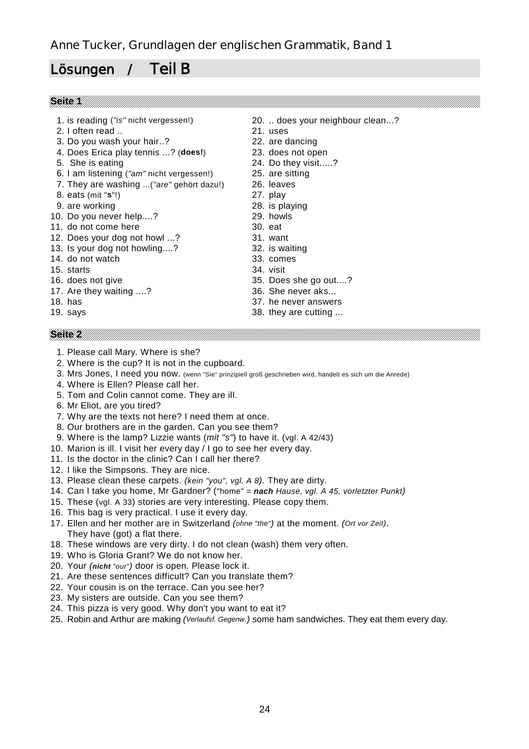# **Anne Tucker, Grundlagen der englischen Grammatik, Band 1**

# **Lösungen / Teil B**

#### **Seite 1**

- 1. is reading (*"is"* nicht vergessen!) 20. .. does your neighbour clean...?
- 2. I often read .. 21. uses
- 3. Do you wash your hair..? 22. are dancing
- 4. Does Erica play tennis ...? (**does!**) 23. does not open
- 5. She is eating 24. Do they visit.....?
- 6. I am listening (*"am"* nicht vergessen!) 25. are sitting
- 7. They are washing ...(*"are"* gehört dazu!) 26. leaves
- 8. eats (mit "**s**"!) 27. play
- 9. are working 28. is playing
- 10. Do you never help....? 29. howls
- 11. do not come here 30. eat
- 12. Does your dog not howl ...? 31. want
- 13. Is your dog not howling....? 32. is waiting
- 14. do not watch 33. comes
- 15. starts 34. visit
- 16. does not give 35. Does she go out....?
- 17. Are they waiting ....? 36. She never aks...
- 
- 

- 1. Please call Mary. Where is she?
- 2. Where is the cup? It is not in the cupboard.
- 3. Mrs Jones, I need you now. (wenn "Sie" prinzipiell groß geschrieben wird, handelt es sich um die Anrede)
- 4. Where is Ellen? Please call her.
- 5. Tom and Colin cannot come. They are ill.
- 6. Mr Eliot, are you tired?
- 7. Why are the texts not here? I need them at once.
- 8. Our brothers are in the garden. Can you see them?
- 9. Where is the lamp? Lizzie wants (*mit "s"*) to have it. (vgl. A 42/43)
- 10. Marion is ill. I visit her every day / I go to see her every day.
- 11. Is the doctor in the clinic? Can I call her there?
- 12. I like the Simpsons. They are nice.
- 13. Please clean these carpets. *(kein "you", vgl. A 8).* They are dirty.
- 14. Can I take you home, Mr Gardner? ("home" = *nach Hause, vgl. A 45, vorletzter Punkt)*
- 15. These (vgl. A 33) stories are very interesting. Please copy them.
- 16. This bag is very practical. I use it every day.
- 17. Ellen and her mother are in Switzerland *(ohne "the")* at the moment. *(Ort vor Zeit)*. They have (got) a flat there.
- 18. These windows are very dirty. I do not clean (wash) them very often.
- 19. Who is Gloria Grant? We do not know her.
- 20. Your *(nicht "our")* door is open. Please lock it.
- 21. Are these sentences difficult? Can you translate them?
- 22. Your cousin is on the terrace. Can you see her?
- 23. My sisters are outside. Can you see them?
- 24. This pizza is very good. Why don't you want to eat it?
- 25. Robin and Arthur are making *(Verlaufsf. Gegenw.)* some ham sandwiches. They eat them every day.
- 
- 
- 
- 
- 
- 
- 
- 
- 
- 
- 
- 
- 
- 
- 
- 18. has 37. he never answers
- 19. says **38.** they are cutting ...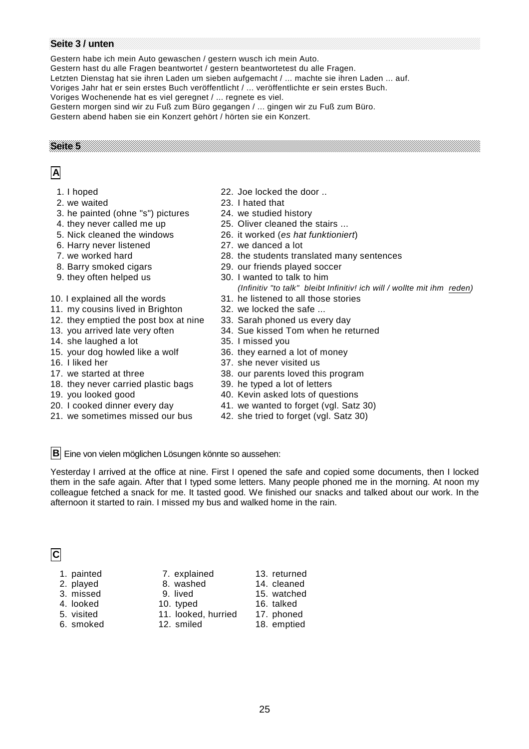#### **Seite 3 / unten**

Gestern habe ich mein Auto gewaschen / gestern wusch ich mein Auto. Gestern hast du alle Fragen beantwortet / gestern beantwortetest du alle Fragen. Letzten Dienstag hat sie ihren Laden um sieben aufgemacht / ... machte sie ihren Laden ... auf. Voriges Jahr hat er sein erstes Buch veröffentlicht / ... veröffentlichte er sein erstes Buch. Voriges Wochenende hat es viel geregnet / ... regnete es viel. Gestern morgen sind wir zu Fuß zum Büro gegangen / ... gingen wir zu Fuß zum Büro. Gestern abend haben sie ein Konzert gehört / hörten sie ein Konzert.

**Seite 5**

# **A**

- 
- 
- 3. he painted (ohne "s") pictures 24. we studied history
- 
- 
- 6. Harry never listened 27. we danced a lot
- 
- 
- 
- 
- 11. my cousins lived in Brighton 32. we locked the safe ...
- 12. they emptied the post box at nine 33. Sarah phoned us every day
- 
- 14. she laughed a lot 35. I missed you
- 
- 
- 
- 18. they never carried plastic bags 39. he typed a lot of letters
- 
- 
- 
- 1. I hoped 22. Joe locked the door ..
- 2. we waited 23. I hated that
	-
- 4. they never called me up 25. Oliver cleaned the stairs ...
- 5. Nick cleaned the windows 26. it worked (*es hat funktioniert*)
	-
- 7. we worked hard 28. the students translated many sentences
- 8. Barry smoked cigars 29. our friends played soccer
- 9. they often helped us 30. I wanted to talk to him *(Infinitiv "to talk" bleibt Infinitiv! ich will / wollte mit ihm reden)*
- 10. I explained all the words 31. he listened to all those stories
	-
	-
- 13. you arrived late very often 34. Sue kissed Tom when he returned
	-
	-
	-
- 17. we started at three 38. our parents loved this program
	-
	-
- 20. I cooked dinner every day 41. we wanted to forget (vgl. Satz 30)
- 21. we sometimes missed our bus 42. she tried to forget (vgl. Satz 30)

**B** Eine von vielen möglichen Lösungen könnte so aussehen:

Yesterday I arrived at the office at nine. First I opened the safe and copied some documents, then I locked them in the safe again. After that I typed some letters. Many people phoned me in the morning. At noon my colleague fetched a snack for me. It tasted good. We finished our snacks and talked about our work. In the afternoon it started to rain. I missed my bus and walked home in the rain.

# **C**

| 1. painted | 7. explained        | 13. returned |
|------------|---------------------|--------------|
| 2. played  | 8. washed           | 14. cleaned  |
| 3. missed  | 9. lived            | 15. watched  |
| 4. looked  | 10. typed           | 16. talked   |
| 5. visited | 11. looked, hurried | 17. phoned   |
| 6. smoked  | 12. smiled          | 18. emptied  |

- 
- 15. your dog howled like a wolf 36. they earned a lot of money
- 16. I liked her 37. she never visited us
	-
	-
- 19. you looked good 40. Kevin asked lots of questions
	-
	-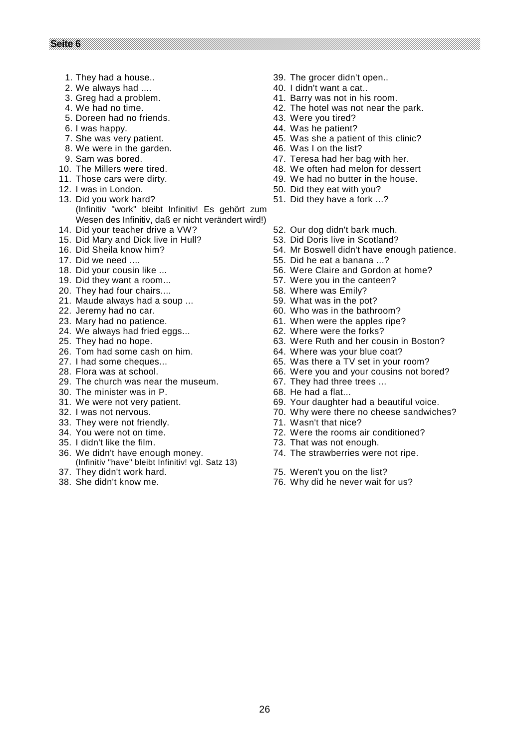- 
- 2. We always had .... 40. I didn't want a cat..
- 
- 
- 5. Doreen had no friends.
- 

- 
- 
- 
- 
- 
- 
- 13. Did you work hard? (Infinitiv "work" bleibt Infinitiv! Es gehört zum Wesen des Infinitiv, daß er nicht verändert wird!)
- 
- 
- 
- 
- 
- 
- 
- 21. Maude always had a soup ... 59. What was in the pot?
- 
- 
- 24. We always had fried eggs... 62. Where were the forks?
- 
- 26. Tom had some cash on him. 64. Where was your blue coat?
- 
- 
- 29. The church was near the museum. 67. They had three trees ...
- 30. The minister was in P. 68. He had a flat...
- 
- 
- 33. They were not friendly. They were not friendly.
- 
- 
- 36. We didn't have enough money. (Infinitiv "have" bleibt Infinitiv! vgl. Satz 13)
- 
- 
- 1. They had a house.. 39. The grocer didn't open..
	-
- 3. Greg had a problem. 41. Barry was not in his room.
- 4. We had no time.<br>5. Doreen had no friends. The hotel was not near the park.<br>43. Were you tired?
	-
- 6. I was happy. 44. Was he patient?
- 7. She was very patient. 45. Was she a patient of this clinic?
- 8. We were in the garden. A same state of the list?
- 9. Sam was bored. 47. Teresa had her bag with her.
- 10. The Millers were tired. 48. We often had melon for dessert
- 11. Those cars were dirty. 49. We had no butter in the house.
- 12. I was in London. The same state of the state of the state of the state of the state of the state of the state of the state of the state of the state of the state of the state of the state of the state of the state of t
	- 51. Did they have a fork ...?
- 14. Did your teacher drive a VW? 52. Our dog didn't bark much.
- 15. Did Mary and Dick live in Hull? 53. Did Doris live in Scotland?
- 16. Did Sheila know him? 54. Mr Boswell didn't have enough patience.
- 17. Did we need .... 100 million was seen to the search of 55. Did he eat a banana ...?
- 18. Did your cousin like ... 56. Were Claire and Gordon at home?
- 19. Did they want a room... 57. Were you in the canteen?
- 20. They had four chairs.... 58. Where was Emily?
	-
- 22. Jeremy had no car. **60. Who was in the bathroom?**
- 23. Mary had no patience. The same control of the apples ripe?
	-
- 25. They had no hope. 63. Were Ruth and her cousin in Boston?
	-
- 27. I had some cheques... 65. Was there a TV set in your room?
- 28. Flora was at school. 66. Were you and your cousins not bored?
	-
	-
- 31. We were not very patient. 69. Your daughter had a beautiful voice.
- 32. I was not nervous. 70. Why were there no cheese sandwiches?
	-
- 34. You were not on time. 72. Were the rooms air conditioned?
- 35. I didn't like the film. That was not enough.
	- 74. The strawberries were not ripe.
- 37. They didn't work hard. 75. Weren't you on the list?
- 38. She didn't know me. 76. Why did he never wait for us?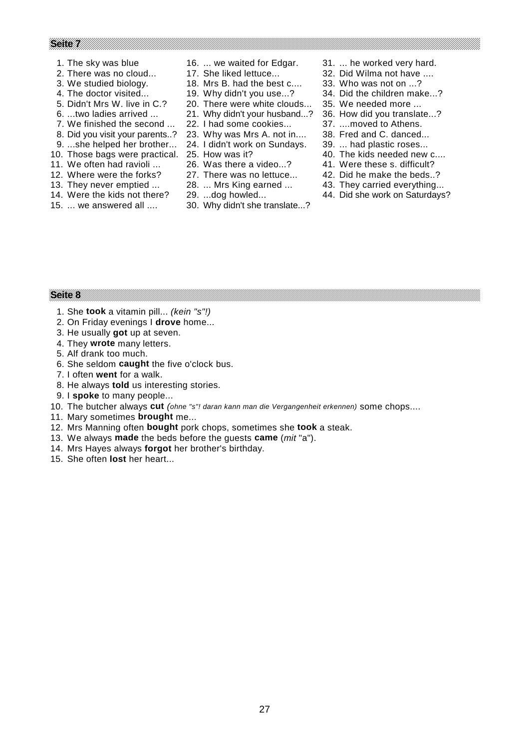- 
- 
- 3. We studied biology. 18. Mrs B. had the best c....
- 
- 
- 
- 
- 
- 
- 
- 
- 
- 
- 
- 
- 1. The sky was blue 16. ... we waited for Edgar. 31. ... he worked very hard.<br>2. There was no cloud... 17. She liked lettuce... 32. Did Wilma not have ....
	-
	-
- 4. The doctor visited...  $\frac{34.6}{19.6}$  Mhy didn't you use...?  $\frac{34.6}{19.6}$  Did the children make...?<br>5. Didn't Mrs W. live in C.?  $\frac{20.6}{19.6}$  There were white clouds... 35. We needed more ...
	- 20. There were white clouds... 35. We needed more ...
	-
	-
	-
	-
	-
	-
	-
	-
- 15. ... we answered all .... 30. Why didn't she translate...?
- 
- 32. Did Wilma not have ....  $33.$  Who was not on  $\ldots$ ?
- 
- 
- 
- 6. ...two ladies arrived ... 21. Why didn't your husband...? 36. How did you translate...?
- 7. We finished the second ... 22. I had some cookies... 37. ....moved to Athens.
- 8. Did you visit your parents..? 23. Why was Mrs A. not in.... 38. Fred and C. danced...
- 9. ...she helped her brother... 24. I didn't work on Sundays. 39. ... had plastic roses...
- 10. Those bags were practical. 25. How was it? 40. The kids needed new c....
- 11. We often had ravioli ... 26. Was there a video...? 41. Were these s. difficult?
- 12. Where were the forks? 27. There was no lettuce... 42. Did he make the beds..?
- 13. They never emptied ... 28. ... Mrs King earned ... 43. They carried everything...
- 14. Were the kids not there? 29. ...dog howled... 44. Did she work on Saturdays?

- 1. She **took** a vitamin pill... *(kein "s"!)*
- 2. On Friday evenings I **drove** home...
- 3. He usually **got** up at seven.
- 4. They **wrote** many letters.
- 5. Alf drank too much.
- 6. She seldom **caught** the five o'clock bus.
- 7. I often **went** for a walk.
- 8. He always **told** us interesting stories.
- 9. I **spoke** to many people...
- 10. The butcher always **cut** *(ohne "s"! daran kann man die Vergangenheit erkennen)* some chops....
- 11. Mary sometimes **brought** me...
- 12. Mrs Manning often **bought** pork chops, sometimes she **took** a steak.
- 13. We always **made** the beds before the guests **came** (*mit* "a").
- 14. Mrs Hayes always **forgot** her brother's birthday.
- 15. She often **lost** her heart...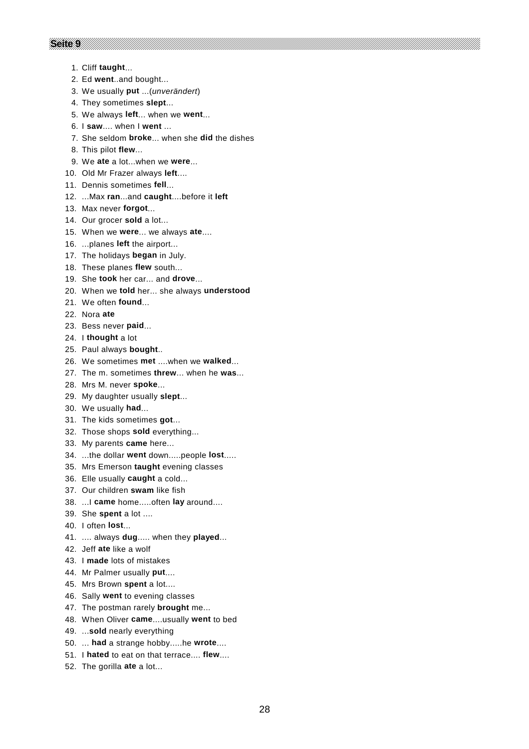- 1. Cliff **taught**...
- 2. Ed **went**..and bought...
- 3. We usually **put** ...(*unverändert*)
- 4. They sometimes **slept**...
- 5. We always **left**... when we **went**...
- 6. I **saw**.... when I **went** ...
- 7. She seldom **broke**... when she **did** the dishes
- 8. This pilot **flew**...
- 9. We **ate** a lot...when we **were**...
- 10. Old Mr Frazer always **left**....
- 11. Dennis sometimes **fell**...
- 12. ...Max **ran**...and **caught**....before it **left**
- 13. Max never **forgot**...
- 14. Our grocer **sold** a lot...
- 15. When we **were**... we always **ate**....
- 16. ...planes **left** the airport...
- 17. The holidays **began** in July.
- 18. These planes **flew** south...
- 19. She **took** her car... and **drove**...
- 20. When we **told** her... she always **understood**
- 21. We often **found**...
- 22. Nora **ate**
- 23. Bess never **paid**...
- 24. I **thought** a lot
- 25. Paul always **bought**..
- 26. We sometimes **met** ....when we **walked**...
- 27. The m. sometimes **threw**... when he **was**...
- 28. Mrs M. never **spoke**...
- 29. My daughter usually **slept**...
- 30. We usually **had**...
- 31. The kids sometimes **got**...
- 32. Those shops **sold** everything...
- 33. My parents **came** here...
- 34. ...the dollar **went** down.....people **lost**.....
- 35. Mrs Emerson **taught** evening classes
- 36. Elle usually **caught** a cold...
- 37. Our children **swam** like fish
- 38. ...I **came** home.....often **lay** around....
- 39. She **spent** a lot ....
- 40. I often **lost**...
- 41. .... always **dug**..... when they **played**...
- 42. Jeff **ate** like a wolf
- 43. I **made** lots of mistakes
- 44. Mr Palmer usually **put**....
- 45. Mrs Brown **spent** a lot....
- 46. Sally **went** to evening classes
- 47. The postman rarely **brought** me...
- 48. When Oliver **came**....usually **went** to bed
- 49. ...**sold** nearly everything
- 50. ... **had** a strange hobby.....he **wrote**....
- 51. I **hated** to eat on that terrace.... **flew**....
- 52. The gorilla **ate** a lot...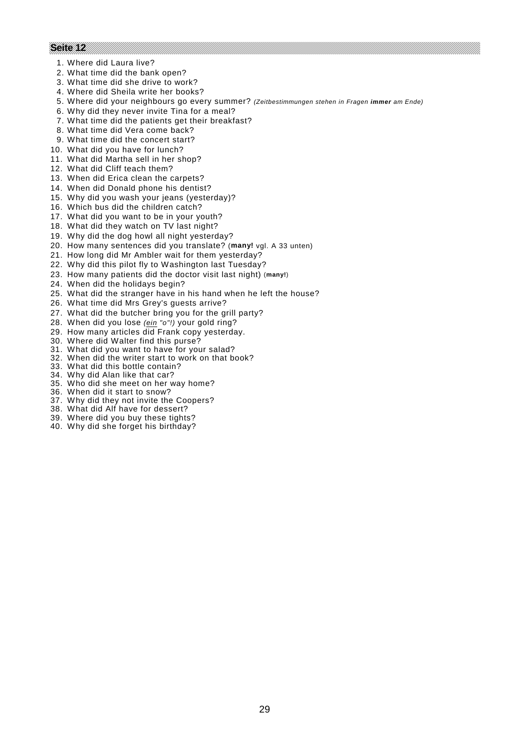- 1. Where did Laura live?
- 2. What time did the bank open?
- 3. What time did she drive to work?
- 4. Where did Sheila write her books?
- 5. Where did your neighbours go every summer? *(Zeitbestimmungen stehen in Fragen immer am Ende)*
- 6. Why did they never invite Tina for a meal?
- 7. What time did the patients get their breakfast?
- 8. What time did Vera come back?
- 9. What time did the concert start?
- 10. What did you have for lunch?
- 11. What did Martha sell in her shop?
- 12. What did Cliff teach them?
- 13. When did Erica clean the carpets?
- 14. When did Donald phone his dentist?
- 15. Why did you wash your jeans (yesterday)?
- 16. Which bus did the children catch?
- 17. What did you want to be in your youth?
- 18. What did they watch on TV last night?
- 19. Why did the dog howl all night yesterday?
- 20. How many sentences did you translate? (**many!** vgl. A 33 unten)
- 21. How long did Mr Ambler wait for them yesterday?
- 22. Why did this pilot fly to Washington last Tuesday?
- 23. How many patients did the doctor visit last night) (**many!**)
- 24. When did the holidays begin?
- 25. What did the stranger have in his hand when he left the house?
- 26. What time did Mrs Grey's guests arrive?
- 27. What did the butcher bring you for the grill party?
- 28. When did you lose *(ein "o"!)* your gold ring?
- 29. How many articles did Frank copy yesterday.
- 30. Where did Walter find this purse?
- 31. What did you want to have for your salad?
- 32. When did the writer start to work on that book?
- 33. What did this bottle contain?
- 34. Why did Alan like that car?
- 35. Who did she meet on her way home?
- 36. When did it start to snow?
- 37. Why did they not invite the Coopers?
- 38. What did Alf have for dessert?
- 39. Where did you buy these tights?
- 40. Why did she forget his birthday?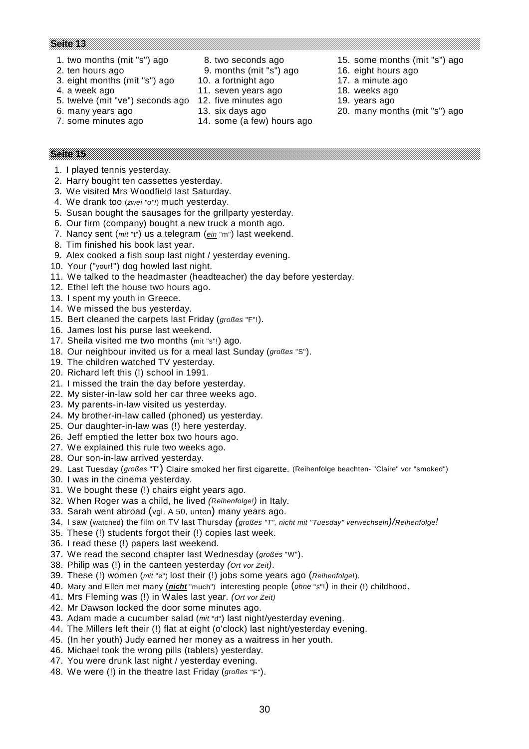- 1. two months (mit "s") ago 8. two seconds ago 15. some months (mit "s") ago
- 2. ten hours ago 9. months (mit "s") ago 16. eight hours ago
- 3. eight months (mit "s") ago 10. a fortnight ago 17. a minute ago
- 4. a week ago 11. seven years ago 18. weeks ago
- 5. twelve (mit "ve") seconds ago 12. five minutes ago 19. years ago
- 
- 
- 
- 
- 
- 
- 
- 7. some minutes ago 14. some (a few) hours ago
- 
- 
- 
- 
- 
- 6. many years ago 13. six days ago 20. many months (mit "s") ago

- 1. I played tennis yesterday.
- 2. Harry bought ten cassettes yesterday.
- 3. We visited Mrs Woodfield last Saturday.
- 4. We drank too (*zwei "o"!*) much yesterday.
- 5. Susan bought the sausages for the grillparty yesterday.
- 6. Our firm (company) bought a new truck a month ago.
- 7. Nancy sent (*mit* "t") us a telegram (*ein* "m") last weekend.
- 8. Tim finished his book last year.
- 9. Alex cooked a fish soup last night / yesterday evening.
- 10. Your ("your!") dog howled last night.
- 11. We talked to the headmaster (headteacher) the day before yesterday.
- 12. Ethel left the house two hours ago.
- 13. I spent my youth in Greece.
- 14. We missed the bus yesterday.
- 15. Bert cleaned the carpets last Friday (*großes* "F"!).
- 16. James lost his purse last weekend.
- 17. Sheila visited me two months (mit "s"!) ago.
- 18. Our neighbour invited us for a meal last Sunday (*großes* "S").
- 19. The children watched TV yesterday.
- 20. Richard left this (!) school in 1991.
- 21. I missed the train the day before yesterday.
- 22. My sister-in-law sold her car three weeks ago.
- 23. My parents-in-law visited us yesterday.
- 24. My brother-in-law called (phoned) us yesterday.
- 25. Our daughter-in-law was (!) here yesterday.
- 26. Jeff emptied the letter box two hours ago.
- 27. We explained this rule two weeks ago.
- 28. Our son-in-law arrived yesterday.
- 29. Last Tuesday (*großes* "T") Claire smoked her first cigarette. (Reihenfolge beachten- "Claire" vor "smoked")
- 30. I was in the cinema yesterday.
- 31. We bought these (!) chairs eight years ago.
- 32. When Roger was a child, he lived *(Reihenfolge!)* in Italy.
- 33. Sarah went abroad (vgl. A 50, unten) many years ago.
- 34. I saw (watched) the film on TV last Thursday *(großes "T", nicht mit "Tuesday" verwechseln)/Reihenfolge!*
- 35. These (!) students forgot their (!) copies last week.
- 36. I read these (!) papers last weekend.
- 37. We read the second chapter last Wednesday (*großes* "W").
- 38. Philip was (!) in the canteen yesterday *(Ort vor Zeit)*.
- 39. These (!) women (*mit* "e") lost their (!) jobs some years ago (*Reihenfolge*!).
- 40. Mary and Ellen met many (*nicht* "much") interesting people (*ohne* "s"!) in their (!) childhood.
- 41. Mrs Fleming was (!) in Wales last year. *(Ort vor Zeit)*
- 42. Mr Dawson locked the door some minutes ago.
- 43. Adam made a cucumber salad (*mit* "d") last night/yesterday evening.
- 44. The Millers left their (!) flat at eight (o'clock) last night/yesterday evening.
- 45. (In her youth) Judy earned her money as a waitress in her youth.
- 46. Michael took the wrong pills (tablets) yesterday.
- 47. You were drunk last night / yesterday evening.
- 48. We were (!) in the theatre last Friday (*großes* "F").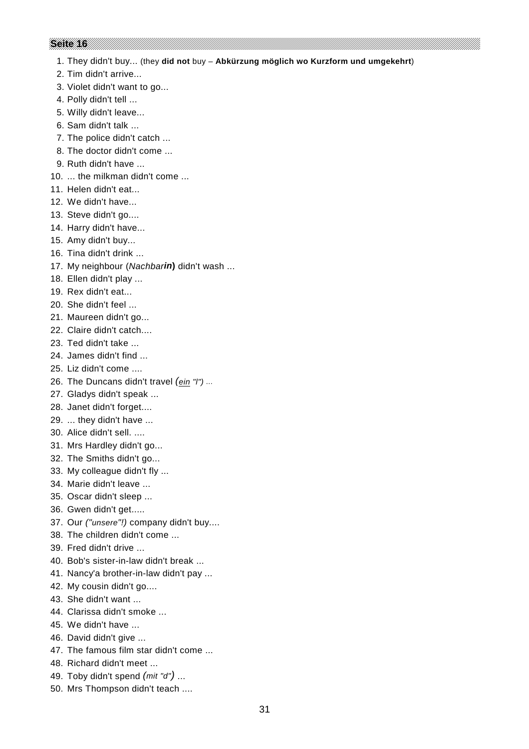#### 1. They didn't buy... (they **did not** buy – **Abkürzung möglich wo Kurzform und umgekehrt**)

- 2. Tim didn't arrive...
- 3. Violet didn't want to go...
- 4. Polly didn't tell ...
- 5. Willy didn't leave...
- 6. Sam didn't talk ...
- 7. The police didn't catch ...
- 8. The doctor didn't come ...
- 9. Ruth didn't have
- 10. ... the milkman didn't come ...
- 11. Helen didn't eat...
- 12. We didn't have...
- 13. Steve didn't go....
- 14. Harry didn't have...
- 15. Amy didn't buy...
- 16. Tina didn't drink ...
- 17. My neighbour (*Nachbarin***)** didn't wash ...
- 18. Ellen didn't play ...
- 19. Rex didn't eat...
- 20. She didn't feel ...
- 21. Maureen didn't go...
- 22. Claire didn't catch....
- 23. Ted didn't take ...
- 24. James didn't find ...
- 25. Liz didn't come ....
- 26. The Duncans didn't travel *(ein "l")* ...
- 27. Gladys didn't speak ...
- 28. Janet didn't forget....
- 29. ... they didn't have ...
- 30. Alice didn't sell. ....
- 31. Mrs Hardley didn't go...
- 32. The Smiths didn't go...
- 33. My colleague didn't fly ...
- 34. Marie didn't leave ...
- 35. Oscar didn't sleep ...
- 36. Gwen didn't get.....
- 37. Our *("unsere"!)* company didn't buy....
- 38. The children didn't come ...
- 39. Fred didn't drive ...
- 40. Bob's sister-in-law didn't break ...
- 41. Nancy'a brother-in-law didn't pay ...
- 42. My cousin didn't go....
- 43. She didn't want ...
- 44. Clarissa didn't smoke ...
- 45. We didn't have ...
- 46. David didn't give ...
- 47. The famous film star didn't come ...
- 48. Richard didn't meet ...
- 49. Toby didn't spend *(mit "d")* ...
- 50. Mrs Thompson didn't teach ....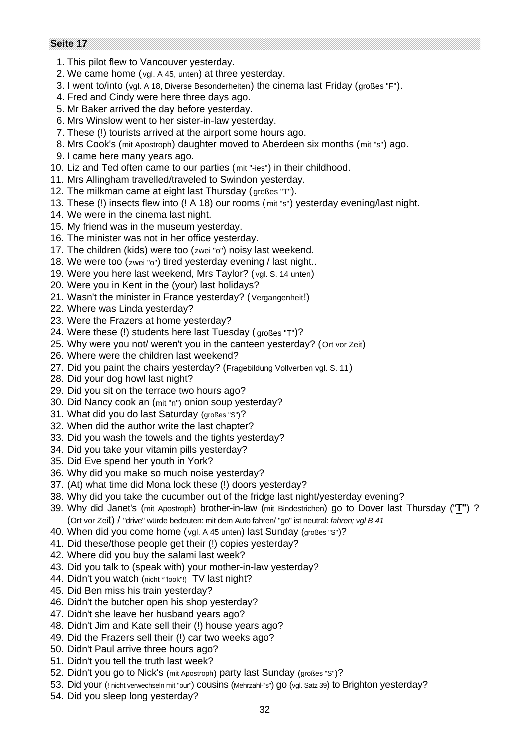- 1. This pilot flew to Vancouver yesterday.
- 2. We came home (vgl. A 45, unten) at three yesterday.
- 3. I went to/into (vgl. A 18, Diverse Besonderheiten) the cinema last Friday (großes "F").
- 4. Fred and Cindy were here three days ago.
- 5. Mr Baker arrived the day before yesterday.
- 6. Mrs Winslow went to her sister-in-law yesterday.
- 7. These (!) tourists arrived at the airport some hours ago.
- 8. Mrs Cook's (mit Apostroph) daughter moved to Aberdeen six months (mit "s") ago.
- 9. I came here many years ago.
- 10. Liz and Ted often came to our parties (mit "-ies") in their childhood.
- 11. Mrs Allingham travelled/traveled to Swindon yesterday.
- 12. The milkman came at eight last Thursday ( großes "T").
- 13. These (!) insects flew into (! A 18) our rooms ( mit "s") yesterday evening/last night.
- 14. We were in the cinema last night.
- 15. My friend was in the museum yesterday.
- 16. The minister was not in her office yesterday.
- 17. The children (kids) were too (zwei "o") noisy last weekend.
- 18. We were too (zwei "o") tired yesterday evening / last night..
- 19. Were you here last weekend, Mrs Taylor? (vgl. S. 14 unten)
- 20. Were you in Kent in the (your) last holidays?
- 21. Wasn't the minister in France yesterday? (Vergangenheit!)
- 22. Where was Linda yesterday?
- 23. Were the Frazers at home yesterday?
- 24. Were these (!) students here last Tuesday ( großes "T")?
- 25. Why were you not/ weren't you in the canteen yesterday? (Ort vor Zeit)
- 26. Where were the children last weekend?
- 27. Did you paint the chairs yesterday? (Fragebildung Vollverben vgl. S. 11)
- 28. Did your dog howl last night?
- 29. Did you sit on the terrace two hours ago?
- 30. Did Nancy cook an (mit "n") onion soup yesterday?
- 31. What did you do last Saturday (großes "S")?
- 32. When did the author write the last chapter?
- 33. Did you wash the towels and the tights yesterday?
- 34. Did you take your vitamin pills yesterday?
- 35. Did Eve spend her youth in York?
- 36. Why did you make so much noise yesterday?
- 37. (At) what time did Mona lock these (!) doors yesterday?
- 38. Why did you take the cucumber out of the fridge last night/yesterday evening?
- 39. Why did Janet's (mit Apostroph) brother-in-law (mit Bindestrichen) go to Dover last Thursday ("**T"**) ? (Ort vor Zeit) / "drive" würde bedeuten: mit dem Auto fahren/ "go" ist neutral: *fahren; vgl B 41*
- 40. When did you come home (vgl. A 45 unten) last Sunday (großes "S")?
- 41. Did these/those people get their (!) copies yesterday?
- 42. Where did you buy the salami last week?
- 43. Did you talk to (speak with) your mother-in-law yesterday?
- 44. Didn't you watch (nicht \*"look"!) TV last night?
- 45. Did Ben miss his train yesterday?
- 46. Didn't the butcher open his shop yesterday?
- 47. Didn't she leave her husband years ago?
- 48. Didn't Jim and Kate sell their (!) house years ago?
- 49. Did the Frazers sell their (!) car two weeks ago?
- 50. Didn't Paul arrive three hours ago?
- 51. Didn't you tell the truth last week?
- 52. Didn't you go to Nick's (mit Apostroph) party last Sunday (großes "S")?
- 53. Did your (! nicht verwechseln mit "our") cousins (Mehrzahl-"s") go (vgl. Satz 39) to Brighton yesterday?
- 54. Did you sleep long yesterday?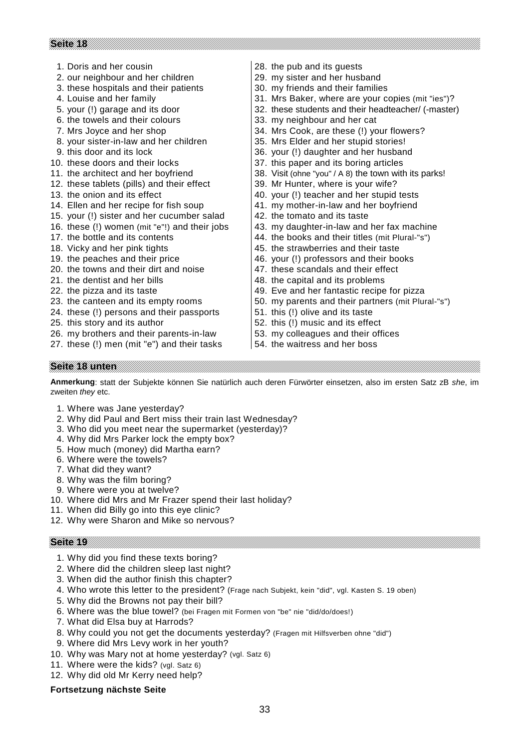- 2. our neighbour and her children 29. my sister and her husband
- 3. these hospitals and their patients 30. my friends and their families
- 
- 
- 
- 
- 8. your sister-in-law and her children | 35. Mrs Elder and her stupid stories!
- 
- 
- 
- 12. these tablets (pills) and their effect 39. Mr Hunter, where is your wife?
- 
- 
- 15. your (!) sister and her cucumber salad 42. the tomato and its taste
- 
- 
- 
- 
- 20. the towns and their dirt and noise 147. these scandals and their effect
- 
- 
- 
- 24. these (!) persons and their passports [51. this (!) olive and its taste
- 
- 26. my brothers and their parents-in-law 53. my colleagues and their offices
- 27. these (!) men (mit "e") and their tasks  $\vert$  54. the waitress and her boss
- 1. Doris and her cousin 28. the pub and its guests
	-
	-
- 4. Louise and her family  $\vert$  31. Mrs Baker, where are your copies (mit "ies")?
- 5. your (!) garage and its door 32. these students and their headteacher/ (-master)
- 6. the towels and their colours 33. my neighbour and her cat
- 7. Mrs Joyce and her shop 34. Mrs Cook, are these (!) your flowers?
	-
- 9. this door and its lock 36. your (!) daughter and her husband
- 10. these doors and their locks  $\vert$  37. this paper and its boring articles
- 11. the architect and her boyfriend 38. Visit (ohne "you" / A 8) the town with its parks!
	-
- 13. the onion and its effect  $\vert$  40. your (!) teacher and her stupid tests
- 14. Ellen and her recipe for fish soup 41. my mother-in-law and her boyfriend
	-
- 16. these (!) women (mit "e"!) and their jobs  $\vert$  43. my daughter-in-law and her fax machine
- 17. the bottle and its contents  $\vert$  44. the books and their titles (mit Plural-"s")
- 18. Vicky and her pink tights  $|45.$  the strawberries and their taste
- 19. the peaches and their price 46. your (!) professors and their books
	-
- 21. the dentist and her bills  $\vert$  48. the capital and its problems
- 22. the pizza and its taste  $\vert$  49. Eve and her fantastic recipe for pizza
- 23. the canteen and its empty rooms  $50.$  my parents and their partners (mit Plural-"s")
	-
- 25. this story and its author 52. this (!) music and its effect
	-
	-

#### **Seite 18 unten**

**Anmerkung**: statt der Subjekte können Sie natürlich auch deren Fürwörter einsetzen, also im ersten Satz zB *she*, im zweiten *they* etc.

- 1. Where was Jane yesterday?
- 2. Why did Paul and Bert miss their train last Wednesday?
- 3. Who did you meet near the supermarket (yesterday)?
- 4. Why did Mrs Parker lock the empty box?
- 5. How much (money) did Martha earn?
- 6. Where were the towels?
- 7. What did they want?
- 8. Why was the film boring?
- 9. Where were you at twelve?
- 10. Where did Mrs and Mr Frazer spend their last holiday?
- 11. When did Billy go into this eye clinic?
- 12. Why were Sharon and Mike so nervous?
- **Seite 19**
	- 1. Why did you find these texts boring?
	- 2. Where did the children sleep last night?
	- 3. When did the author finish this chapter?
	- 4. Who wrote this letter to the president? (Frage nach Subjekt, kein "did", vgl. Kasten S. 19 oben)
	- 5. Why did the Browns not pay their bill?
	- 6. Where was the blue towel? (bei Fragen mit Formen von "be" nie "did/do/does!)
	- 7. What did Elsa buy at Harrods?
	- 8. Why could you not get the documents yesterday? (Fragen mit Hilfsverben ohne "did")
	- 9. Where did Mrs Levy work in her youth?
- 10. Why was Mary not at home yesterday? (vgl. Satz 6)
- 11. Where were the kids? (vgl. Satz 6)
- 12. Why did old Mr Kerry need help?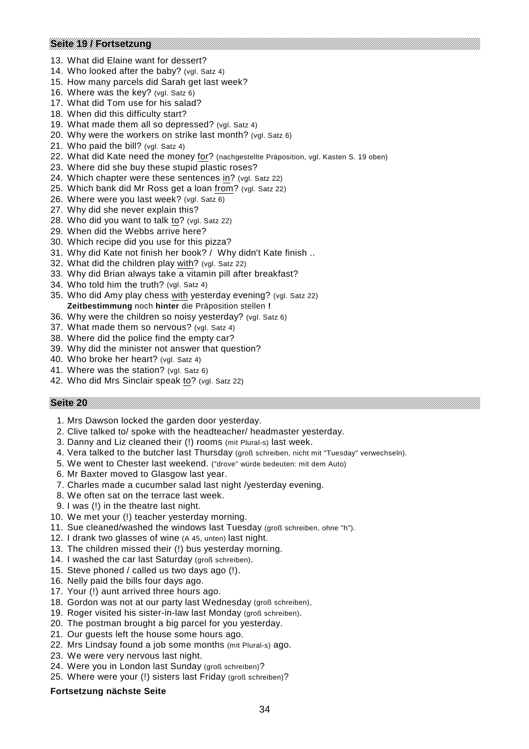#### **Seite 19 / Fortsetzung**

- 13. What did Elaine want for dessert?
- 14. Who looked after the baby? (vgl. Satz 4)
- 15. How many parcels did Sarah get last week?
- 16. Where was the key? (vgl. Satz 6)
- 17. What did Tom use for his salad?
- 18. When did this difficulty start?
- 19. What made them all so depressed? (vgl. Satz 4)
- 20. Why were the workers on strike last month? (vgl. Satz 6)
- 21. Who paid the bill? (vgl. Satz 4)
- 22. What did Kate need the money for? (nachgestellte Präposition, vgl. Kasten S. 19 oben)
- 23. Where did she buy these stupid plastic roses?
- 24. Which chapter were these sentences in? (vgl. Satz 22)
- 25. Which bank did Mr Ross get a loan from? (vgl. Satz 22)
- 26. Where were you last week? (vgl. Satz 6)
- 27. Why did she never explain this?
- 28. Who did you want to talk to? (vgl. Satz 22)
- 29. When did the Webbs arrive here?
- 30. Which recipe did you use for this pizza?
- 31. Why did Kate not finish her book? / Why didn't Kate finish ..
- 32. What did the children play with? (vgl. Satz 22)
- 33. Why did Brian always take a vitamin pill after breakfast?
- 34. Who told him the truth? (vgl. Satz 4)
- 35. Who did Amy play chess with yesterday evening? (vgl. Satz 22) **Zeitbestimmung** noch **hinter** die Präposition stellen **!**
- 36. Why were the children so noisy yesterday? (vgl. Satz 6)
- 37. What made them so nervous? (vgl. Satz 4)
- 38. Where did the police find the empty car?
- 39. Why did the minister not answer that question?
- 40. Who broke her heart? (val. Satz 4)
- 41. Where was the station? (vgl. Satz 6)
- 42. Who did Mrs Sinclair speak to? (vgl. Satz 22)

#### **Seite 20**

- 1. Mrs Dawson locked the garden door yesterday.
- 2. Clive talked to/ spoke with the headteacher/ headmaster yesterday.
- 3. Danny and Liz cleaned their (!) rooms (mit Plural-s) last week.
- 4. Vera talked to the butcher last Thursday (groß schreiben, nicht mit "Tuesday" verwechseln).
- 5. We went to Chester last weekend. ("drove" würde bedeuten: mit dem Auto)
- 6. Mr Baxter moved to Glasgow last year.
- 7. Charles made a cucumber salad last night /yesterday evening.
- 8. We often sat on the terrace last week.
- 9. I was (!) in the theatre last night.
- 10. We met your (!) teacher yesterday morning.
- 11. Sue cleaned/washed the windows last Tuesday (groß schreiben, ohne "h").
- 12. I drank two glasses of wine (A 45, unten) last night.
- 13. The children missed their (!) bus yesterday morning.
- 14. I washed the car last Saturday (groß schreiben).
- 15. Steve phoned / called us two days ago (!).
- 16. Nelly paid the bills four days ago.
- 17. Your (!) aunt arrived three hours ago.
- 18. Gordon was not at our party last Wednesday (groß schreiben).
- 19. Roger visited his sister-in-law last Monday (groß schreiben).
- 20. The postman brought a big parcel for you yesterday.
- 21. Our guests left the house some hours ago.
- 22. Mrs Lindsay found a job some months (mit Plural-s) ago.
- 23. We were very nervous last night.
- 24. Were you in London last Sunday (groß schreiben)?
- 25. Where were your (!) sisters last Friday (groß schreiben)?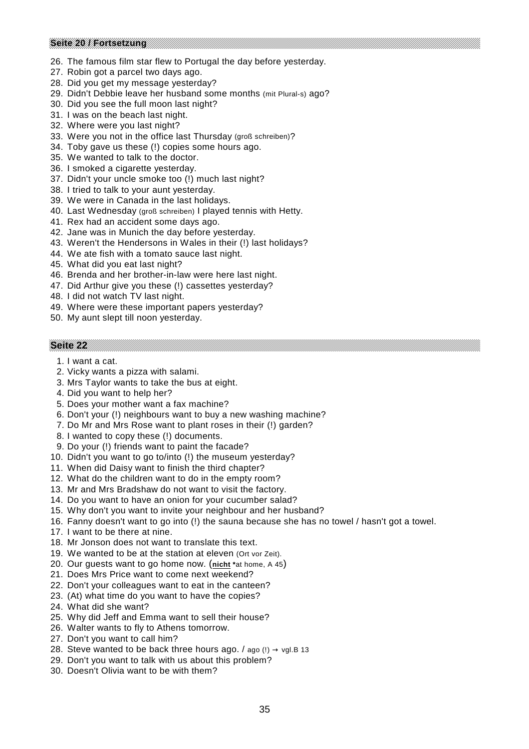#### **Seite 20 / Fortsetzung**

- 26. The famous film star flew to Portugal the day before yesterday.
- 27. Robin got a parcel two days ago.
- 28. Did you get my message yesterday?
- 29. Didn't Debbie leave her husband some months (mit Plural-s) ago?
- 30. Did you see the full moon last night?
- 31. I was on the beach last night.
- 32. Where were you last night?
- 33. Were you not in the office last Thursday (groß schreiben)?
- 34. Toby gave us these (!) copies some hours ago.
- 35. We wanted to talk to the doctor.
- 36. I smoked a cigarette yesterday.
- 37. Didn't your uncle smoke too (!) much last night?
- 38. I tried to talk to your aunt yesterday.
- 39. We were in Canada in the last holidays.
- 40. Last Wednesday (groß schreiben) I played tennis with Hetty.
- 41. Rex had an accident some days ago.
- 42. Jane was in Munich the day before yesterday.
- 43. Weren't the Hendersons in Wales in their (!) last holidays?
- 44. We ate fish with a tomato sauce last night.
- 45. What did you eat last night?
- 46. Brenda and her brother-in-law were here last night.
- 47. Did Arthur give you these (!) cassettes yesterday?
- 48. I did not watch TV last night.
- 49. Where were these important papers yesterday?
- 50. My aunt slept till noon yesterday.

- 1. I want a cat.
- 2. Vicky wants a pizza with salami.
- 3. Mrs Taylor wants to take the bus at eight.
- 4. Did you want to help her?
- 5. Does your mother want a fax machine?
- 6. Don't your (!) neighbours want to buy a new washing machine?
- 7. Do Mr and Mrs Rose want to plant roses in their (!) garden?
- 8. I wanted to copy these (!) documents.
- 9. Do your (!) friends want to paint the facade?
- 10. Didn't you want to go to/into (!) the museum yesterday?
- 11. When did Daisy want to finish the third chapter?
- 12. What do the children want to do in the empty room?
- 13. Mr and Mrs Bradshaw do not want to visit the factory.
- 14. Do you want to have an onion for your cucumber salad?
- 15. Why don't you want to invite your neighbour and her husband?
- 16. Fanny doesn't want to go into (!) the sauna because she has no towel / hasn't got a towel.
- 17. I want to be there at nine.
- 18. Mr Jonson does not want to translate this text.
- 19. We wanted to be at the station at eleven (Ort vor Zeit).
- 20. Our guests want to go home now. (**nicht \***at home, A 45)
- 21. Does Mrs Price want to come next weekend?
- 22. Don't your colleagues want to eat in the canteen?
- 23. (At) what time do you want to have the copies?
- 24. What did she want?
- 25. Why did Jeff and Emma want to sell their house?
- 26. Walter wants to fly to Athens tomorrow.
- 27. Don't you want to call him?
- 28. Steve wanted to be back three hours ago.  $/$  ago (!)  $\rightarrow$  vgl.B 13
- 29. Don't you want to talk with us about this problem?
- 30. Doesn't Olivia want to be with them?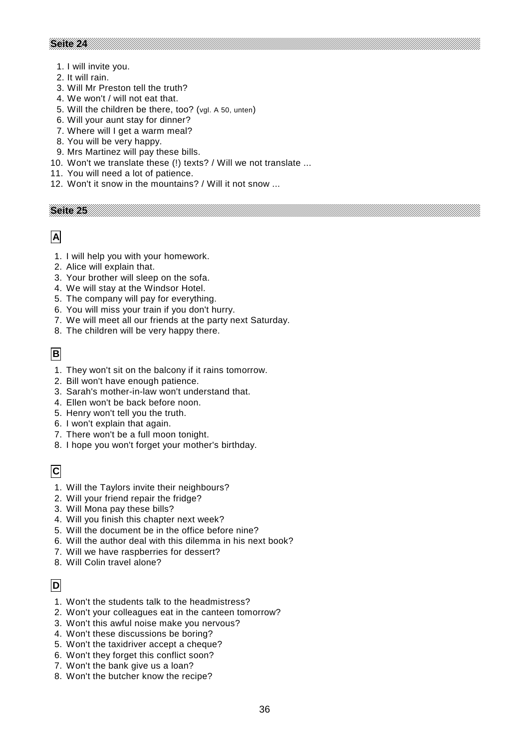- 1. I will invite you.
- 2. It will rain.
- 3. Will Mr Preston tell the truth?
- 4. We won't / will not eat that.
- 5. Will the children be there, too? (vgl. A 50, unten)
- 6. Will your aunt stay for dinner?
- 7. Where will I get a warm meal?
- 8. You will be very happy.
- 9. Mrs Martinez will pay these bills.
- 10. Won't we translate these (!) texts? / Will we not translate ...
- 11. You will need a lot of patience.
- 12. Won't it snow in the mountains? / Will it not snow ...

#### **Seite 25**

# **A**

- 1. I will help you with your homework.
- 2. Alice will explain that.
- 3. Your brother will sleep on the sofa.
- 4. We will stay at the Windsor Hotel.
- 5. The company will pay for everything.
- 6. You will miss your train if you don't hurry.
- 7. We will meet all our friends at the party next Saturday.
- 8. The children will be very happy there.

# **B**

- 1. They won't sit on the balcony if it rains tomorrow.
- 2. Bill won't have enough patience.
- 3. Sarah's mother-in-law won't understand that.
- 4. Ellen won't be back before noon.
- 5. Henry won't tell you the truth.
- 6. I won't explain that again.
- 7. There won't be a full moon tonight.
- 8. I hope you won't forget your mother's birthday.

# **C**

- 1. Will the Taylors invite their neighbours?
- 2. Will your friend repair the fridge?
- 3. Will Mona pay these bills?
- 4. Will you finish this chapter next week?
- 5. Will the document be in the office before nine?
- 6. Will the author deal with this dilemma in his next book?
- 7. Will we have raspberries for dessert?
- 8. Will Colin travel alone?

# **D**

- 1. Won't the students talk to the headmistress?
- 2. Won't your colleagues eat in the canteen tomorrow?
- 3. Won't this awful noise make you nervous?
- 4. Won't these discussions be boring?
- 5. Won't the taxidriver accept a cheque?
- 6. Won't they forget this conflict soon?
- 7. Won't the bank give us a loan?
- 8. Won't the butcher know the recipe?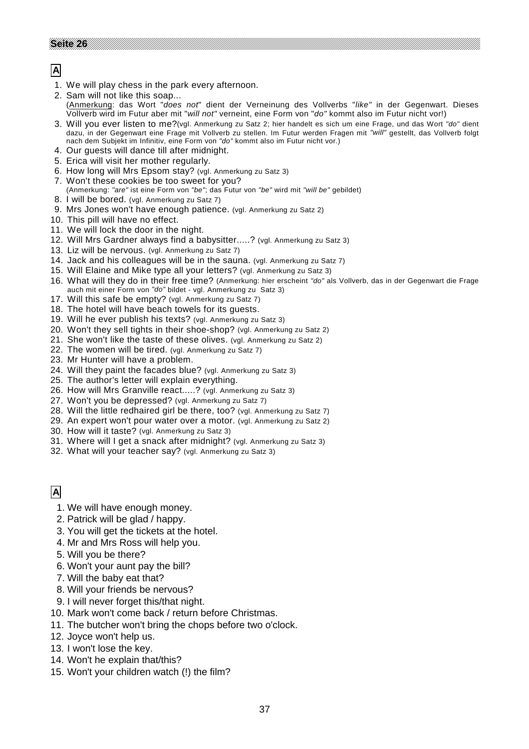# **A**

- 1. We will play chess in the park every afternoon.
- 2. Sam will not like this soap... (Anmerkung: das Wort "*does not*" dient der Verneinung des Vollverbs "*like"* in der Gegenwart. Dieses Vollverb wird im Futur aber mit "*will not"* verneint, eine Form von "*do"* kommt also im Futur nicht vor!)
- 3. Will you ever listen to me?(vgl. Anmerkung zu Satz 2; hier handelt es sich um eine Frage, und das Wort *"do"* dient dazu, in der Gegenwart eine Frage mit Vollverb zu stellen. Im Futur werden Fragen mit *"will"* gestellt, das Vollverb folgt nach dem Subjekt im Infinitiv, eine Form von *"do"* kommt also im Futur nicht vor.)
- 4. Our guests will dance till after midnight.
- 5. Erica will visit her mother regularly.
- 6. How long will Mrs Epsom stay? (vgl. Anmerkung zu Satz 3)
- 7. Won't these cookies be too sweet for you?
- (Anmerkung: *"are"* ist eine Form von *"be"*; das Futur von *"be"* wird mit *"will be"* gebildet)
- 8. I will be bored. (vgl. Anmerkung zu Satz 7)
- 9. Mrs Jones won't have enough patience. (vgl. Anmerkung zu Satz 2)
- 10. This pill will have no effect.
- 11. We will lock the door in the night.
- 12. Will Mrs Gardner always find a babysitter.....? (vgl. Anmerkung zu Satz 3)
- 13. Liz will be nervous. (vgl. Anmerkung zu Satz 7)
- 14. Jack and his colleagues will be in the sauna. (vgl. Anmerkung zu Satz 7)
- 15. Will Elaine and Mike type all your letters? (vgl. Anmerkung zu Satz 3)
- 16. What will they do in their free time? (Anmerkung: hier erscheint *"do"* als Vollverb, das in der Gegenwart die Frage auch mit einer Form von *"do"* bildet - vgl. Anmerkung zu Satz 3)
- 17. Will this safe be empty? (vgl. Anmerkung zu Satz 7)
- 18. The hotel will have beach towels for its guests.
- 19. Will he ever publish his texts? (vgl. Anmerkung zu Satz 3)
- 20. Won't they sell tights in their shoe-shop? (vgl. Anmerkung zu Satz 2)
- 21. She won't like the taste of these olives. (vgl. Anmerkung zu Satz 2)
- 22. The women will be tired. (vgl. Anmerkung zu Satz 7)
- 23. Mr Hunter will have a problem.
- 24. Will they paint the facades blue? (vgl. Anmerkung zu Satz 3)
- 25. The author's letter will explain everything.
- 26. How will Mrs Granville react.....? (vgl. Anmerkung zu Satz 3)
- 27. Won't you be depressed? (vgl. Anmerkung zu Satz 7)
- 28. Will the little redhaired girl be there, too? (vgl. Anmerkung zu Satz 7)
- 29. An expert won't pour water over a motor. (vgl. Anmerkung zu Satz 2)
- 30. How will it taste? (vgl. Anmerkung zu Satz 3)
- 31. Where will I get a snack after midnight? (vgl. Anmerkung zu Satz 3)
- 32. What will your teacher say? (vgl. Anmerkung zu Satz 3)

# **A**

- 1. We will have enough money.
- 2. Patrick will be glad / happy.
- 3. You will get the tickets at the hotel.
- 4. Mr and Mrs Ross will help you.
- 5. Will you be there?
- 6. Won't your aunt pay the bill?
- 7. Will the baby eat that?
- 8. Will your friends be nervous?
- 9. I will never forget this/that night.
- 10. Mark won't come back / return before Christmas.
- 11. The butcher won't bring the chops before two o'clock.
- 12. Joyce won't help us.
- 13. I won't lose the key.
- 14. Won't he explain that/this?
- 15. Won't your children watch (!) the film?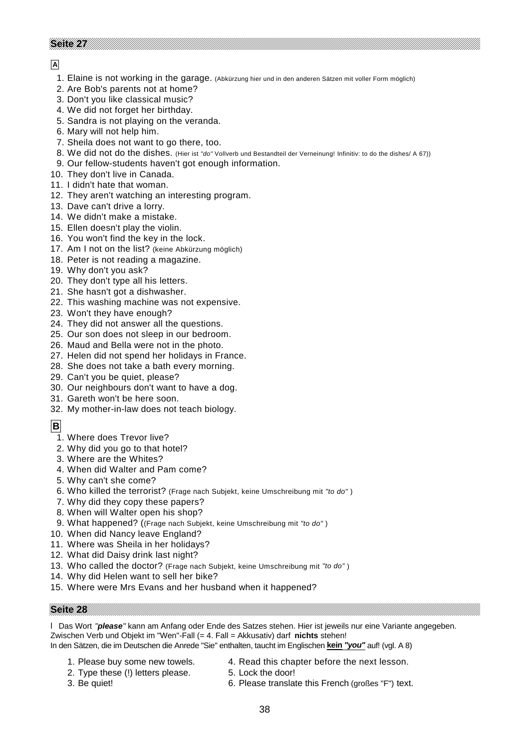# **A**

- 1. Elaine is not working in the garage. (Abkürzung hier und in den anderen Sätzen mit voller Form möglich)
- 2. Are Bob's parents not at home?
- 3. Don't you like classical music?
- 4. We did not forget her birthday.
- 5. Sandra is not playing on the veranda.
- 6. Mary will not help him.
- 7. Sheila does not want to go there, too.
- 8. We did not do the dishes. (Hier ist *"do"* Vollverb und Bestandteil der Verneinung! Infinitiv: to do the dishes/ A 67))
- 9. Our fellow-students haven't got enough information.
- 10. They don't live in Canada.
- 11. I didn't hate that woman.
- 12. They aren't watching an interesting program.
- 13. Dave can't drive a lorry.
- 14. We didn't make a mistake.
- 15. Ellen doesn't play the violin.
- 16. You won't find the key in the lock.
- 17. Am I not on the list? (keine Abkürzung möglich)
- 18. Peter is not reading a magazine.
- 19. Why don't you ask?
- 20. They don't type all his letters.
- 21. She hasn't got a dishwasher.
- 22. This washing machine was not expensive.
- 23. Won't they have enough?
- 24. They did not answer all the questions.
- 25. Our son does not sleep in our bedroom.
- 26. Maud and Bella were not in the photo.
- 27. Helen did not spend her holidays in France.
- 28. She does not take a bath every morning.
- 29. Can't you be quiet, please?
- 30. Our neighbours don't want to have a dog.
- 31. Gareth won't be here soon.
- 32. My mother-in-law does not teach biology.

# **B**

- 1. Where does Trevor live?
- 2. Why did you go to that hotel?
- 3. Where are the Whites?
- 4. When did Walter and Pam come?
- 5. Why can't she come?
- 6. Who killed the terrorist? (Frage nach Subjekt, keine Umschreibung mit *"to do"* )
- 7. Why did they copy these papers?
- 8. When will Walter open his shop?
- 9. What happened? ((Frage nach Subjekt, keine Umschreibung mit *"to do"* )
- 10. When did Nancy leave England?
- 11. Where was Sheila in her holidays?
- 12. What did Daisy drink last night?
- 13. Who called the doctor? (Frage nach Subjekt, keine Umschreibung mit *"to do"* )
- 14. Why did Helen want to sell her bike?
- 15. Where were Mrs Evans and her husband when it happened?

## **Seite 28**

 Das Wort *"please"* kann am Anfang oder Ende des Satzes stehen. Hier ist jeweils nur eine Variante angegeben. Zwischen Verb und Objekt im "Wen"-Fall (= 4. Fall = Akkusativ) darf **nichts** stehen! In den Sätzen, die im Deutschen die Anrede "Sie" enthalten, taucht im Englischen **kein** *"you"* auf! (vgl. A 8)

- 
- 1. Please buy some new towels. 4. Read this chapter before the next lesson.
- 2. Type these (!) letters please. 5. Lock the door!
- 
- 3. Be quiet! 6. Please translate this French (großes "F") text.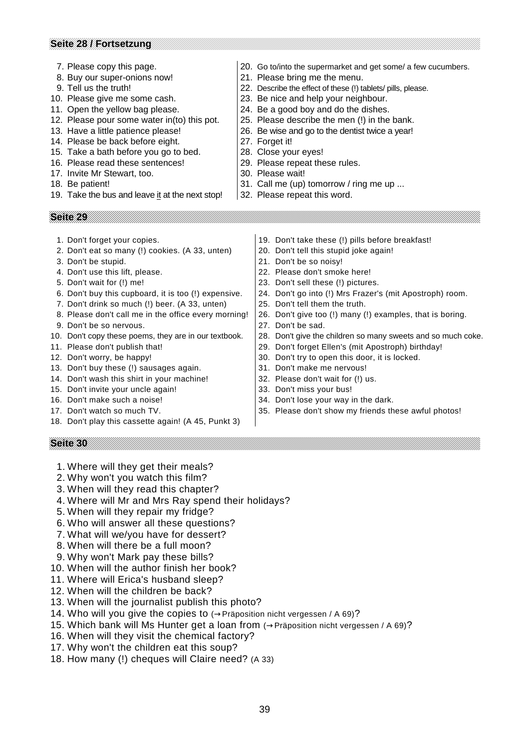| Seite 28 / Fortsetzung                                                                                                                                                                                                                                                                                                                                                                                                                                                                                                                                                                                                                                      |                                                                                                                                                                                                                                                                                                                                                                                                                                                                                                                                                                                                                                                                                           |
|-------------------------------------------------------------------------------------------------------------------------------------------------------------------------------------------------------------------------------------------------------------------------------------------------------------------------------------------------------------------------------------------------------------------------------------------------------------------------------------------------------------------------------------------------------------------------------------------------------------------------------------------------------------|-------------------------------------------------------------------------------------------------------------------------------------------------------------------------------------------------------------------------------------------------------------------------------------------------------------------------------------------------------------------------------------------------------------------------------------------------------------------------------------------------------------------------------------------------------------------------------------------------------------------------------------------------------------------------------------------|
| 7. Please copy this page.<br>8. Buy our super-onions now!<br>9. Tell us the truth!<br>10. Please give me some cash.<br>11. Open the yellow bag please.<br>12. Please pour some water in(to) this pot.<br>13. Have a little patience please!<br>14. Please be back before eight.<br>15. Take a bath before you go to bed.<br>16. Please read these sentences!<br>17. Invite Mr Stewart, too.<br>18. Be patient!<br>19. Take the bus and leave it at the next stop!                                                                                                                                                                                           | 20. Go to/into the supermarket and get some/ a few cucumbers.<br>21. Please bring me the menu.<br>22. Describe the effect of these (!) tablets/ pills, please.<br>23. Be nice and help your neighbour.<br>24. Be a good boy and do the dishes.<br>25. Please describe the men (!) in the bank.<br>26. Be wise and go to the dentist twice a year!<br>27. Forget it!<br>28. Close your eyes!<br>29. Please repeat these rules.<br>30. Please wait!<br>31. Call me (up) tomorrow / ring me up<br>32. Please repeat this word.                                                                                                                                                               |
| Seite 29                                                                                                                                                                                                                                                                                                                                                                                                                                                                                                                                                                                                                                                    |                                                                                                                                                                                                                                                                                                                                                                                                                                                                                                                                                                                                                                                                                           |
| 1. Don't forget your copies.<br>2. Don't eat so many (!) cookies. (A 33, unten)<br>3. Don't be stupid.<br>4. Don't use this lift, please.<br>5. Don't wait for (!) me!<br>6. Don't buy this cupboard, it is too (!) expensive.<br>7. Don't drink so much (!) beer. (A 33, unten)<br>8. Please don't call me in the office every morning!<br>9. Don't be so nervous.<br>10. Don't copy these poems, they are in our textbook.<br>11. Please don't publish that!<br>12. Don't worry, be happy!<br>13. Don't buy these (!) sausages again.<br>14. Don't wash this shirt in your machine!<br>15. Don't invite your uncle again!<br>16. Don't make such a noise! | 19. Don't take these (!) pills before breakfast!<br>20. Don't tell this stupid joke again!<br>21. Don't be so noisy!<br>22. Please don't smoke here!<br>23. Don't sell these (!) pictures.<br>24. Don't go into (!) Mrs Frazer's (mit Apostroph) room.<br>25. Don't tell them the truth.<br>26. Don't give too (!) many (!) examples, that is boring.<br>27. Don't be sad.<br>28. Don't give the children so many sweets and so much coke.<br>29. Don't forget Ellen's (mit Apostroph) birthday!<br>30. Don't try to open this door, it is locked.<br>31. Don't make me nervous!<br>32. Please don't wait for (!) us.<br>33. Don't miss your bus!<br>34. Don't lose your way in the dark. |
| 17. Don't watch so much TV.<br>18. Don't play this cassette again! (A 45, Punkt 3)                                                                                                                                                                                                                                                                                                                                                                                                                                                                                                                                                                          | 35. Please don't show my friends these awful photos!                                                                                                                                                                                                                                                                                                                                                                                                                                                                                                                                                                                                                                      |

- 18. Don't play this cassette again! (A 45, Punkt 3)
- 
- 1. Where will they get their meals?

- 2. Why won't you watch this film? 3. When will they read this chapter?
- 4. Where will Mr and Mrs Ray spend their holidays?
- 5. When will they repair my fridge?
- 6. Who will answer all these questions?
- 7. What will we/you have for dessert?
- 8. When will there be a full moon?
- 9. Why won't Mark pay these bills?
- 10. When will the author finish her book?
- 11. Where will Erica's husband sleep?
- 12. When will the children be back?
- 13. When will the journalist publish this photo?
- 14. Who will you give the copies to (→Präposition nicht vergessen / A 69)?
- 15. Which bank will Ms Hunter get a loan from (→Präposition nicht vergessen / A 69)?
- 16. When will they visit the chemical factory?
- 17. Why won't the children eat this soup?
- 18. How many (!) cheques will Claire need? (A 33)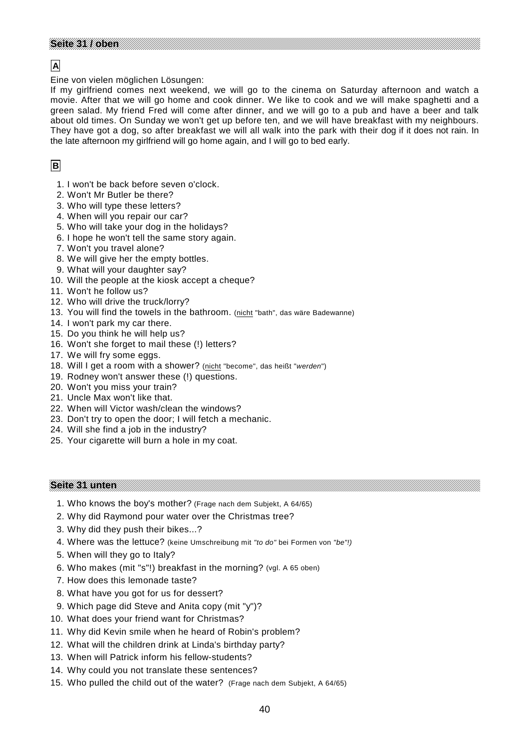# **A**

Eine von vielen möglichen Lösungen:

If my girlfriend comes next weekend, we will go to the cinema on Saturday afternoon and watch a movie. After that we will go home and cook dinner. We like to cook and we will make spaghetti and a green salad. My friend Fred will come after dinner, and we will go to a pub and have a beer and talk about old times. On Sunday we won't get up before ten, and we will have breakfast with my neighbours. They have got a dog, so after breakfast we will all walk into the park with their dog if it does not rain. In the late afternoon my girlfriend will go home again, and I will go to bed early.

# **B**

- 1. I won't be back before seven o'clock.
- 2. Won't Mr Butler be there?
- 3. Who will type these letters?
- 4. When will you repair our car?
- 5. Who will take your dog in the holidays?
- 6. I hope he won't tell the same story again.
- 7. Won't you travel alone?
- 8. We will give her the empty bottles.
- 9. What will your daughter say?
- 10. Will the people at the kiosk accept a cheque?
- 11. Won't he follow us?
- 12. Who will drive the truck/lorry?
- 13. You will find the towels in the bathroom. (nicht "bath", das wäre Badewanne)
- 14. I won't park my car there.
- 15. Do you think he will help us?
- 16. Won't she forget to mail these (!) letters?
- 17. We will fry some eggs.
- 18. Will I get a room with a shower? (nicht "become", das heißt "*werden*")
- 19. Rodney won't answer these (!) questions.
- 20. Won't you miss your train?
- 21. Uncle Max won't like that.
- 22. When will Victor wash/clean the windows?
- 23. Don't try to open the door; I will fetch a mechanic.
- 24. Will she find a job in the industry?
- 25. Your cigarette will burn a hole in my coat.

#### **Seite 31 unten**

- 1. Who knows the boy's mother? (Frage nach dem Subjekt, A 64/65)
- 2. Why did Raymond pour water over the Christmas tree?
- 3. Why did they push their bikes...?
- 4. Where was the lettuce? (keine Umschreibung mit *"to do"* bei Formen von *"be"!)*
- 5. When will they go to Italy?
- 6. Who makes (mit "s"!) breakfast in the morning? (vgl. A 65 oben)
- 7. How does this lemonade taste?
- 8. What have you got for us for dessert?
- 9. Which page did Steve and Anita copy (mit "y")?
- 10. What does your friend want for Christmas?
- 11. Why did Kevin smile when he heard of Robin's problem?
- 12. What will the children drink at Linda's birthday party?
- 13. When will Patrick inform his fellow-students?
- 14. Why could you not translate these sentences?
- 15. Who pulled the child out of the water? (Frage nach dem Subjekt, A 64/65)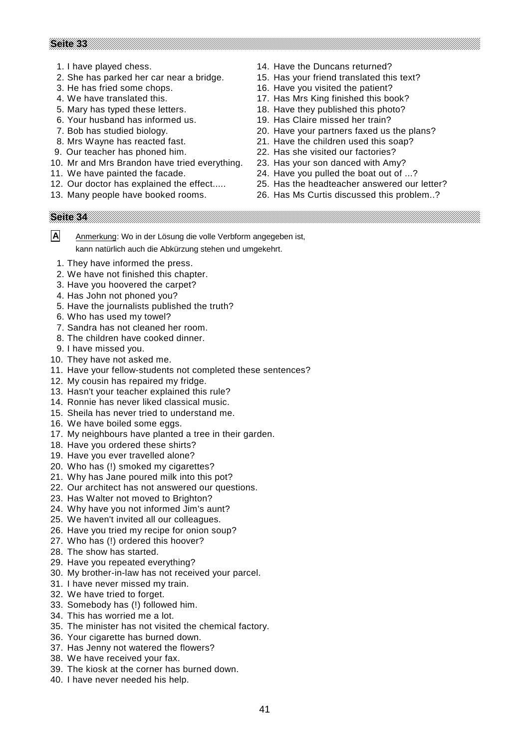- 
- 2. She has parked her car near a bridge. 15. Has your friend translated this text?
- 
- 
- 
- 6. Your husband has informed us. 19. Has Claire missed her train?
- 
- 
- 
- 10. Mr and Mrs Brandon have tried everything. 23. Has your son danced with Amy?
- 
- 
- 
- 1. I have played chess. 14. Have the Duncans returned?
	-
- 3. He has fried some chops. 16. Have you visited the patient?
- 4. We have translated this. 17. Has Mrs King finished this book?
- 5. Mary has typed these letters. 18. Have they published this photo?
	-
- 7. Bob has studied biology. 20. Have your partners faxed us the plans?
- 8. Mrs Wayne has reacted fast. 21. Have the children used this soap?
- 9. Our teacher has phoned him. 22. Has she visited our factories?
	-
- 11. We have painted the facade. 24. Have you pulled the boat out of ...?
- 12. Our doctor has explained the effect..... 25. Has the headteacher answered our letter?
- 13. Many people have booked rooms. 26. Has Ms Curtis discussed this problem..?

# **Seite 34**

**A** Anmerkung: Wo in der Lösung die volle Verbform angegeben ist, kann natürlich auch die Abkürzung stehen und umgekehrt.

- 1. They have informed the press.
- 2. We have not finished this chapter.
- 3. Have you hoovered the carpet?
- 4. Has John not phoned you?
- 5. Have the journalists published the truth?
- 6. Who has used my towel?
- 7. Sandra has not cleaned her room.
- 8. The children have cooked dinner.
- 9. I have missed you.
- 10. They have not asked me.
- 11. Have your fellow-students not completed these sentences?
- 12. My cousin has repaired my fridge.
- 13. Hasn't your teacher explained this rule?
- 14. Ronnie has never liked classical music.
- 15. Sheila has never tried to understand me.
- 16. We have boiled some eggs.
- 17. My neighbours have planted a tree in their garden.
- 18. Have you ordered these shirts?
- 19. Have you ever travelled alone?
- 20. Who has (!) smoked my cigarettes?
- 21. Why has Jane poured milk into this pot?
- 22. Our architect has not answered our questions.
- 23. Has Walter not moved to Brighton?
- 24. Why have you not informed Jim's aunt?
- 25. We haven't invited all our colleagues.
- 26. Have you tried my recipe for onion soup?
- 27. Who has (!) ordered this hoover?
- 28. The show has started.
- 29. Have you repeated everything?
- 30. My brother-in-law has not received your parcel.
- 31. I have never missed my train.
- 32. We have tried to forget.
- 33. Somebody has (!) followed him.
- 34. This has worried me a lot.
- 35. The minister has not visited the chemical factory.
- 36. Your cigarette has burned down.
- 37. Has Jenny not watered the flowers?
- 38. We have received your fax.
- 39. The kiosk at the corner has burned down.
- 40. I have never needed his help.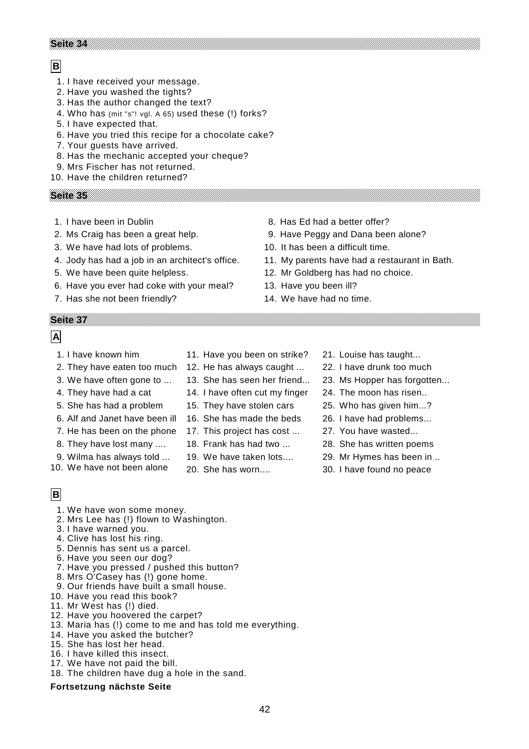# **B**

- 1. I have received your message.
- 2. Have you washed the tights?
- 3. Has the author changed the text?
- 4. Who has (mit "s"! vgl. A 65) used these (!) forks?
- 5. I have expected that.
- 6. Have you tried this recipe for a chocolate cake?
- 7. Your guests have arrived.
- 8. Has the mechanic accepted your cheque?
- 9. Mrs Fischer has not returned.
- 10. Have the children returned?

**Seite 35**

- 
- 
- 3. We have had lots of problems. 10. It has been a difficult time.
- 
- 
- 6. Have you ever had coke with your meal? 13. Have you been ill?
- 7. Has she not been friendly? 14. We have had no time.

#### **Seite 37**

# **A**

- 
- 
- 
- 
- 
- 6. Alf and Janet have been ill 16. She has made the beds 26. I have had problems...
- 7. He has been on the phone 17. This project has cost ... 27. You have wasted...
- 
- 
- 10. We have not been alone 20. She has worn.... 30. I have found no peace
- **B**
	- 1. We have won some money.
	- 2. Mrs Lee has (!) flown to Washington.
	- 3. I have warned you.
	- 4. Clive has lost his ring.
	- 5. Dennis has sent us a parcel.
	- 6. Have you seen our dog?
	- 7. Have you pressed / pushed this button?
- 8. Mrs O'Casey has (!) gone home.
- 9. Our friends have built a small house. 10. Have you read this book?
- 11. Mr West has (!) died.
- 12. Have you hoovered the carpet?
- 13. Maria has (!) come to me and has told me everything.
- 14. Have you asked the butcher?
- 15. She has lost her head.
- 16. I have killed this insect.
- 17. We have not paid the bill.
- 18. The children have dug a hole in the sand.

- 
- 
- 
- 
- 4. They have had a cat 14. I have often cut my finger 24. The moon has risen..
	-
	-
	-
	-
	-
	-
- 1. I have been in Dublin **8. Has Ed had a better offer?**
- 2. Ms Craig has been a great help. 9. Have Peggy and Dana been alone?
	-
- 4. Jody has had a job in an architect's office. 11. My parents have had a restaurant in Bath.
- 5. We have been quite helpless. 12. Mr Goldberg has had no choice.
	-
	-
- 1. I have known him 11. Have you been on strike? 21. Louise has taught...
- 2. They have eaten too much 12. He has always caught ... 22. I have drunk too much
- 3. We have often gone to ... 13. She has seen her friend... 23. Ms Hopper has forgotten...
	-
- 5. She has had a problem 15. They have stolen cars 25. Who has given him...?
	-
	-
- 8. They have lost many .... 18. Frank has had two ... 28. She has written poems
- 9. Wilma has always told ... 19. We have taken lots.... 29. Mr Hymes has been in ..
	-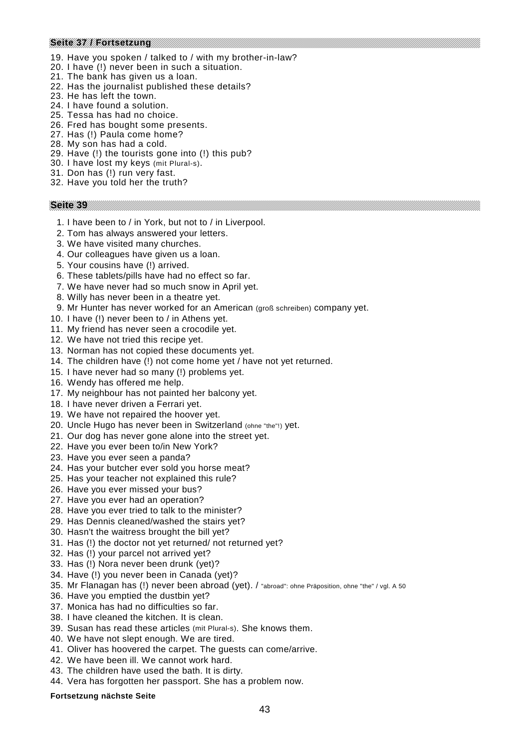#### **Seite 37 / Fortsetzung**

#### 19. Have you spoken / talked to / with my brother-in-law?

- 20. I have (!) never been in such a situation.
- 21. The bank has given us a loan.
- 22. Has the journalist published these details?
- 23. He has left the town.
- 24. I have found a solution.
- 25. Tessa has had no choice.
- 26. Fred has bought some presents.
- 27. Has (!) Paula come home?
- 28. My son has had a cold.
- 29. Have (!) the tourists gone into (!) this pub?
- 30. I have lost my keys (mit Plural-s).
- 31. Don has (!) run very fast.
- 32. Have you told her the truth?

#### **Seite 39**

- 1. I have been to / in York, but not to / in Liverpool.
- 2. Tom has always answered your letters.
- 3. We have visited many churches.
- 4. Our colleagues have given us a loan.
- 5. Your cousins have (!) arrived.
- 6. These tablets/pills have had no effect so far.
- 7. We have never had so much snow in April yet.
- 8. Willy has never been in a theatre yet.
- 9. Mr Hunter has never worked for an American (groß schreiben) company yet.
- 10. I have (!) never been to / in Athens yet.
- 11. My friend has never seen a crocodile yet.
- 12. We have not tried this recipe yet.
- 13. Norman has not copied these documents yet.
- 14. The children have (!) not come home yet / have not yet returned.
- 15. I have never had so many (!) problems yet.
- 16. Wendy has offered me help.
- 17. My neighbour has not painted her balcony yet.
- 18. I have never driven a Ferrari yet.
- 19. We have not repaired the hoover yet.
- 20. Uncle Hugo has never been in Switzerland (ohne "the"!) yet.
- 21. Our dog has never gone alone into the street yet.
- 22. Have you ever been to/in New York?
- 23. Have you ever seen a panda?
- 24. Has your butcher ever sold you horse meat?
- 25. Has your teacher not explained this rule?
- 26. Have you ever missed your bus?
- 27. Have you ever had an operation?
- 28. Have you ever tried to talk to the minister?
- 29. Has Dennis cleaned/washed the stairs yet?
- 30. Hasn't the waitress brought the bill yet?
- 31. Has (!) the doctor not yet returned/ not returned yet?
- 32. Has (!) your parcel not arrived yet?
- 33. Has (!) Nora never been drunk (yet)?
- 34. Have (!) you never been in Canada (yet)?
- 35. Mr Flanagan has (!) never been abroad (yet). / "abroad": ohne Präposition, ohne "the" / vgl. A 50
- 36. Have you emptied the dustbin yet?
- 37. Monica has had no difficulties so far.
- 38. I have cleaned the kitchen. It is clean.
- 39. Susan has read these articles (mit Plural-s). She knows them.
- 40. We have not slept enough. We are tired.
- 41. Oliver has hoovered the carpet. The guests can come/arrive.
- 42. We have been ill. We cannot work hard.
- 43. The children have used the bath. It is dirty.
- 44. Vera has forgotten her passport. She has a problem now.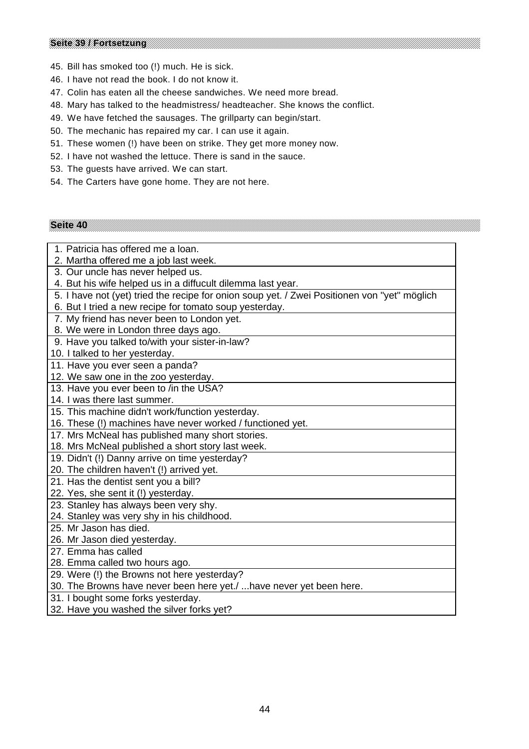#### **Seite 39 / Fortsetzung**

- 45. Bill has smoked too (!) much. He is sick.
- 46. I have not read the book. I do not know it.
- 47. Colin has eaten all the cheese sandwiches. We need more bread.
- 48. Mary has talked to the headmistress/ headteacher. She knows the conflict.
- 49. We have fetched the sausages. The grillparty can begin/start.
- 50. The mechanic has repaired my car. I can use it again.
- 51. These women (!) have been on strike. They get more money now.
- 52. I have not washed the lettuce. There is sand in the sauce.
- 53. The guests have arrived. We can start.
- 54. The Carters have gone home. They are not here.

- 1. Patricia has offered me a loan.
- 2. Martha offered me a job last week.
- 3. Our uncle has never helped us.
- 4. But his wife helped us in a diffucult dilemma last year.
- 5. I have not (yet) tried the recipe for onion soup yet. / Zwei Positionen von "yet" möglich
- 6. But I tried a new recipe for tomato soup yesterday.
- 7. My friend has never been to London yet.
- 8. We were in London three days ago.
- 9. Have you talked to/with your sister-in-law?
- 10. I talked to her yesterday.
- 11. Have you ever seen a panda?
- 12. We saw one in the zoo yesterday.
- 13. Have you ever been to /in the USA?
- 14. I was there last summer.
- 15. This machine didn't work/function yesterday.
- 16. These (!) machines have never worked / functioned yet.
- 17. Mrs McNeal has published many short stories.
- 18. Mrs McNeal published a short story last week.
- 19. Didn't (!) Danny arrive on time yesterday?
- 20. The children haven't (!) arrived yet.
- 21. Has the dentist sent you a bill?
- 22. Yes, she sent it (!) yesterday.
- 23. Stanley has always been very shy.
- 24. Stanley was very shy in his childhood.
- 25. Mr Jason has died.
- 26. Mr Jason died yesterday.
- 27. Emma has called
- 28. Emma called two hours ago.
- 29. Were (!) the Browns not here yesterday?
- 30. The Browns have never been here yet./ ...have never yet been here.
- 31. I bought some forks yesterday.
- 32. Have you washed the silver forks yet?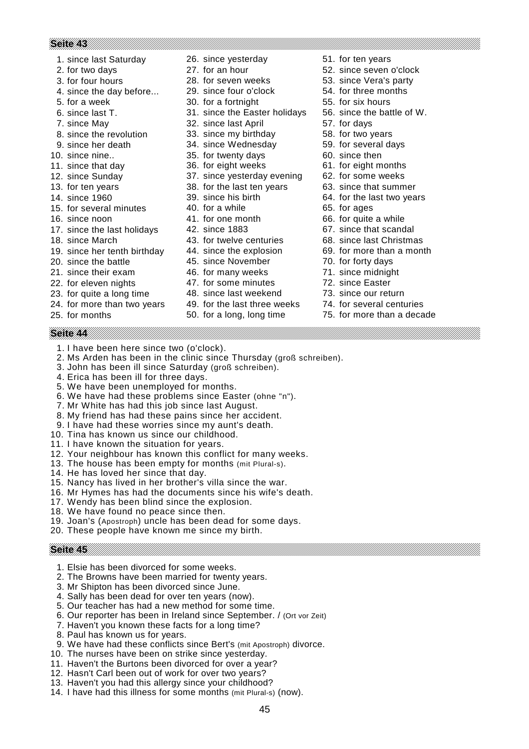- 1. since last Saturday 26. since yesterday 51. for ten years
- 
- 
- 4. since the day before... 29. since four o'clock 54. for three months
- 
- 
- 
- 8. since the revolution 33. since my birthday 58. for two years
- 
- 
- 
- 
- 
- 
- 15. for several minutes 40. for a while 65. for ages
- 
- 17. since the last holidays 42. since 1883 67. since that scandal
- 
- 19. since her tenth birthday 44. since the explosion 69. for more than a month
- 20. since the battle 45. since November 70. for forty days
- 21. since their exam 46. for many weeks 71. since midnight
- 22. for eleven nights 47. for some minutes 72. since Easter
- 
- 24. for more than two years 49. for the last three weeks 74. for several centuries
- 

**Seite 44**

- 
- 
- 
- 
- 5. for a week 30. for a fortnight 55. for six hours
- 6. since last T. 31. since the Easter holidays 56. since the battle of W.
- 7. since May 22. since last April 57. for days
	-
- 9. since her death 34. since Wednesday 59. for several days
- 10. since nine.. 35. for twenty days 60. since then
- 11. since that day 36. for eight weeks 61. for eight months
- 12. since Sunday 37. since yesterday evening 62. for some weeks
- 13. for ten years 38. for the last ten years 63. since that summer
	-
	-
	-
	-
	-
	-
	-
	-
	-
	-
	-
- 23. for quite a long time 48. since last weekend 73. since our return
	-
	-
- 
- 2. for two days 27. for an hour 52. since seven o'clock
- 3. for four hours 28. for seven weeks 53. since Vera's party
	-
	-
	-
	-
	-
	-
	-
	-
	-
	-
- 14. since 1960 39. since his birth 64. for the last two years
	-
- 16. since noon 41. for one month 66. for quite a while
	-
- 18. since March 43. for twelve centuries 68. since last Christmas
	-
	-
	-
	-
	-
	-
- 25. for months 50. for a long, long time 75. for more than a decade
	- 1. I have been here since two (o'clock).
- 2. Ms Arden has been in the clinic since Thursday (groß schreiben).
- 3. John has been ill since Saturday (groß schreiben).
- 4. Erica has been ill for three days.
- 5. We have been unemployed for months.
- 6. We have had these problems since Easter (ohne "n").
- 7. Mr White has had this job since last August.
- 8. My friend has had these pains since her accident.
- 9. I have had these worries since my aunt's death.
- 10. Tina has known us since our childhood.
- 11. I have known the situation for years.
- 12. Your neighbour has known this conflict for many weeks.
- 13. The house has been empty for months (mit Plural-s).
- 14. He has loved her since that day.
- 15. Nancy has lived in her brother's villa since the war.
- 16. Mr Hymes has had the documents since his wife's death.

6. Our reporter has been in Ireland since September. / (Ort vor Zeit)

9. We have had these conflicts since Bert's (mit Apostroph) divorce.

45

- 17. Wendy has been blind since the explosion.
- 18. We have found no peace since then.
- 19. Joan's (Apostroph) uncle has been dead for some days.
- 20. These people have known me since my birth.

# **Seite 45**

7. Haven't you known these facts for a long time?

10. The nurses have been on strike since yesterday. 11. Haven't the Burtons been divorced for over a year? 12. Hasn't Carl been out of work for over two years? 13. Haven't you had this allergy since your childhood? 14. I have had this illness for some months (mit Plural-s) (now).

1. Elsie has been divorced for some weeks. 2. The Browns have been married for twenty years.

3. Mr Shipton has been divorced since June. 4. Sally has been dead for over ten years (now). 5. Our teacher has had a new method for some time.

8. Paul has known us for years.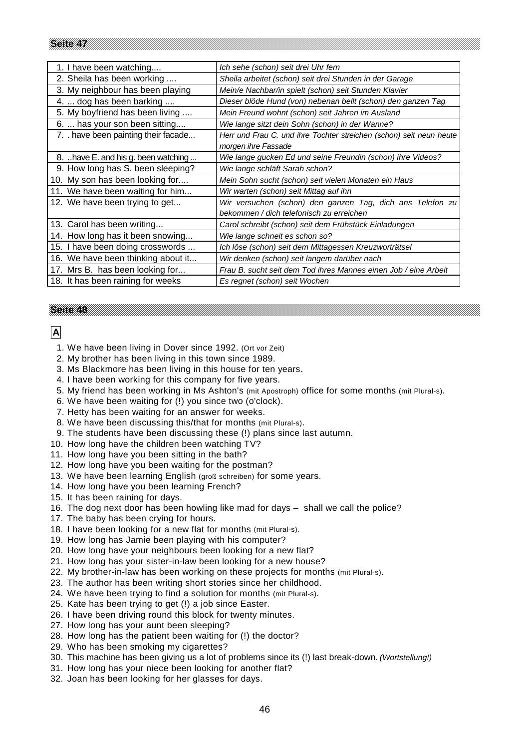| 1. I have been watching             | Ich sehe (schon) seit drei Uhr fern                                 |
|-------------------------------------|---------------------------------------------------------------------|
| 2. Sheila has been working          | Sheila arbeitet (schon) seit drei Stunden in der Garage             |
| 3. My neighbour has been playing    | Mein/e Nachbar/in spielt (schon) seit Stunden Klavier               |
| 4.  dog has been barking            | Dieser blöde Hund (von) nebenan bellt (schon) den ganzen Tag        |
| 5. My boyfriend has been living     | Mein Freund wohnt (schon) seit Jahren im Ausland                    |
| 6.  has your son been sitting       | Wie lange sitzt dein Sohn (schon) in der Wanne?                     |
| 7. have been painting their facade  | Herr und Frau C. und ihre Tochter streichen (schon) seit neun heute |
|                                     | morgen ihre Fassade                                                 |
| 8. have E. and his g. been watching | Wie lange gucken Ed und seine Freundin (schon) ihre Videos?         |
| 9. How long has S. been sleeping?   | Wie lange schläft Sarah schon?                                      |
| 10. My son has been looking for     | Mein Sohn sucht (schon) seit vielen Monaten ein Haus                |
| 11. We have been waiting for him    | Wir warten (schon) seit Mittag auf ihn                              |
| 12. We have been trying to get      | Wir versuchen (schon) den ganzen Tag, dich ans Telefon zu           |
|                                     | bekommen / dich telefonisch zu erreichen                            |
| 13. Carol has been writing          | Carol schreibt (schon) seit dem Frühstück Einladungen               |
| 14. How long has it been snowing    | Wie lange schneit es schon so?                                      |
| 15. I have been doing crosswords    | Ich löse (schon) seit dem Mittagessen Kreuzworträtsel               |
| 16. We have been thinking about it  | Wir denken (schon) seit langem darüber nach                         |
| 17. Mrs B. has been looking for     | Frau B. sucht seit dem Tod ihres Mannes einen Job / eine Arbeit     |
| 18. It has been raining for weeks   | Es regnet (schon) seit Wochen                                       |
|                                     |                                                                     |

# **A**

- 1. We have been living in Dover since 1992. (Ort vor Zeit)
- 2. My brother has been living in this town since 1989.
- 3. Ms Blackmore has been living in this house for ten years.
- 4. I have been working for this company for five years.
- 5. My friend has been working in Ms Ashton's (mit Apostroph) office for some months (mit Plural-s).
- 6. We have been waiting for (!) you since two (o'clock).
- 7. Hetty has been waiting for an answer for weeks.
- 8. We have been discussing this/that for months (mit Plural-s).
- 9. The students have been discussing these (!) plans since last autumn.
- 10. How long have the children been watching TV?
- 11. How long have you been sitting in the bath?
- 12. How long have you been waiting for the postman?
- 13. We have been learning English (groß schreiben) for some years.
- 14. How long have you been learning French?
- 15. It has been raining for days.
- 16. The dog next door has been howling like mad for days shall we call the police?
- 17. The baby has been crying for hours.
- 18. I have been looking for a new flat for months (mit Plural-s).
- 19. How long has Jamie been playing with his computer?
- 20. How long have your neighbours been looking for a new flat?
- 21. How long has your sister-in-law been looking for a new house?
- 22. My brother-in-law has been working on these projects for months (mit Plural-s).
- 23. The author has been writing short stories since her childhood.
- 24. We have been trying to find a solution for months (mit Plural-s).
- 25. Kate has been trying to get (!) a job since Easter.
- 26. I have been driving round this block for twenty minutes.
- 27. How long has your aunt been sleeping?
- 28. How long has the patient been waiting for (!) the doctor?
- 29. Who has been smoking my cigarettes?
- 30. This machine has been giving us a lot of problems since its (!) last break-down. *(Wortstellung!)*
- 31. How long has your niece been looking for another flat?
- 32. Joan has been looking for her glasses for days.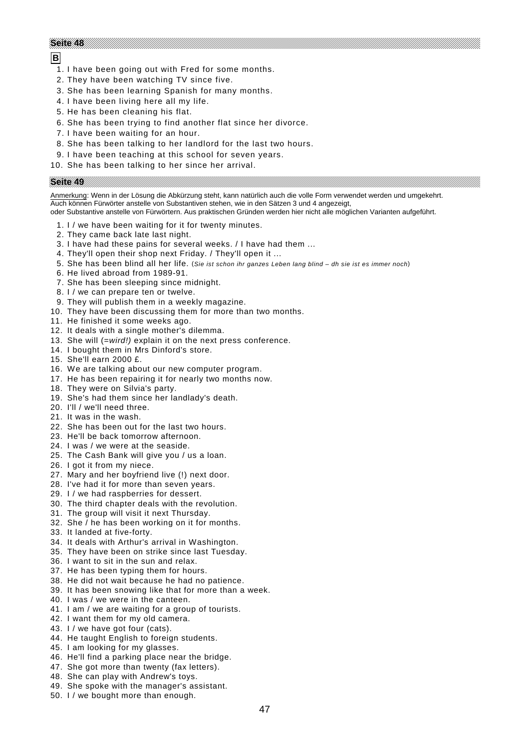#### **B**

- 1. I have been going out with Fred for some months.
- 2. They have been watching TV since five.
- 3. She has been learning Spanish for many months.
- 4. I have been living here all my life.
- 5. He has been cleaning his flat.
- 6. She has been trying to find another flat since her divorce.
- 7. I have been waiting for an hour.
- 8. She has been talking to her landlord for the last two hours.
- 9. I have been teaching at this school for seven years.
- 10. She has been talking to her since her arrival.

#### **Seite 49**

Anmerkung: Wenn in der Lösung die Abkürzung steht, kann natürlich auch die volle Form verwendet werden und umgekehrt. Auch können Fürwörter anstelle von Substantiven stehen, wie in den Sätzen 3 und 4 angezeigt, oder Substantive anstelle von Fürwörtern. Aus praktischen Gründen werden hier nicht alle möglichen Varianten aufgeführt.

- 1. I / we have been waiting for it for twenty minutes.
- 2. They came back late last night.
- 3. I have had these pains for several weeks. / I have had them ...
- 4. They'll open their shop next Friday. / They'll open it ...
- 5. She has been blind all her life. (*Sie ist schon ihr ganzes Leben lang blind dh sie ist es immer noch*)
- 6. He lived abroad from 1989-91.
- 7. She has been sleeping since midnight.
- 8. I / we can prepare ten or twelve.
- 9. They will publish them in a weekly magazine.
- 10. They have been discussing them for more than two months.
- 11. He finished it some weeks ago.
- 12. It deals with a single mother's dilemma.
- 13. She will (=*wird!)* explain it on the next press conference.
- 14. I bought them in Mrs Dinford's store.
- 15. She'll earn 2000 £.
- 16. We are talking about our new computer program.
- 17. He has been repairing it for nearly two months now.
- 18. They were on Silvia's party.
- 19. She's had them since her landlady's death.
- 20. I'll / we'll need three.
- 21. It was in the wash.
- 22. She has been out for the last two hours.
- 23. He'll be back tomorrow afternoon.
- 24. I was / we were at the seaside.
- 25. The Cash Bank will give you / us a loan.
- 26. I got it from my niece.
- 27. Mary and her boyfriend live (!) next door.
- 28. I've had it for more than seven years.
- 29. I / we had raspberries for dessert.
- 30. The third chapter deals with the revolution.
- 31. The group will visit it next Thursday.
- 32. She / he has been working on it for months.
- 33. It landed at five-forty.
- 34. It deals with Arthur's arrival in Washington.
- 35. They have been on strike since last Tuesday.
- 36. I want to sit in the sun and relax.
- 37. He has been typing them for hours.
- 38. He did not wait because he had no patience.
- 39. It has been snowing like that for more than a week.
- 40. I was / we were in the canteen.
- 41. I am / we are waiting for a group of tourists.
- 42. I want them for my old camera.
- 43. I / we have got four (cats).
- 44. He taught English to foreign students.
- 45. I am looking for my glasses.
- 46. He'll find a parking place near the bridge.
- 47. She got more than twenty (fax letters).
- 48. She can play with Andrew's toys.
- 49. She spoke with the manager's assistant.
- 50. I / we bought more than enough.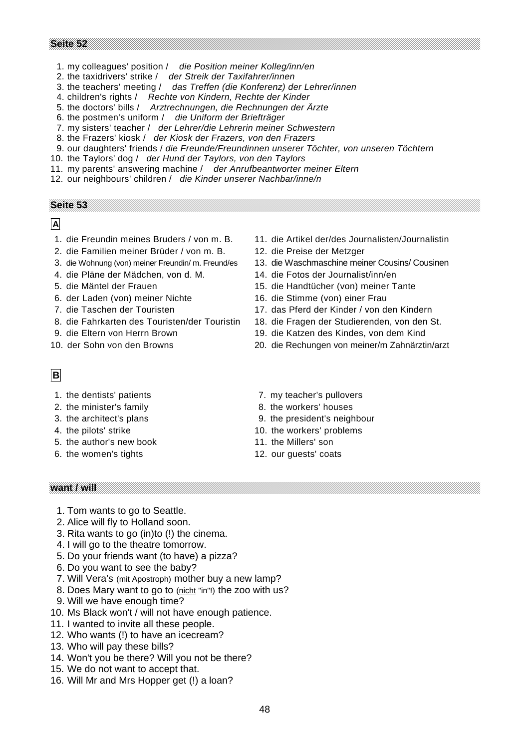- 1. my colleagues' position / *die Position meiner Kolleg/inn/en*
- 2. the taxidrivers' strike / *der Streik der Taxifahrer/innen*
- 3. the teachers' meeting / *das Treffen (die Konferenz) der Lehrer/innen*
- 4. children's rights / *Rechte von Kindern, Rechte der Kinder*
- 5. the doctors' bills / *Arztrechnungen, die Rechnungen der Ärzte*
- 6. the postmen's uniform / *die Uniform der Briefträger*
- 7. my sisters' teacher / *der Lehrer/die Lehrerin meiner Schwestern*
- 8. the Frazers' kiosk / *der Kiosk der Frazers, von den Frazers*
- 9. our daughters' friends / *die Freunde/Freundinnen unserer Töchter, von unseren Töchtern*
- 10. the Taylors' dog / *der Hund der Taylors, von den Taylors*
- 11. my parents' answering machine / *der Anrufbeantworter meiner Eltern*
- 12. our neighbours' children / *die Kinder unserer Nachbar/inne/n*

## **Seite 53**

## **A**

- 
- 2. die Familien meiner Brüder / von m. B. 12. die Preise der Metzger
- 
- 4. die Pläne der Mädchen, von d. M. 14. die Fotos der Journalist/inn/en
- 
- 6. der Laden (von) meiner Nichte 16. die Stimme (von) einer Frau
- 
- 8. die Fahrkarten des Touristen/der Touristin 18. die Fragen der Studierenden, von den St.
- 
- 
- 1. die Freundin meines Bruders / von m. B. 11. die Artikel der/des Journalisten/Journalistin
	-
- 3. die Wohnung (von) meiner Freundin/ m. Freund/es 13. die Waschmaschine meiner Cousins/ Cousinen
	-
- 5. die Mäntel der Frauen 15. die Handtücher (von) meiner Tante
	-
- 7. die Taschen der Touristen 17. das Pferd der Kinder / von den Kindern
	-
- 9. die Eltern von Herrn Brown 19. die Katzen des Kindes, von dem Kind
- 10. der Sohn von den Browns 20. die Rechungen von meiner/m Zahnärztin/arzt

# **B**

- 
- 2. the minister's family example and the second state of  $\mathbf{8}$ , the workers' houses
- 
- 

**want / will**

- 5. the author's new book 11. the Millers' son
- 6. the women's tights 12. our guests' coats
- 1. the dentists' patients 7. my teacher's pullovers
	-
- 3. the architect's plans 9. the president's neighbour
- 4. the pilots' strike 10. the workers' problems
	-
	-

- 1. Tom wants to go to Seattle.
- 2. Alice will fly to Holland soon.
- 3. Rita wants to go (in)to (!) the cinema.
- 4. I will go to the theatre tomorrow.
- 5. Do your friends want (to have) a pizza?
- 6. Do you want to see the baby?
- 7. Will Vera's (mit Apostroph) mother buy a new lamp?
- 8. Does Mary want to go to (nicht "in"!) the zoo with us?
- 9. Will we have enough time?
- 10. Ms Black won't / will not have enough patience.
- 11. I wanted to invite all these people.
- 12. Who wants (!) to have an icecream?
- 13. Who will pay these bills?
- 14. Won't you be there? Will you not be there?
- 15. We do not want to accept that.
- 16. Will Mr and Mrs Hopper get (!) a loan?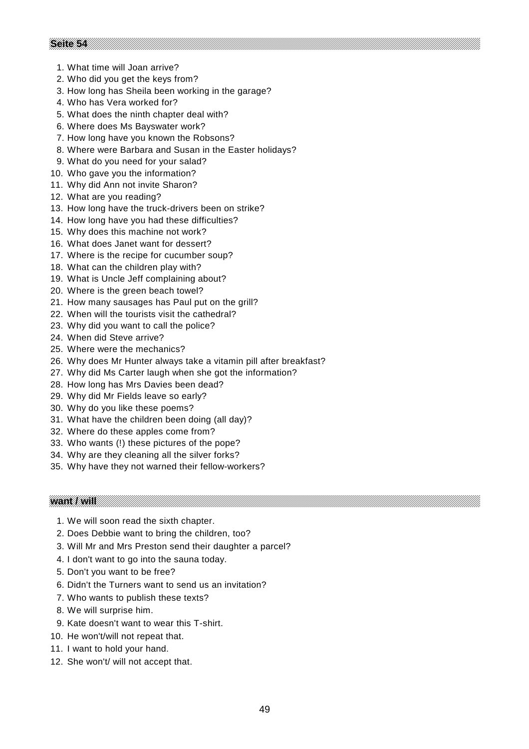- 1. What time will Joan arrive?
- 2. Who did you get the keys from?
- 3. How long has Sheila been working in the garage?
- 4. Who has Vera worked for?
- 5. What does the ninth chapter deal with?
- 6. Where does Ms Bayswater work?
- 7. How long have you known the Robsons?
- 8. Where were Barbara and Susan in the Easter holidays?
- 9. What do you need for your salad?
- 10. Who gave you the information?
- 11. Why did Ann not invite Sharon?
- 12. What are you reading?
- 13. How long have the truck-drivers been on strike?
- 14. How long have you had these difficulties?
- 15. Why does this machine not work?
- 16. What does Janet want for dessert?
- 17. Where is the recipe for cucumber soup?
- 18. What can the children play with?
- 19. What is Uncle Jeff complaining about?
- 20. Where is the green beach towel?
- 21. How many sausages has Paul put on the grill?
- 22. When will the tourists visit the cathedral?
- 23. Why did you want to call the police?
- 24. When did Steve arrive?
- 25. Where were the mechanics?
- 26. Why does Mr Hunter always take a vitamin pill after breakfast?
- 27. Why did Ms Carter laugh when she got the information?
- 28. How long has Mrs Davies been dead?
- 29. Why did Mr Fields leave so early?
- 30. Why do you like these poems?
- 31. What have the children been doing (all day)?
- 32. Where do these apples come from?
- 33. Who wants (!) these pictures of the pope?
- 34. Why are they cleaning all the silver forks?
- 35. Why have they not warned their fellow-workers?

**want / will**

- 1. We will soon read the sixth chapter.
- 2. Does Debbie want to bring the children, too?
- 3. Will Mr and Mrs Preston send their daughter a parcel?
- 4. I don't want to go into the sauna today.
- 5. Don't you want to be free?
- 6. Didn't the Turners want to send us an invitation?
- 7. Who wants to publish these texts?
- 8. We will surprise him.
- 9. Kate doesn't want to wear this T-shirt.
- 10. He won't/will not repeat that.
- 11. I want to hold your hand.
- 12. She won't/ will not accept that.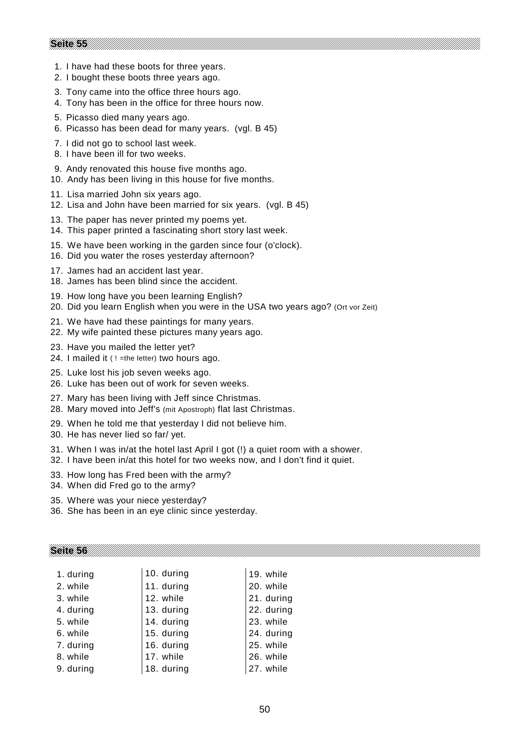- 1. I have had these boots for three years.
- 2. I bought these boots three years ago.
- 3. Tony came into the office three hours ago.
- 4. Tony has been in the office for three hours now.
- 5. Picasso died many years ago.
- 6. Picasso has been dead for many years. (vgl. B 45)
- 7. I did not go to school last week.
- 8. I have been ill for two weeks.
- 9. Andy renovated this house five months ago.
- 10. Andy has been living in this house for five months.
- 11. Lisa married John six years ago.
- 12. Lisa and John have been married for six years. (vgl. B 45)
- 13. The paper has never printed my poems yet.
- 14. This paper printed a fascinating short story last week.
- 15. We have been working in the garden since four (o'clock).
- 16. Did you water the roses yesterday afternoon?
- 17. James had an accident last year.
- 18. James has been blind since the accident.
- 19. How long have you been learning English?
- 20. Did you learn English when you were in the USA two years ago? (Ort vor Zeit)
- 21. We have had these paintings for many years.
- 22. My wife painted these pictures many years ago.
- 23. Have you mailed the letter yet?
- 24. I mailed it (! = the letter) two hours ago.
- 25. Luke lost his job seven weeks ago.
- 26. Luke has been out of work for seven weeks.
- 27. Mary has been living with Jeff since Christmas.
- 28. Mary moved into Jeff's (mit Apostroph) flat last Christmas.
- 29. When he told me that yesterday I did not believe him.
- 30. He has never lied so far/ yet.
- 31. When I was in/at the hotel last April I got (!) a quiet room with a shower.
- 32. I have been in/at this hotel for two weeks now, and I don't find it quiet.
- 33. How long has Fred been with the army?
- 34. When did Fred go to the army?

- 35. Where was your niece yesterday?
- 36. She has been in an eye clinic since yesterday.

| 1. during | 10. during | 19. while  |
|-----------|------------|------------|
| 2. while  | 11. during | 20. while  |
| 3. while  | 12. while  | 21. during |
| 4. during | 13. during | 22. during |
| 5. while  | 14. during | 23. while  |
| 6. while  | 15. during | 24. during |
| 7. during | 16. during | 25. while  |
| 8. while  | 17. while  | 26. while  |
| 9. during | 18. during | 27. while  |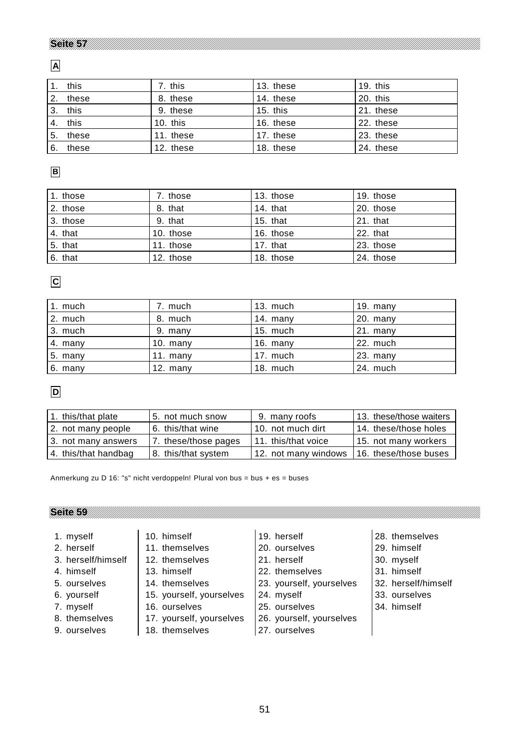**A**

| $^{\circ}$ 1.    | this  | 7. this    | 13. these  | 19. this  |
|------------------|-------|------------|------------|-----------|
| $\overline{2}$ . | these | 8. these   | 14. these  | 20. this  |
| 3.               | this  | 9. these   | $15.$ this | 21. these |
| 4.               | this  | $10.$ this | 16. these  | 22. these |
| 5.               | these | 11. these  | 17. these  | 23. these |
| 6.               | these | 12. these  | 18. these  | 24. these |

# **B**

| 1. those | 7. those  | 13. those  | 19. those  |
|----------|-----------|------------|------------|
| 2. those | 8. that   | 14. that   | 20. those  |
| 3. those | 9. that   | $15.$ that | $21.$ that |
| 4. that  | 10. those | 16. those  | $22.$ that |
| 5. that  | 11. those | 17. that   | 23. those  |
| 6. that  | 12. those | 18. those  | 24. those  |

# **C**

| 1. much | 7. much    | 13. much | 19. many   |
|---------|------------|----------|------------|
| 2. much | 8. much    | 14. many | 20. many   |
| 3. much | 9. many    | 15. much | $21.$ many |
| 4. many | 10. $manv$ | 16. many | 22. much   |
| 5. many | 11. many   | 17. much | 23. many   |
| 6. many | 12. $many$ | 18. much | 24. much   |

**D**

| 1. this/that plate   | 5. not much snow     | 9. many roofs        | 13. these/those waiters |
|----------------------|----------------------|----------------------|-------------------------|
| 2. not many people   | 6. this/that wine    | 10. not much dirt    | 14. these/those holes   |
| 3. not many answers  | 7. these/those pages | 11. this/that voice  | 15. not many workers    |
| 4. this/that handbag | 8. this/that system  | 12. not many windows | 16. these/those buses   |

Anmerkung zu D 16: "s" nicht verdoppeln! Plural von bus = bus + es = buses

| 1. myself |  |
|-----------|--|
|           |  |

- 
- 
- 
- 
- 
- 
- 
- 
- 
- 
- 
- 
- 6. yourself 15. yourself, yourselves 24. myself 33. ourselves
- 7. myself 16. ourselves 25. ourselves 34. himself
- 8. themselves 17. yourself, yourselves 26. yourself, yourselves
- 9. ourselves 18. themselves 27. ourselves
- -
- 3. herself/himself  $\begin{array}{|c|c|c|c|c|}\n\hline\n3. & \text{herself/miself} & \text{12. } \text{themselves} & \text{21. } \text{herself} & \text{30. } \text{myself} \\
\hline\n\end{array}$
- 4. himself 13. himself 22. themselves 31. himself
	-
	-
	-
	-
	-
- 10. himself 19. herself 28. themselves
- 2. herself 11. themselves 20. ourselves 29. himself
	-
	-
- 5. ourselves | 14. themselves | 23. yourself, yourselves | 32. herself/himself
	-
	-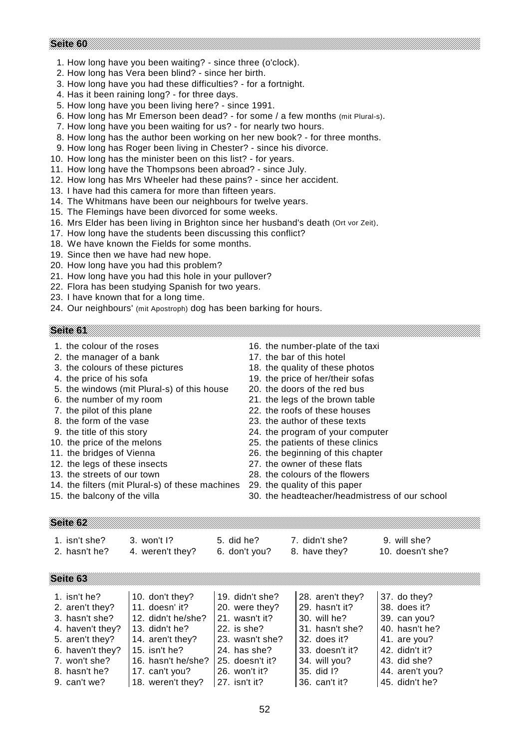- 1. How long have you been waiting? since three (o'clock).
- 2. How long has Vera been blind? since her birth.
- 3. How long have you had these difficulties? for a fortnight.
- 4. Has it been raining long? for three days.
- 5. How long have you been living here? since 1991.
- 6. How long has Mr Emerson been dead? for some / a few months (mit Plural-s).
- 7. How long have you been waiting for us? for nearly two hours.
- 8. How long has the author been working on her new book? for three months.
- 9. How long has Roger been living in Chester? since his divorce.
- 10. How long has the minister been on this list? for years.
- 11. How long have the Thompsons been abroad? since July.
- 12. How long has Mrs Wheeler had these pains? since her accident.
- 13. I have had this camera for more than fifteen years.
- 14. The Whitmans have been our neighbours for twelve years.
- 15. The Flemings have been divorced for some weeks.
- 16. Mrs Elder has been living in Brighton since her husband's death (Ort vor Zeit).
- 17. How long have the students been discussing this conflict?
- 18. We have known the Fields for some months.
- 19. Since then we have had new hope.
- 20. How long have you had this problem?
- 21. How long have you had this hole in your pullover?
- 22. Flora has been studying Spanish for two years.
- 23. I have known that for a long time.
- 24. Our neighbours' (mit Apostroph) dog has been barking for hours.

**Seite 61**

- 
- 2. the manager of a bank 17. the bar of this hotel
- 3. the colours of these pictures 18. the quality of these photos
- 4. the price of his sofa 19. the price of her/their sofas
- 5. the windows (mit Plural-s) of this house 20. the doors of the red bus
- 6. the number of my room 21. the legs of the brown table
- 
- 
- 
- 
- 
- 12. the legs of these insects 27. the owner of these flats
- 
- 14. the filters (mit Plural-s) of these machines 29. the quality of this paper
- 1. the colour of the roses 16. the number-plate of the taxi
	-
	-
	-
	-
- 7. the pilot of this plane 22. the roofs of these houses
- 8. the form of the vase 23. the author of these texts
- 9. the title of this story 24. the program of your computer
- 10. the price of the melons 25. the patients of these clinics
- 11. the bridges of Vienna 26. the beginning of this chapter
	-
- 13. the streets of our town 28. the colours of the flowers
	-
	-
- 15. the balcony of the villa 30. the headteacher/headmistress of our school

#### **Seite 62**

- 
- 
- 
- 2. hasn't he? 4. weren't they? 6. don't you? 8. have they? 10. doesn't she?
- -

## **Seite 63**

1. isn't he?  $10.$  don't they?  $19.$  didn't she?  $28.$  aren't they?  $37.$  do they? 2. aren't they?  $\begin{vmatrix} 11. & \text{doesn'} & \text{it?} \\ 20. & \text{were they?} \\ 29. & \text{hasn'} & \text{it?} \end{vmatrix}$  38. does it? 3. hasn't she?  $\vert$  12. didn't he/she?  $\vert$  21. wasn't it?  $\vert$  30. will he?  $\vert$  39. can you? 4. haven't they?  $\begin{vmatrix} 13. \text{ didn't he?} \\ 22. \text{ is she?} \end{vmatrix}$  31. hasn't she?  $\begin{vmatrix} 40. \text{ hasn't he?} \\ 40. \text{$ 5. aren't they?  $14.$  aren't they?  $23.$  wasn't she?  $32.$  does it?  $41.$  are you? 6. haven't they?  $\vert$  15. isn't he?  $\vert$  24. has she?  $\vert$  33. doesn't it?  $\vert$  42. didn't it? 7. won't she?  $\vert$  16. hasn't he/she? 25. doesn't it?  $\vert$  34. will you?  $\vert$  43. did she? 8. hasn't he? 17. can't you? 26. won't it? 35. did I? 44. aren't you? 9. can't we?  $\vert$  18. weren't they? | 27. isn't it? | 36. can't it? | 45. didn't he?

- 1. isn't she? 3. won't I? 5. did he? 7. didn't she? 9. will she?
	-
-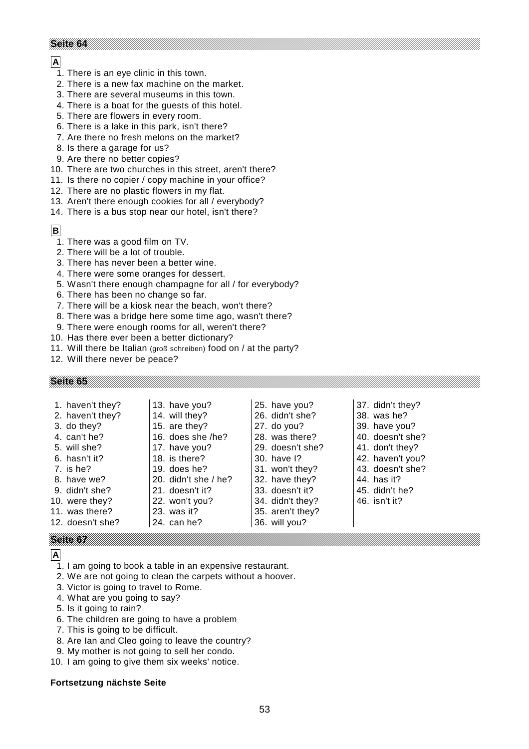# **A**

- 1. There is an eye clinic in this town.
- 2. There is a new fax machine on the market.
- 3. There are several museums in this town.
- 4. There is a boat for the guests of this hotel.
- 5. There are flowers in every room.
- 6. There is a lake in this park, isn't there?
- 7. Are there no fresh melons on the market?
- 8. Is there a garage for us?
- 9. Are there no better copies?
- 10. There are two churches in this street, aren't there?
- 11. Is there no copier / copy machine in your office?
- 12. There are no plastic flowers in my flat.
- 13. Aren't there enough cookies for all / everybody?
- 14. There is a bus stop near our hotel, isn't there?

# **B**

- 1. There was a good film on TV.
- 2. There will be a lot of trouble.
- 3. There has never been a better wine.
- 4. There were some oranges for dessert.
- 5. Wasn't there enough champagne for all / for everybody?
- 6. There has been no change so far.
- 7. There will be a kiosk near the beach, won't there?
- 8. There was a bridge here some time ago, wasn't there?
- 9. There were enough rooms for all, weren't there?
- 10. Has there ever been a better dictionary?
- 11. Will there be Italian (groß schreiben) food on / at the party?
- 12. Will there never be peace?

## **Seite 65**

| 1. haven't they? | 13. have you?        | 25. have you?    | 37. didn't they? |
|------------------|----------------------|------------------|------------------|
| 2. haven't they? | 14. will they?       | 26. didn't she?  | 38. was he?      |
| 3. do they?      | 15. are they?        | 27. do you?      | 39. have you?    |
| 4. can't he?     | 16. does she /he?    | 28. was there?   | 40. doesn't she? |
| 5. will she?     | 17. have you?        | 29. doesn't she? | 41. don't they?  |
| 6. hasn't it?    | 18. is there?        | 30. have 1?      | 42. haven't you? |
| 7. is he?        | 19. does he?         | 31. won't they?  | 43. doesn't she? |
| 8. have we?      | 20. didn't she / he? | 32. have they?   | 44. has it?      |
| 9. didn't she?   | 21. doesn't it?      | 33. doesn't it?  | 45. didn't he?   |
| 10. were they?   | 22. won't you?       | 34. didn't they? | 46. isn't it?    |
| 11. was there?   | 23. was it?          | 35. aren't they? |                  |
| 12. doesn't she? | 24. can he?          | 36. will you?    |                  |
|                  |                      |                  |                  |

# **A**

**Seite 67**

- 1. I am going to book a table in an expensive restaurant.
- 2. We are not going to clean the carpets without a hoover.
- 3. Victor is going to travel to Rome.
- 4. What are you going to say?
- 5. Is it going to rain?
- 6. The children are going to have a problem
- 7. This is going to be difficult.
- 8. Are Ian and Cleo going to leave the country?
- 9. My mother is not going to sell her condo.
- 10. I am going to give them six weeks' notice.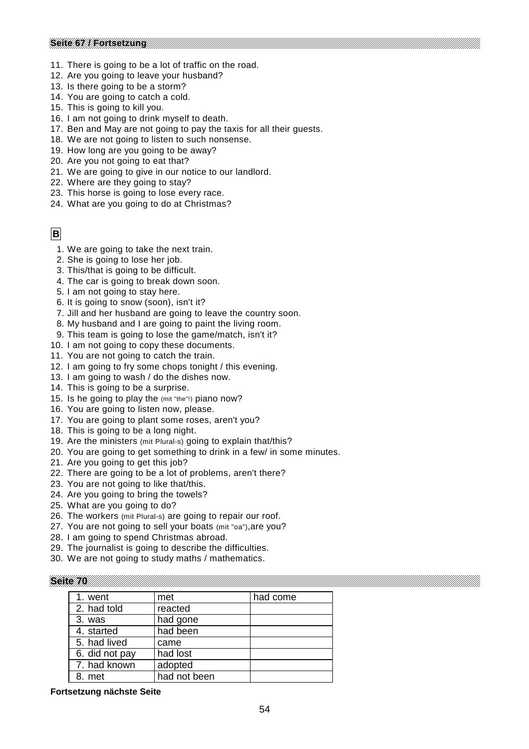#### **Seite 67 / Fortsetzung**

- 11. There is going to be a lot of traffic on the road.
- 12. Are you going to leave your husband?
- 13. Is there going to be a storm?
- 14. You are going to catch a cold.
- 15. This is going to kill you.
- 16. I am not going to drink myself to death.
- 17. Ben and May are not going to pay the taxis for all their guests.
- 18. We are not going to listen to such nonsense.
- 19. How long are you going to be away?
- 20. Are you not going to eat that?
- 21. We are going to give in our notice to our landlord.
- 22. Where are they going to stay?
- 23. This horse is going to lose every race.
- 24. What are you going to do at Christmas?

# **B**

- 1. We are going to take the next train.
- 2. She is going to lose her job.
- 3. This/that is going to be difficult.
- 4. The car is going to break down soon.
- 5. I am not going to stay here.
- 6. It is going to snow (soon), isn't it?
- 7. Jill and her husband are going to leave the country soon.
- 8. My husband and I are going to paint the living room.
- 9. This team is going to lose the game/match, isn't it?
- 10. I am not going to copy these documents.
- 11. You are not going to catch the train.
- 12. I am going to fry some chops tonight / this evening.
- 13. I am going to wash / do the dishes now.
- 14. This is going to be a surprise.
- 15. Is he going to play the (mit "the"!) piano now?
- 16. You are going to listen now, please.
- 17. You are going to plant some roses, aren't you?
- 18. This is going to be a long night.
- 19. Are the ministers (mit Plural-s) going to explain that/this?
- 20. You are going to get something to drink in a few/ in some minutes.
- 21. Are you going to get this job?
- 22. There are going to be a lot of problems, aren't there?
- 23. You are not going to like that/this.
- 24. Are you going to bring the towels?
- 25. What are you going to do?
- 26. The workers (mit Plural-s) are going to repair our roof.
- 27. You are not going to sell your boats (mit "oa"),are you?
- 28. I am going to spend Christmas abroad.
- 29. The journalist is going to describe the difficulties.
- 30. We are not going to study maths / mathematics.

| Seite <sub>7</sub> |  |
|--------------------|--|
|                    |  |
|                    |  |
|                    |  |
|                    |  |
|                    |  |
|                    |  |
|                    |  |
|                    |  |
|                    |  |

| 1. went        | met          | had come |
|----------------|--------------|----------|
| 2. had told    | reacted      |          |
| 3. was         | had gone     |          |
| 4. started     | had been     |          |
| 5. had lived   | came         |          |
| 6. did not pay | had lost     |          |
| 7. had known   | adopted      |          |
| 8. met         | had not been |          |
|                |              |          |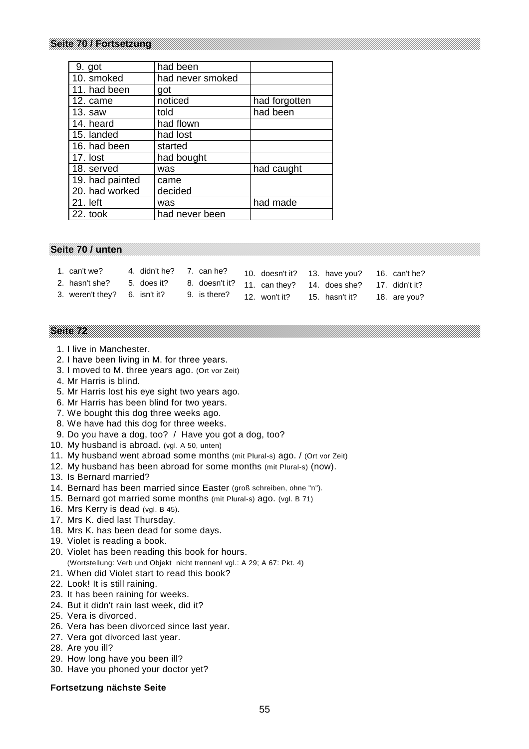## **Seite 70 / Fortsetzung**

| 9. got          | had been         |               |
|-----------------|------------------|---------------|
| 10. smoked      | had never smoked |               |
| 11. had been    | got              |               |
| 12. came        | noticed          | had forgotten |
| 13. saw         | told             | had been      |
| 14. heard       | had flown        |               |
| 15. landed      | had lost         |               |
| 16. had been    | started          |               |
| 17. lost        | had bought       |               |
| 18. served      | was              | had caught    |
| 19. had painted | came             |               |
| 20. had worked  | decided          |               |
| 21. left        | was              | had made      |
| 22. took        | had never been   |               |

#### **Seite 70 / unten**

| 1. can't we?                                                                         |  | 4. didn't he? 7. can he? 10. doesn't it? 13. have you? 16. can't he? |  |
|--------------------------------------------------------------------------------------|--|----------------------------------------------------------------------|--|
| 2. hasn't she? 5. does it? 8. doesn't it? 11. can they? 14. does she? 17. didn't it? |  |                                                                      |  |
| 3. weren't they? 6. isn't it? 9. is there? 12. won't it? 15. hasn't it? 18. are you? |  |                                                                      |  |

#### **Seite 72**

- 1. I live in Manchester.
- 2. I have been living in M. for three years.
- 3. I moved to M. three years ago. (Ort vor Zeit)
- 4. Mr Harris is blind.
- 5. Mr Harris lost his eye sight two years ago.
- 6. Mr Harris has been blind for two years.
- 7. We bought this dog three weeks ago.
- 8. We have had this dog for three weeks.
- 9. Do you have a dog, too? / Have you got a dog, too?
- 10. My husband is abroad. (vgl. A 50, unten)
- 11. My husband went abroad some months (mit Plural-s) ago. / (Ort vor Zeit)
- 12. My husband has been abroad for some months (mit Plural-s) (now).
- 13. Is Bernard married?
- 14. Bernard has been married since Easter (groß schreiben, ohne "n").
- 15. Bernard got married some months (mit Plural-s) ago. (vgl. B 71)
- 16. Mrs Kerry is dead (vgl. B 45).
- 17. Mrs K. died last Thursday.
- 18. Mrs K. has been dead for some days.
- 19. Violet is reading a book.
- 20. Violet has been reading this book for hours.
- (Wortstellung: Verb und Objekt nicht trennen! vgl.: A 29; A 67: Pkt. 4)
- 21. When did Violet start to read this book?
- 22. Look! It is still raining.
- 23. It has been raining for weeks.
- 24. But it didn't rain last week, did it?
- 25. Vera is divorced.
- 26. Vera has been divorced since last year.
- 27. Vera got divorced last year.
- 28. Are you ill?
- 29. How long have you been ill?
- 30. Have you phoned your doctor yet?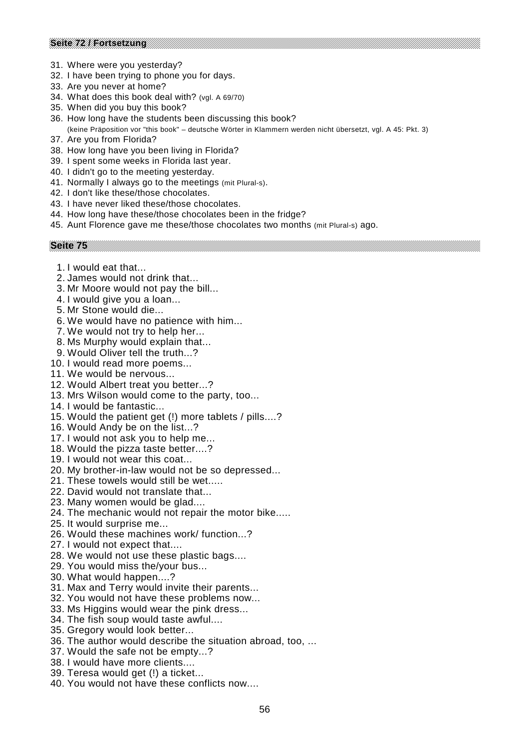#### **Seite 72 / Fortsetzung**

- 31. Where were you yesterday?
- 32. I have been trying to phone you for days.
- 33. Are you never at home?
- 34. What does this book deal with? (vgl. A 69/70)
- 35. When did you buy this book?
- 36. How long have the students been discussing this book? (keine Präposition vor "this book" – deutsche Wörter in Klammern werden nicht übersetzt, vgl. A 45: Pkt. 3)
- 37. Are you from Florida?
- 38. How long have you been living in Florida?
- 39. I spent some weeks in Florida last year.
- 40. I didn't go to the meeting yesterday.
- 41. Normally I always go to the meetings (mit Plural-s).
- 42. I don't like these/those chocolates.
- 43. I have never liked these/those chocolates.
- 44. How long have these/those chocolates been in the fridge?
- 45. Aunt Florence gave me these/those chocolates two months (mit Plural-s) ago.

- 1. I would eat that...
- 2. James would not drink that...
- 3. Mr Moore would not pay the bill...
- 4. I would give you a loan...
- 5. Mr Stone would die...
- 6. We would have no patience with him...
- 7. We would not try to help her...
- 8. Ms Murphy would explain that...
- 9. Would Oliver tell the truth...?
- 10. I would read more poems...
- 11. We would be nervous...
- 12. Would Albert treat you better...?
- 13. Mrs Wilson would come to the party, too...
- 14. I would be fantastic...
- 15. Would the patient get (!) more tablets / pills....?
- 16. Would Andy be on the list...?
- 17. I would not ask you to help me...
- 18. Would the pizza taste better....?
- 19. I would not wear this coat...
- 20. My brother-in-law would not be so depressed...
- 21. These towels would still be wet.....
- 22. David would not translate that...
- 23. Many women would be glad....
- 24. The mechanic would not repair the motor bike.....
- 25. It would surprise me...
- 26. Would these machines work/ function...?
- 27. I would not expect that....
- 28. We would not use these plastic bags....
- 29. You would miss the/your bus...
- 30. What would happen....?
- 31. Max and Terry would invite their parents...
- 32. You would not have these problems now...
- 33. Ms Higgins would wear the pink dress...
- 34. The fish soup would taste awful....
- 35. Gregory would look better...
- 36. The author would describe the situation abroad, too, ...
- 37. Would the safe not be empty...?
- 38. I would have more clients....
- 39. Teresa would get (!) a ticket...
- 40. You would not have these conflicts now....